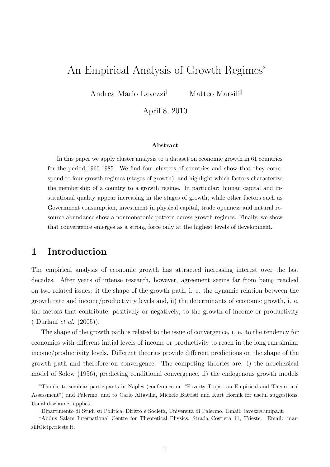# An Empirical Analysis of Growth Regimes<sup>∗</sup>

Andrea Mario Lavezzi† Matteo Marsili‡

April 8, 2010

#### Abstract

In this paper we apply cluster analysis to a dataset on economic growth in 61 countries for the period 1960-1985. We find four clusters of countries and show that they correspond to four growth regimes (stages of growth), and highlight which factors characterize the membership of a country to a growth regime. In particular: human capital and institutional quality appear increasing in the stages of growth, while other factors such as Government consumption, investment in physical capital, trade openness and natural resource abundance show a nonmonotonic pattern across growth regimes. Finally, we show that convergence emerges as a strong force only at the highest levels of development.

### 1 Introduction

The empirical analysis of economic growth has attracted increasing interest over the last decades. After years of intense research, however, agreement seems far from being reached on two related issues: i) the shape of the growth path, i. e. the dynamic relation between the growth rate and income/productivity levels and, ii) the determinants of economic growth, i. e. the factors that contribute, positively or negatively, to the growth of income or productivity ( Durlauf et al. (2005)).

The shape of the growth path is related to the issue of convergence, i. e. to the tendency for economies with different initial levels of income or productivity to reach in the long run similar income/productivity levels. Different theories provide different predictions on the shape of the growth path and therefore on convergence. The competing theories are: i) the neoclassical model of Solow (1956), predicting conditional convergence, ii) the endogenous growth models

<sup>∗</sup>Thanks to seminar participants in Naples (conference on "Poverty Traps: an Empirical and Theoretical Assessment") and Palermo, and to Carlo Altavilla, Michele Battisti and Kurt Hornik for useful suggestions. Usual disclaimer applies.

<sup>†</sup>Dipartimento di Studi su Politica, Diritto e Societ`a, Universit`a di Palermo. Email: lavezzi@unipa.it.

<sup>‡</sup>Abdus Salam International Centre for Theoretical Physics, Strada Costiera 11, Trieste. Email: marsili@ictp.trieste.it.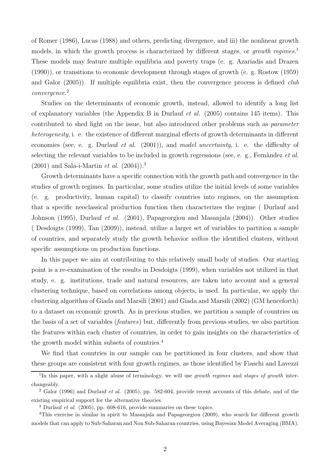of Romer (1986), Lucas (1988) and others, predicting divergence, and iii) the nonlinear growth models, in which the growth process is characterized by different stages, or *growth regimes*.<sup>1</sup> These models may feature multiple equilibria and poverty traps (e. g. Azariadis and Drazen (1990)), or transitions to economic development through stages of growth (e. g. Rostow (1959) and Galor  $(2005)$ ). If multiple equilibria exist, then the convergence process is defined *club* convergence. 2

Studies on the determinants of economic growth, instead, allowed to identify a long list of explanatory variables (the Appendix B in Durlauf *et al.* (2005) contains 145 items). This contributed to shed light on the issue, but also introduced other problems such as parameter heterogeneity, i. e. the existence of different marginal effects of growth determinants in different economies (see, e. g. Durlauf et al. (2001)), and model uncertainty, i. e. the difficulty of selecting the relevant variables to be included in growth regressions (see, e. g., Fernàndez et al.  $(2001)$  and Sala-i-Martin *et al.*  $(2004)$ ).<sup>3</sup>

Growth determinants have a specific connection with the growth path and convergence in the studies of growth regimes. In particular, some studies utilize the initial levels of some variables (e. g. productivity, human capital) to classify countries into regimes, on the assumption that a specific neoclassical production function then characterizes the regime ( Durlauf and Johnson (1995), Durlauf et al. (2001), Papageorgiou and Masanjala (2004)). Other studies ( Desdoigts (1999), Tan (2009)), instead, utilize a larger set of variables to partition a sample of countries, and separately study the growth behavior within the identified clusters, without specific assumptions on production functions.

In this paper we aim at contributing to this relatively small body of studies. Our starting point is a re-examination of the results in Desdoigts (1999), when variables not utilized in that study, e. g. institutions, trade and natural resources, are taken into account and a general clustering technique, based on correlations among objects, is used. In particular, we apply the clustering algorithm of Giada and Marsili (2001) and Giada and Marsili (2002) (GM henceforth) to a dataset on economic growth. As in previous studies, we partition a sample of countries on the basis of a set of variables (features) but, differently from previous studies, we also partition the features within each cluster of countries, in order to gain insights on the characteristics of the growth model within subsets of countries.<sup>4</sup>

We find that countries in our sample can be partitioned in four clusters, and show that these groups are consistent with four growth regimes, as those identified by Fiaschi and Lavezzi

<sup>&</sup>lt;sup>1</sup>In this paper, with a slight abuse of terminology, we will use growth regimes and stages of growth interchangeably.

 $2$  Galor (1996) and Durlauf et al. (2005), pp. 582-604, provide recent accounts of this debate, and of the existing empirical support for the alternative theories.

 $3$  Durlauf *et al.* (2005), pp. 608-616, provide summaries on these topics.

<sup>&</sup>lt;sup>4</sup>This exercise in similar in spirit to Masanjala and Papageorgiou (2009), who search for different growth models that can apply to Sub-Saharan and Non Sub-Saharan countries, using Bayesian Model Averaging (BMA).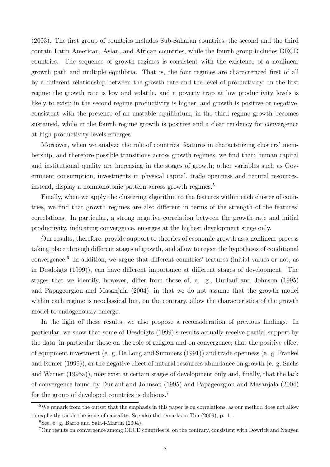(2003). The first group of countries includes Sub-Saharan countries, the second and the third contain Latin American, Asian, and African countries, while the fourth group includes OECD countries. The sequence of growth regimes is consistent with the existence of a nonlinear growth path and multiple equilibria. That is, the four regimes are characterized first of all by a different relationship between the growth rate and the level of productivity: in the first regime the growth rate is low and volatile, and a poverty trap at low productivity levels is likely to exist; in the second regime productivity is higher, and growth is positive or negative, consistent with the presence of an unstable equilibrium; in the third regime growth becomes sustained, while in the fourth regime growth is positive and a clear tendency for convergence at high productivity levels emerges.

Moreover, when we analyze the role of countries' features in characterizing clusters' membership, and therefore possible transitions across growth regimes, we find that: human capital and institutional quality are increasing in the stages of growth; other variables such as Government consumption, investments in physical capital, trade openness and natural resources, instead, display a nonmonotonic pattern across growth regimes.<sup>5</sup>

Finally, when we apply the clustering algorithm to the features within each cluster of countries, we find that growth regimes are also different in terms of the strength of the features' correlations. In particular, a strong negative correlation between the growth rate and initial productivity, indicating convergence, emerges at the highest development stage only.

Our results, therefore, provide support to theories of economic growth as a nonlinear process taking place through different stages of growth, and allow to reject the hypothesis of conditional convergence.<sup>6</sup> In addition, we argue that different countries' features (initial values or not, as in Desdoigts (1999)), can have different importance at different stages of development. The stages that we identify, however, differ from those of, e. g., Durlauf and Johnson (1995) and Papageorgiou and Masanjala (2004), in that we do not assume that the growth model within each regime is neoclassical but, on the contrary, allow the characteristics of the growth model to endogenously emerge.

In the light of these results, we also propose a reconsideration of previous findings. In particular, we show that some of Desdoigts (1999)'s results actually receive partial support by the data, in particular those on the role of religion and on convergence; that the positive effect of equipment investment (e. g. De Long and Summers (1991)) and trade openness (e. g. Frankel and Romer (1999)), or the negative effect of natural resources abundance on growth (e. g. Sachs and Warner (1995a)), may exist at certain stages of development only and, finally, that the lack of convergence found by Durlauf and Johnson (1995) and Papageorgiou and Masanjala (2004) for the group of developed countries is dubious.<sup>7</sup>

<sup>&</sup>lt;sup>5</sup>We remark from the outset that the emphasis in this paper is on correlations, as our method does not allow to explicitly tackle the issue of causality. See also the remarks in Tan (2009), p. 11.

 ${}^{6}$ See, e. g. Barro and Sala-i-Martin (2004).

<sup>7</sup>Our results on convergence among OECD countries is, on the contrary, consistent with Dowrick and Nguyen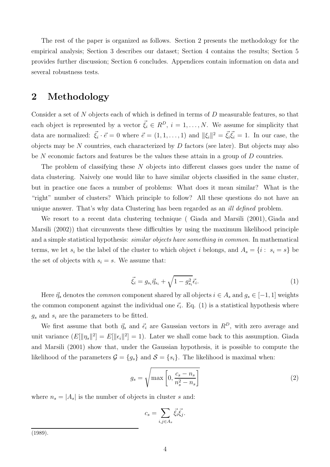The rest of the paper is organized as follows. Section 2 presents the methodology for the empirical analysis; Section 3 describes our dataset; Section 4 contains the results; Section 5 provides further discussion; Section 6 concludes. Appendices contain information on data and several robustness tests.

## 2 Methodology

Consider a set of  $N$  objects each of which is defined in terms of  $D$  measurable features, so that each object is represented by a vector  $\vec{\xi}_i \in R^D$ ,  $i = 1, \ldots, N$ . We assume for simplicity that data are normalized:  $\vec{\xi}_i \cdot \vec{e} = 0$  where  $\vec{e} = (1, 1, \dots, 1)$  and  $\|\xi_i\|^2 = \vec{\xi}_i \vec{\xi}_i = 1$ . In our case, the objects may be  $N$  countries, each characterized by  $D$  factors (see later). But objects may also be  $N$  economic factors and features be the values these attain in a group of  $D$  countries.

The problem of classifying these N objects into different classes goes under the name of data clustering. Naively one would like to have similar objects classified in the same cluster, but in practice one faces a number of problems: What does it mean similar? What is the "right" number of clusters? Which principle to follow? All these questions do not have an unique answer. That's why data Clustering has been regarded as an *ill defined* problem.

We resort to a recent data clustering technique ( Giada and Marsili (2001), Giada and Marsili (2002)) that circumvents these difficulties by using the maximum likelihood principle and a simple statistical hypothesis: *similar objects have something in common*. In mathematical terms, we let  $s_i$  be the label of the cluster to which object i belongs, and  $A_s = \{i : s_i = s\}$  be the set of objects with  $s_i = s$ . We assume that:

$$
\vec{\xi}_i = g_{s_i} \vec{\eta}_{s_i} + \sqrt{1 - g_{s_i}^2} \vec{\epsilon}_i.
$$
 (1)

Here  $\vec{\eta}_s$  denotes the *common* component shared by all objects  $i \in A_s$  and  $g_s \in [-1, 1]$  weights the common component against the individual one  $\vec{\epsilon}_i$ . Eq. (1) is a statistical hypothesis where  $g_s$  and  $s_i$  are the parameters to be fitted.

We first assume that both  $\vec{\eta}_s$  and  $\vec{\epsilon}_i$  are Gaussian vectors in  $R^D$ , with zero average and unit variance  $(E[\|\eta_s\|^2] = E[\|\epsilon_i\|^2] = 1)$ . Later we shall come back to this assumption. Giada and Marsili (2001) show that, under the Gaussian hypothesis, it is possible to compute the likelihood of the parameters  $\mathcal{G} = \{g_s\}$  and  $\mathcal{S} = \{s_i\}$ . The likelihood is maximal when:

$$
g_s = \sqrt{\max\left[0, \frac{c_s - n_s}{n_s^2 - n_s}\right]}
$$
 (2)

where  $n_s = |A_s|$  is the number of objects in cluster s and:

$$
c_s = \sum_{i,j \in A_s} \vec{\xi}_i \vec{\xi}_j.
$$

(1989).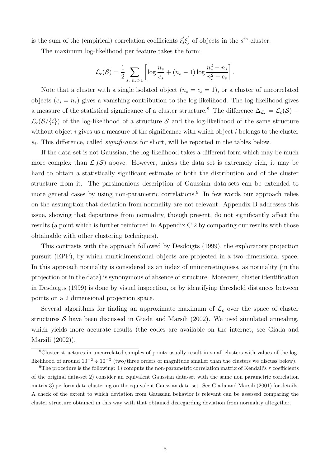is the sum of the (empirical) correlation coefficients  $\vec{\xi}_i \vec{\xi}_j$  of objects in the s<sup>th</sup> cluster.

The maximum log-likelihood per feature takes the form:

$$
\mathcal{L}_c(\mathcal{S}) = \frac{1}{2} \sum_{s: n_s > 1} \left[ \log \frac{n_s}{c_s} + (n_s - 1) \log \frac{n_s^2 - n_s}{n_s^2 - c_s} \right].
$$

Note that a cluster with a single isolated object  $(n_s = c_s = 1)$ , or a cluster of uncorrelated objects  $(c_s = n_s)$  gives a vanishing contribution to the log-likelihood. The log-likelihood gives a measure of the statistical significance of a cluster structure.<sup>8</sup> The difference  $\Delta_{\mathcal{L}_c} = \mathcal{L}_c(\mathcal{S})$  −  $\mathcal{L}_c(\mathcal{S}/\{i\})$  of the log-likelihood of a structure S and the log-likelihood of the same structure without object  $i$  gives us a measure of the significance with which object  $i$  belongs to the cluster  $s_i$ . This difference, called *significance* for short, will be reported in the tables below.

If the data-set is not Gaussian, the log-likelihood takes a different form which may be much more complex than  $\mathcal{L}_c(\mathcal{S})$  above. However, unless the data set is extremely rich, it may be hard to obtain a statistically significant estimate of both the distribution and of the cluster structure from it. The parsimonious description of Gaussian data-sets can be extended to more general cases by using non-parametric correlations.<sup>9</sup> In few words our approach relies on the assumption that deviation from normality are not relevant. Appendix B addresses this issue, showing that departures from normality, though present, do not significantly affect the results (a point which is further reinforced in Appendix C.2 by comparing our results with those obtainable with other clustering techniques).

This contrasts with the approach followed by Desdoigts (1999), the exploratory projection pursuit (EPP), by which multidimensional objects are projected in a two-dimensional space. In this approach normality is considered as an index of uninterestingness, as normality (in the projection or in the data) is synonymous of absence of structure. Moreover, cluster identification in Desdoigts (1999) is done by visual inspection, or by identifying threshold distances between points on a 2 dimensional projection space.

Several algorithms for finding an approximate maximum of  $\mathcal{L}_c$  over the space of cluster structures  $\mathcal S$  have been discussed in Giada and Marsili (2002). We used simulated annealing, which yields more accurate results (the codes are available on the internet, see Giada and Marsili (2002)).

<sup>8</sup>Cluster structures in uncorrelated samples of points usually result in small clusters with values of the loglikelihood of around  $10^{-2} \div 10^{-3}$  (two/three orders of magnitude smaller than the clusters we discuss below).

<sup>&</sup>lt;sup>9</sup>The procedure is the following: 1) compute the non-parametric correlation matrix of Kendall's  $\tau$  coefficients of the original data-set 2) consider an equivalent Gaussian data-set with the same non parametric correlation matrix 3) perform data clustering on the equivalent Gaussian data-set. See Giada and Marsili (2001) for details. A check of the extent to which deviation from Gaussian behavior is relevant can be assessed comparing the cluster structure obtained in this way with that obtained disregarding deviation from normality altogether.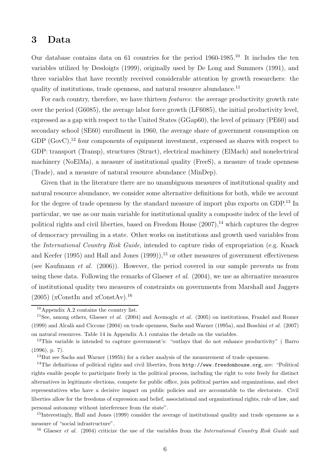## 3 Data

Our database contains data on 61 countries for the period 1960-1985.<sup>10</sup> It includes the ten variables utilized by Desdoigts (1999), originally used by De Long and Summers (1991), and three variables that have recently received considerable attention by growth researchers: the quality of institutions, trade openness, and natural resource abundance.<sup>11</sup>

For each country, therefore, we have thirteen *features*: the average productivity growth rate over the period (G6085), the average labor force growth (LF6085), the initial productivity level, expressed as a gap with respect to the United States (GGap60), the level of primary (PE60) and secondary school (SE60) enrollment in 1960, the average share of government consumption on GDP  $(GovC)$ ,<sup>12</sup> four components of equipment investment, expressed as shares with respect to GDP: transport (Transp), structures (Struct), electrical machinery (ElMach) and nonelectrical machinery (NoElMa), a measure of institutional quality (FreeS), a measure of trade openness (Trade), and a measure of natural resource abundance (MinDep).

Given that in the literature there are no unambiguous measures of institutional quality and natural resource abundance, we consider some alternative definitions for both, while we account for the degree of trade openness by the standard measure of import plus exports on GDP.<sup>13</sup> In particular, we use as our main variable for institutional quality a composite index of the level of political rights and civil liberties, based on Freedom House  $(2007)$ ,<sup>14</sup> which captures the degree of democracy prevailing in a state. Other works on institutions and growth used variables from the International Country Risk Guide, intended to capture risks of expropriation (e.g. Knack and Keefer (1995) and Hall and Jones  $(1999)$ ,<sup>15</sup> or other measures of government effectiveness (see Kaufmann et al. (2006)). However, the period covered in our sample prevents us from using these data. Following the remarks of Glaeser et al. (2004), we use as alternative measures of institutional quality two measures of constraints on governments from Marshall and Jaggers  $(2005)$  (xConstIn and xConstAv).<sup>16</sup>

<sup>13</sup>But see Sachs and Warner (1995b) for a richer analysis of the measurement of trade openness.

<sup>14</sup>The definitions of political rights and civil liberties, from http://www.freedomhouse.org, are: "Political rights enable people to participate freely in the political process, including the right to vote freely for distinct alternatives in legitimate elections, compete for public office, join political parties and organizations, and elect representatives who have a decisive impact on public policies and are accountable to the electorate. Civil liberties allow for the freedoms of expression and belief, associational and organizational rights, rule of law, and personal autonomy without interference from the state".

<sup>15</sup>Interestingly, Hall and Jones (1999) consider the average of institutional quality and trade openness as a measure of "social infrastructure".

<sup>16</sup> Glaeser *et al.* (2004) criticize the use of the variables from the *International Country Risk Guide* and

<sup>10</sup>Appendix A.2 contains the country list.

<sup>&</sup>lt;sup>11</sup>See, among others, Glaeser *et al.* (2004) and Acemoglu *et al.* (2005) on institutions, Frankel and Romer (1999) and Alcal`a and Ciccone (2004) on trade openness, Sachs and Warner (1995a), and Boschini et al. (2007) on natural resources. Table 14 in Appendix A.1 contains the details on the variables.

<sup>&</sup>lt;sup>12</sup>This variable is intended to capture government's: "outlays that do not enhance productivity" (Barro (1996), p. 7).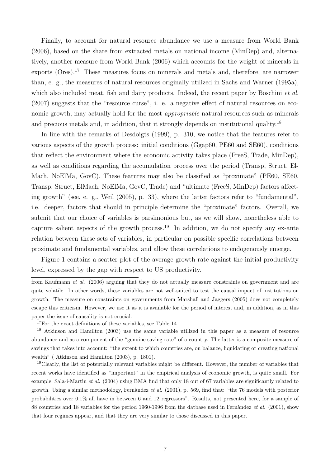Finally, to account for natural resource abundance we use a measure from World Bank (2006), based on the share from extracted metals on national income (MinDep) and, alternatively, another measure from World Bank (2006) which accounts for the weight of minerals in exports (Ores).<sup>17</sup> These measures focus on minerals and metals and, therefore, are narrower than, e. g., the measures of natural resources originally utilized in Sachs and Warner (1995a), which also included meat, fish and dairy products. Indeed, the recent paper by Boschini *et al.* (2007) suggests that the "resource curse", i. e. a negative effect of natural resources on economic growth, may actually hold for the most appropriable natural resources such as minerals and precious metals and, in addition, that it strongly depends on institutional quality.<sup>18</sup>

In line with the remarks of Desdoigts (1999), p. 310, we notice that the features refer to various aspects of the growth process: initial conditions (Ggap60, PE60 and SE60), conditions that reflect the environment where the economic activity takes place (FreeS, Trade, MinDep), as well as conditions regarding the accumulation process over the period (Transp, Struct, El-Mach, NoElMa, GovC). These features may also be classified as "proximate" (PE60, SE60, Transp, Struct, ElMach, NoElMa, GovC, Trade) and "ultimate (FreeS, MinDep) factors affecting growth" (see, e. g., Weil (2005), p. 33), where the latter factors refer to "fundamental", i.e. deeper, factors that should in principle determine the "proximate" factors. Overall, we submit that our choice of variables is parsimonious but, as we will show, nonetheless able to capture salient aspects of the growth process.<sup>19</sup> In addition, we do not specify any ex-ante relation between these sets of variables, in particular on possible specific correlations between proximate and fundamental variables, and allow these correlations to endogenously emerge.

Figure 1 contains a scatter plot of the average growth rate against the initial productivity level, expressed by the gap with respect to US productivity.

<sup>17</sup>For the exact definitions of these variables, see Table 14.

from Kaufmann et al. (2006) arguing that they do not actually measure constraints on government and are quite volatile. In other words, these variables are not well-suited to test the causal impact of institutions on growth. The measure on constraints on governments from Marshall and Jaggers (2005) does not completely escape this criticism. However, we use it as it is available for the period of interest and, in addition, as in this paper the issue of causality is not crucial.

<sup>18</sup> Atkinson and Hamilton (2003) use the same variable utilized in this paper as a measure of resource abundance and as a component of the "genuine saving rate" of a country. The latter is a composite measure of savings that takes into account: "the extent to which countries are, on balance, liquidating or creating national wealth" ( Atkinson and Hamilton (2003), p. 1801).

<sup>&</sup>lt;sup>19</sup>Clearly, the list of potentially relevant variables might be different. However, the number of variables that recent works have identified as "important" in the empirical analysis of economic growth, is quite small. For example, Sala-i-Martin et al. (2004) using BMA find that only 18 out of 67 variables are significantly related to growth. Using a similar methodology, Fernàndez et al.  $(2001)$ , p. 569, find that: "the 76 models with posterior probabilities over 0.1% all have in between 6 and 12 regressors". Results, not presented here, for a sample of 88 countries and 18 variables for the period 1960-1996 from the datbase used in Fernàndez et al. (2001), show that four regimes appear, and that they are very similar to those discussed in this paper.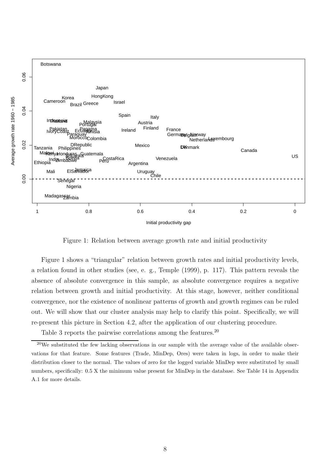

Figure 1: Relation between average growth rate and initial productivity

Figure 1 shows a "triangular" relation between growth rates and initial productivity levels, a relation found in other studies (see, e. g., Temple (1999), p. 117). This pattern reveals the absence of absolute convergence in this sample, as absolute convergence requires a negative relation between growth and initial productivity. At this stage, however, neither conditional convergence, nor the existence of nonlinear patterns of growth and growth regimes can be ruled out. We will show that our cluster analysis may help to clarify this point. Specifically, we will re-present this picture in Section 4.2, after the application of our clustering procedure.

Table 3 reports the pairwise correlations among the features.<sup>20</sup>

 $20$ We substituted the few lacking observations in our sample with the average value of the available observations for that feature. Some features (Trade, MinDep, Ores) were taken in logs, in order to make their distribution closer to the normal. The values of zero for the logged variable MinDep were substituted by small numbers, specifically: 0.5 X the minimum value present for MinDep in the database. See Table 14 in Appendix A.1 for more details.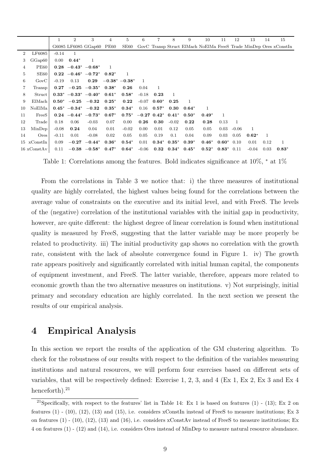|                |                            |          | $\overline{2}$ | 3                                      | 4                   | 5       | 6       | 7                | 8                 | 9                 | 10      | 11            | 12           | 13      | 14   | 15                                                                |
|----------------|----------------------------|----------|----------------|----------------------------------------|---------------------|---------|---------|------------------|-------------------|-------------------|---------|---------------|--------------|---------|------|-------------------------------------------------------------------|
|                |                            |          |                | G6085 LF6085 GGap60 PE60               |                     | SE60    |         |                  |                   |                   |         |               |              |         |      | GovC Transp Struct ElMach NoElMa FreeS Trade MinDep Ores xConstIn |
| $\overline{2}$ | LF6085                     | $-0.14$  |                |                                        |                     |         |         |                  |                   |                   |         |               |              |         |      |                                                                   |
| 3              | GGap60                     | $0.00\,$ | $0.44*$        | 1                                      |                     |         |         |                  |                   |                   |         |               |              |         |      |                                                                   |
| 4              | <b>PE60</b>                |          |                | $0.28 - 0.43^* - 0.68^*$               |                     |         |         |                  |                   |                   |         |               |              |         |      |                                                                   |
| 5              | SE60                       |          |                | $0.22 -0.46^* -0.72^*$                 | $0.82*$             |         |         |                  |                   |                   |         |               |              |         |      |                                                                   |
| 6              | GovC                       | $-0.19$  | 0.13           | 0.29                                   | $-0.38^*$ $-0.38^*$ |         | -1      |                  |                   |                   |         |               |              |         |      |                                                                   |
| 7              | Transp                     | 0.27     |                | $-0.25$ $-0.35^*$                      | $0.38*$             | 0.26    | 0.04    | 1                |                   |                   |         |               |              |         |      |                                                                   |
| 8              | Struct                     |          |                | $0.33^*$ -0.33* -0.40* 0.61*           |                     | $0.58*$ | $-0.18$ | 0.23             | 1                 |                   |         |               |              |         |      |                                                                   |
| 9              | ElMach                     |          |                | $0.50^*$ -0.25 -0.32 0.25 <sup>*</sup> |                     | 0.22    | $-0.07$ | $0.60*$          | 0.25              | $\mathbf{1}$      |         |               |              |         |      |                                                                   |
| 10             | NoElMa                     |          |                | $0.45^*$ $-0.34^*$ $-0.32$             | $\mathbf{0.35}^{*}$ | $0.34*$ | 0.16    | $0.57*$          | 0.30              | $0.64*$           | 1       |               |              |         |      |                                                                   |
| 11             | FreeS                      |          |                | $0.24 - 0.44^* - 0.73^*$               | $0.67*$             | $0.75*$ |         | $-0.27$ $0.42^*$ | $0.41*$           | $0.50*$           | $0.49*$ | 1             |              |         |      |                                                                   |
| 12             | Trade                      | 0.18     | 0.06           | $-0.03$                                | 0.07                | 0.00    | 0.26    | 0.30             | $-0.02$           | 0.22              | 0.28    | 0.13          | $\mathbf{1}$ |         |      |                                                                   |
| 13             | MinDep                     | $-0.08$  | 0.24           | 0.04                                   | 0.01                | $-0.02$ | 0.00    | 0.01             | 0.12              | 0.05              | 0.05    | 0.03          | $-0.06$      | 1       |      |                                                                   |
| 14             | Ores                       | $-0.11$  | 0.01           | $-0.08$                                | 0.02                | 0.05    | 0.05    | 0.19             | 0.1               | 0.04              | 0.09    | 0.03          | 0.05         | $0.62*$ | -1   |                                                                   |
|                | $15 \times$ ConstIn        | 0.09     |                | $-0.27 -0.44*$                         | $0.36*$             | $0.54*$ | 0.01    |                  | $0.34^*$ $0.35^*$ | $0.39*$           | $0.46*$ | $0.60^*$ 0.10 |              | 0.01    | 0.12 | 1                                                                 |
|                | $16 \times \text{ConstAv}$ | 0.11     |                | $-0.38$ $-0.58^*$                      | $0.47*$             | $0.64*$ | $-0.06$ | 0.32             |                   | $0.34^*$ $0.45^*$ | $0.52*$ | $0.83*$       | 0.11         | $-0.04$ | 0.03 | $0.83*$                                                           |

Table 1: Correlations among the features. Bold indicates significance at 10%, <sup>∗</sup> at 1%

From the correlations in Table 3 we notice that: i) the three measures of institutional quality are highly correlated, the highest values being found for the correlations between the average value of constraints on the executive and its initial level, and with FreeS. The levels of the (negative) correlation of the institutional variables with the initial gap in productivity, however, are quite different: the highest degree of linear correlation is found when institutional quality is measured by FreeS, suggesting that the latter variable may be more properly be related to productivity. iii) The initial productivity gap shows no correlation with the growth rate, consistent with the lack of absolute convergence found in Figure 1. iv) The growth rate appears positively and significantly correlated with initial human capital, the components of equipment investment, and FreeS. The latter variable, therefore, appears more related to economic growth than the two alternative measures on institutions. v) Not surprisingly, initial primary and secondary education are highly correlated. In the next section we present the results of our empirical analysis.

## 4 Empirical Analysis

In this section we report the results of the application of the GM clustering algorithm. To check for the robustness of our results with respect to the definition of the variables measuring institutions and natural resources, we will perform four exercises based on different sets of variables, that will be respectively defined: Exercise 1, 2, 3, and 4 (Ex 1, Ex 2, Ex 3 and Ex 4 henceforth).<sup>21</sup>

<sup>&</sup>lt;sup>21</sup>Specifically, with respect to the features' list in Table 14: Ex 1 is based on features  $(1)$  -  $(13)$ ; Ex 2 on features  $(1)$  -  $(10)$ ,  $(12)$ ,  $(13)$  and  $(15)$ , i.e. considers xConstIn instead of FreeS to measure institutions; Ex 3 on features (1) - (10), (12), (13) and (16), i.e. considers xConstAv instead of FreeS to measure institutions; Ex 4 on features (1) - (12) and (14), i.e. considers Ores instead of MinDep to measure natural resource abundance.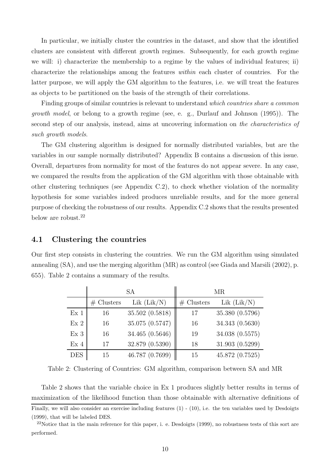In particular, we initially cluster the countries in the dataset, and show that the identified clusters are consistent with different growth regimes. Subsequently, for each growth regime we will: i) characterize the membership to a regime by the values of individual features; ii) characterize the relationships among the features within each cluster of countries. For the latter purpose, we will apply the GM algorithm to the features, i.e. we will treat the features as objects to be partitioned on the basis of the strength of their correlations.

Finding groups of similar countries is relevant to understand which countries share a common growth model, or belong to a growth regime (see, e. g., Durlauf and Johnson (1995)). The second step of our analysis, instead, aims at uncovering information on the characteristics of such growth models.

The GM clustering algorithm is designed for normally distributed variables, but are the variables in our sample normally distributed? Appendix B contains a discussion of this issue. Overall, departures from normality for most of the features do not appear severe. In any case, we compared the results from the application of the GM algorithm with those obtainable with other clustering techniques (see Appendix C.2), to check whether violation of the normality hypothesis for some variables indeed produces unreliable results, and for the more general purpose of checking the robustness of our results. Appendix C.2 shows that the results presented below are robust.<sup>22</sup>

#### 4.1 Clustering the countries

Our first step consists in clustering the countries. We run the GM algorithm using simulated annealing (SA), and use the merging algorithm (MR) as control (see Giada and Marsili (2002), p. 655). Table 2 contains a summary of the results.

|                 |              | <b>SA</b>       |              | MR              |
|-----------------|--------------|-----------------|--------------|-----------------|
|                 | $#$ Clusters | Lik (Lik/N)     | $#$ Clusters | Lik $(Lik/N)$   |
| Ex <sub>1</sub> | 16           | 35.502 (0.5818) | 17           | 35.380 (0.5796) |
| Ex2             | 16           | 35.075 (0.5747) | 16           | 34.343 (0.5630) |
| Ex <sub>3</sub> | 16           | 34.465 (0.5646) | 19           | 34.038 (0.5575) |
| Ex <sub>4</sub> | 17           | 32.879 (0.5390) | 18           | 31.903 (0.5299) |
| <b>DES</b>      | 15           | 46.787 (0.7699) | 15           | 45.872 (0.7525) |

Table 2: Clustering of Countries: GM algorithm, comparison between SA and MR

Table 2 shows that the variable choice in Ex 1 produces slightly better results in terms of maximization of the likelihood function than those obtainable with alternative definitions of Finally, we will also consider an exercise including features  $(1)$  -  $(10)$ , i.e. the ten variables used by Desdoigts (1999), that will be labeled DES.

 $22$ Notice that in the main reference for this paper, i. e. Desdoigts (1999), no robustness tests of this sort are performed.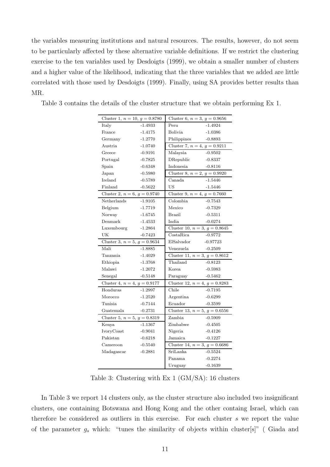the variables measuring institutions and natural resources. The results, however, do not seem to be particularly affected by these alternative variable definitions. If we restrict the clustering exercise to the ten variables used by Desdoigts (1999), we obtain a smaller number of clusters and a higher value of the likelihood, indicating that the three variables that we added are little correlated with those used by Desdoigts (1999). Finally, using SA provides better results than MR.

| Cluster 1, $n = 10$ , $g = 0.8780$ |           | Cluster 6, $n = 3$ , $g = 0.9656$  |           |
|------------------------------------|-----------|------------------------------------|-----------|
| Italy                              | $-1.4933$ | Peru                               | $-1.4924$ |
| France                             | $-1.4175$ | Bolivia                            | $-1.0386$ |
| Germany                            | $-1.2770$ | Philippines                        | $-0.8893$ |
| Austria                            | $-1.0740$ | Cluster 7, $n = 4$ , $g = 0.9211$  |           |
| Greece                             | $-0.9191$ | Malaysia                           | $-0.9502$ |
| Portugal                           | $-0.7825$ | DRepublic                          | $-0.8337$ |
| Spain                              | $-0.6348$ | Indonesia                          | $-0.8116$ |
| Japan                              | $-0.5980$ | Cluster 8, $n = 2$ , $g = 0.9920$  |           |
| Ireland                            | $-0.5789$ | Canada                             | $-1.5446$ |
| Finland                            | $-0.5622$ | US.                                | $-1.5446$ |
| Cluster 2, $n = 6$ , $g = 0.9740$  |           | Cluster 9, $n = 4$ , $g = 0.7660$  |           |
| Netherlands                        | $-1.9105$ | Colombia                           | $-0.7543$ |
| Belgium                            | $-1.7719$ | Mexico                             | $-0.7329$ |
| Norway                             | $-1.6745$ | <b>Brazil</b>                      | $-0.5311$ |
| Denmark                            | $-1.4533$ | India                              | $-0.0274$ |
| Luxembourg -1.2864                 |           | Cluster 10, $n = 3$ , $g = 0.8645$ |           |
| UK                                 | $-0.7423$ | CostaRica                          | $-0.9772$ |
| Cluster 3, $n = 5$ , $g = 0.9634$  |           | ElSalvador -0.97723                |           |
| Mali                               | $-1.8885$ | Venezuela                          | $-0.2509$ |
| Tanzania                           | $-1.4029$ | Cluster 11, $n = 3$ , $g = 0.8612$ |           |
| Ethiopia                           | $-1.3768$ | Thailand                           | $-0.8123$ |
| Malawi                             | $-1.2072$ | Korea                              | $-0.5983$ |
| Senegal                            | $-0.5148$ | Paraguay                           | $-0.5462$ |
| Cluster 4, $n = 4$ , $g = 0.9177$  |           | Cluster 12, $n = 4$ , $g = 0.8283$ |           |
| Honduras                           | $-1.2997$ | Chile                              | $-0.7195$ |
| Morocco                            | $-1.2520$ | Argentina                          | $-0.6299$ |
| Tunisia                            | $-0.7144$ | Ecuador                            | $-0.3599$ |
| Guatemala                          | $-0.2731$ | Cluster 13, $n = 5$ , $g = 0.6556$ |           |
| Cluster 5, $n = 5$ , $g = 0.8319$  |           | Zambia                             | $-0.5909$ |
| Kenya                              | $-1.1367$ | Zimbabwe                           | $-0.4505$ |
| IvoryCoast                         | $-0.9041$ | Nigeria                            | $-0.4126$ |
| Pakistan                           | $-0.6218$ | Jamaica                            | $-0.1227$ |
| Cameroon                           | $-0.5540$ | Cluster 14, $n=3,\,g=0.6686$       |           |
| Madagascar                         | $-0.2881$ | SriLanka                           | $-0.5524$ |
|                                    |           | Panama                             | $-0.2274$ |
|                                    |           | Uruguay                            | $-0.1639$ |

Table 3 contains the details of the cluster structure that we obtain performing Ex 1.

Table 3: Clustering with Ex 1 (GM/SA): 16 clusters

In Table 3 we report 14 clusters only, as the cluster structure also included two insignificant clusters, one containing Botswana and Hong Kong and the other containg Israel, which can therefore be considered as outliers in this exercise. For each cluster s we report the value of the parameter  $g_s$  which: "tunes the similarity of objects within cluster[s]" (Giada and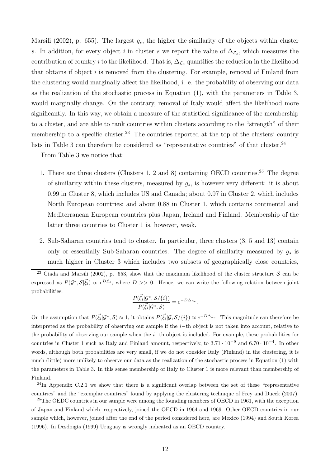Marsili (2002), p. 655). The largest  $g_s$ , the higher the similarity of the objects within cluster s. In addition, for every object i in cluster s we report the value of  $\Delta_{\mathcal{L}_c}$ , which measures the contribution of country i to the likelihood. That is,  $\Delta_{\mathcal{L}_c}$  quantifies the reduction in the likelihood that obtains if object  $i$  is removed from the clustering. For example, removal of Finland from the clustering would marginally affect the likelihood, i. e. the probability of observing our data as the realization of the stochastic process in Equation (1), with the parameters in Table 3, would marginally change. On the contrary, removal of Italy would affect the likelihood more significantly. In this way, we obtain a measure of the statistical significance of the membership to a cluster, and are able to rank countries within clusters according to the "strength" of their membership to a specific cluster.<sup>23</sup> The countries reported at the top of the clusters' country lists in Table 3 can therefore be considered as "representative countries" of that cluster.<sup>24</sup>

From Table 3 we notice that:

- 1. There are three clusters (Clusters 1, 2 and 8) containing OECD countries.<sup>25</sup> The degree of similarity within these clusters, measured by  $g_s$ , is however very different: it is about 0.99 in Cluster 8, which includes US and Canada; about 0.97 in Cluster 2, which includes North European countries; and about 0.88 in Cluster 1, which contains continental and Mediterranean European countries plus Japan, Ireland and Finland. Membership of the latter three countries to Cluster 1 is, however, weak.
- 2. Sub-Saharan countries tend to cluster. In particular, three clusters (3, 5 and 13) contain only or essentially Sub-Saharan countries. The degree of similarity measured by  $g_s$  is much higher in Cluster 3 which includes two subsets of geographically close countries,

$$
\frac{P(\vec{\xi_i}|\mathcal{G}^*, \mathcal{S}/\{i\})}{P(\vec{\xi_i}|\mathcal{G}^*, \mathcal{S})} = e^{-D\Delta_{\mathcal{L}_c}}.
$$

On the assumption that  $P(\vec{\xi}_i|\mathcal{G}^*,\mathcal{S}) \approx 1$ , it obtains  $P(\vec{\xi}_i|\mathcal{G},\mathcal{S}/\{i\}) \approx e^{-D\Delta_{\mathcal{L}_c}}$ . This magnitude can therefore be interpreted as the probability of observing our sample if the i−th object is not taken into account, relative to the probability of observing our sample when the i−th object is included. For example, these probabilities for countries in Cluster 1 such as Italy and Finland amount, respectively, to  $3.71 \cdot 10^{-9}$  and  $6.70 \cdot 10^{-4}$ . In other words, although both probabilities are very small, if we do not consider Italy (Finland) in the clustering, it is much (little) more unlikely to observe our data as the realization of the stochastic process in Equation (1) with the parameters in Table 3. In this sense membership of Italy to Cluster 1 is more relevant than membership of Finland.

 $^{24}$ In Appendix C.2.1 we show that there is a significant overlap between the set of these "representative" countries" and the "exemplar countries" found by applying the clustering technique of Frey and Dueck (2007).

<sup>25</sup>The OEDC countries in our sample were among the founding members of OECD in 1961, with the exception of Japan and Finland which, respectively, joined the OECD in 1964 and 1969. Other OECD countries in our sample which, however, joined after the end of the period considered here, are Mexico (1994) and South Korea (1996). In Desdoigts (1999) Uruguay is wrongly indicated as an OECD country.

<sup>&</sup>lt;sup>23</sup> Giada and Marsili (2002), p. 653, show that the maximum likelihood of the cluster structure S can be expressed as  $P(G^*, S|\vec{\xi}_i) \propto e^{D\mathcal{L}_c}$ , where  $D >> 0$ . Hence, we can write the following relation between joint probabilities: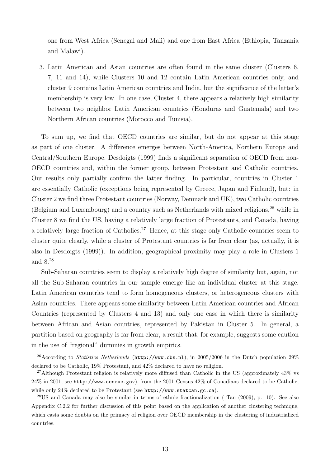one from West Africa (Senegal and Mali) and one from East Africa (Ethiopia, Tanzania and Malawi).

3. Latin American and Asian countries are often found in the same cluster (Clusters 6, 7, 11 and 14), while Clusters 10 and 12 contain Latin American countries only, and cluster 9 contains Latin American countries and India, but the significance of the latter's membership is very low. In one case, Cluster 4, there appears a relatively high similarity between two neighbor Latin American countries (Honduras and Guatemala) and two Northern African countries (Morocco and Tunisia).

To sum up, we find that OECD countries are similar, but do not appear at this stage as part of one cluster. A difference emerges between North-America, Northern Europe and Central/Southern Europe. Desdoigts (1999) finds a significant separation of OECD from non-OECD countries and, within the former group, between Protestant and Catholic countries. Our results only partially confirm the latter finding. In particular, countries in Cluster 1 are essentially Catholic (exceptions being represented by Greece, Japan and Finland), but: in Cluster 2 we find three Protestant countries (Norway, Denmark and UK), two Catholic countries (Belgium and Luxembourg) and a country such as Netherlands with mixed religions,<sup>26</sup> while in Cluster 8 we find the US, having a relatively large fraction of Protestants, and Canada, having a relatively large fraction of Catholics.<sup>27</sup> Hence, at this stage only Catholic countries seem to cluster quite clearly, while a cluster of Protestant countries is far from clear (as, actually, it is also in Desdoigts (1999)). In addition, geographical proximity may play a role in Clusters 1 and 8.<sup>28</sup>

Sub-Saharan countries seem to display a relatively high degree of similarity but, again, not all the Sub-Saharan countries in our sample emerge like an individual cluster at this stage. Latin American countries tend to form homogeneous clusters, or heterogeneous clusters with Asian countries. There appears some similarity between Latin American countries and African Countries (represented by Clusters 4 and 13) and only one case in which there is similarity between African and Asian countries, represented by Pakistan in Cluster 5. In general, a partition based on geography is far from clear, a result that, for example, suggests some caution in the use of "regional" dummies in growth empirics.

<sup>&</sup>lt;sup>26</sup> According to Statistics Netherlands (http://www.cbs.nl), in 2005/2006 in the Dutch population 29% declared to be Catholic, 19% Protestant, and 42% declared to have no religion.

<sup>27</sup>Although Protestant religion is relatively more diffused than Catholic in the US (approximately 43% vs 24% in 2001, see http://www.census.gov), from the 2001 Census 42% of Canadians declared to be Catholic, while only 24% declared to be Protestant (see http://www.statcan.gc.ca).

<sup>28</sup>US and Canada may also be similar in terms of ethnic fractionalization ( Tan (2009), p. 10). See also Appendix C.2.2 for further discussion of this point based on the application of another clustering technique, which casts some doubts on the primacy of religion over OECD membership in the clustering of industrialized countries.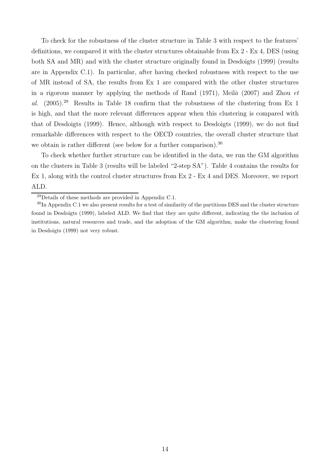To check for the robustness of the cluster structure in Table 3 with respect to the features' definitions, we compared it with the cluster structures obtainable from Ex 2 - Ex 4, DES (using both SA and MR) and with the cluster structure originally found in Desdoigts (1999) (results are in Appendix C.1). In particular, after having checked robustness with respect to the use of MR instead of SA, the results from Ex 1 are compared with the other cluster structures in a rigorous manner by applying the methods of Rand (1971), Meila (2007) and Zhou  $et$ al.  $(2005)^{29}$  Results in Table 18 confirm that the robustness of the clustering from Ex 1 is high, and that the more relevant differences appear when this clustering is compared with that of Desdoigts (1999). Hence, although with respect to Desdoigts (1999), we do not find remarkable differences with respect to the OECD countries, the overall cluster structure that we obtain is rather different (see below for a further comparison).<sup>30</sup>

To check whether further structure can be identified in the data, we run the GM algorithm on the clusters in Table 3 (results will be labeled "2-step SA"). Table 4 contains the results for Ex 1, along with the control cluster structures from Ex 2 - Ex 4 and DES. Moreover, we report ALD.

<sup>29</sup>Details of these methods are provided in Appendix C.1.

<sup>&</sup>lt;sup>30</sup>In Appendix C.1 we also present results for a test of similarity of the partitions DES and the cluster structure found in Desdoigts (1999), labeled ALD. We find that they are quite different, indicating the the inclusion of institutions, natural resources and trade, and the adoption of the GM algorithm, make the clustering found in Desdoigts (1999) not very robust.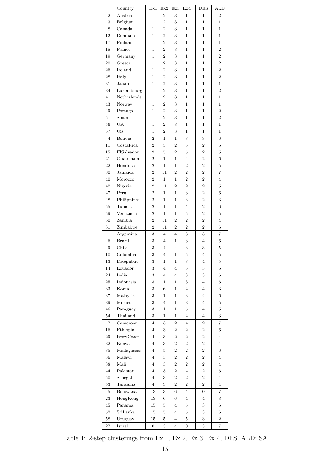|                   | Country               | Ex1            | Ex2            | Ex3              | Ex4            | DES                     | ALD            |
|-------------------|-----------------------|----------------|----------------|------------------|----------------|-------------------------|----------------|
| $\overline{2}$    | Austria               | 1              | $\overline{2}$ | 3                | $\mathbf{1}$   | 1                       | $\overline{2}$ |
| 3                 | Belgium               | $\mathbf 1$    | $\overline{2}$ | 3                | $\mathbf{1}$   | 1                       | 1              |
| 8                 | Canada                | 1              | $\overline{2}$ | 3                | 1              | 1                       | 1              |
| 12                | Denmark               | 1              | $\overline{2}$ | 3                | 1              | 1                       | 1              |
| 17                | Finland               | 1              | 2              | 3                | 1              | 1                       | 1              |
| 18                | France                | $\mathbf{1}$   | $\overline{2}$ | 3                | $\mathbf{1}$   | $\mathbf 1$             | $\overline{2}$ |
| 19                | Germany               | 1              | $\overline{2}$ | 3                | $\mathbf{1}$   | 1                       | $\overline{2}$ |
| 20                | Greece                | 1              | $\overline{2}$ | 3                | 1              | 1                       | $\overline{2}$ |
| 26                | Ireland               | 1              | $\overline{2}$ | 3                | 1              | 1                       | $\overline{2}$ |
| 28                | Italy                 | 1              | $\overline{2}$ | 3                | 1              | 1                       | $\overline{2}$ |
| 31                | Japan                 | $\mathbf{1}$   | $\overline{2}$ | 3                | $\mathbf{1}$   | 1                       | 1              |
| 34                | Luxembourg            | 1              | $\overline{2}$ | 3                | 1              | 1                       | $\overline{2}$ |
| 41                | Netherlands           | 1              | $\overline{2}$ | 3                | 1              | 1                       | 1              |
| 43                | Norway                | 1              | $\overline{2}$ | 3                | 1              | 1                       | 1              |
| 49                | Portugal              | 1              | $\overline{2}$ | 3                | 1              | 1                       | $\overline{2}$ |
| 51                | Spain                 | $\mathbf{1}$   | $\overline{2}$ | 3                | $\mathbf{1}$   | $\mathbf 1$             | $\overline{2}$ |
| 56                | UK                    | 1              | $\overline{2}$ | 3                | 1              | 1                       | 1              |
| 57                | US                    | 1              | $\overline{2}$ | 3                | 1              | 1                       | 1              |
| $\overline{4}$    | Bolivia               | $\overline{2}$ | $\mathbf{1}$   | $\mathbf{1}$     | 3              | 3                       | $\,6$          |
| 11                | CostaRica             | $\overline{2}$ | 5              | $\overline{2}$   | 5              | $\boldsymbol{2}$        | 6              |
| 15                | ElSalvador            | $\overline{2}$ | 5              | $\overline{2}$   | 5              | $\overline{\mathbf{2}}$ | 5              |
|                   |                       |                |                |                  |                |                         |                |
| 21                | Guatemala             | 2              | 1              | 1                | 4              | $\overline{2}$          | 6              |
| 22                | Honduras              | $\overline{2}$ | $\mathbf{1}$   | 1                | $\overline{2}$ | $\overline{2}$          | 5              |
| 30                | Jamaica               | $\overline{2}$ | 11             | $\overline{2}$   | $\overline{2}$ | $\overline{2}$          | 7              |
| 40                | Morocco               | $\overline{2}$ | 1              | 1                | $\overline{2}$ | $\overline{2}$          | 4              |
| 42                | Nigeria               | $\overline{2}$ | 11             | $\overline{2}$   | $\overline{2}$ | $\overline{2}$          | 5              |
| 47                | Peru                  | $\overline{2}$ | 1              | $\mathbf 1$      | 3              | $\overline{2}$          | 6              |
| 48                | Philippines           | $\overline{2}$ | 1              | 1                | 3              | $\overline{2}$          | 3              |
| 55                | Tunisia               | $\overline{2}$ | 1              | 1                | $\overline{4}$ | $\overline{2}$          | 6              |
| 59                | Venezuela             | $\sqrt{2}$     | 1              | 1                | 5              | $\overline{\mathbf{2}}$ | 5              |
| 60                | Zambia                | 2              | $11\,$         | 2                | $\overline{2}$ | $\overline{2}$          | 4              |
| 61                | Zimbabwe              | $\overline{2}$ | 11             | $\overline{2}$   | $\overline{2}$ | $\overline{2}$          | 6              |
| 1                 | Argentina             | $\,3$          | $\overline{4}$ | 4                | 3              | 3                       | 7              |
| $\,$ 6 $\,$       | <b>Brazil</b>         | 3              | $\overline{4}$ | 1                | 3              | $\overline{4}$          | 6              |
| 9                 | Chile                 | 3              | $\overline{4}$ | $\overline{4}$   | 3              | 3                       | $\overline{5}$ |
| 10                | Colombia              | 3              | $\overline{4}$ | $\mathbf{1}$     | 5              | $\overline{4}$          | 5              |
| 13                | DRepublic             | 3              | 1              | 1                | 3              | 4                       | 5              |
| 14                | Ecuador               | 3              | $\overline{4}$ | $\overline{4}$   | 5              | 3                       | 6              |
| 24                | India                 | 3              | 4              | 4                | 3              | 3                       | 6              |
| 25                | Indonesia             | 3              | 1              | $\mathbf 1$      | 3              | 4                       | 6              |
| 33                | Korea                 | 3              | 6              | 1                | 4              | 4                       | 3              |
| 37                | Malaysia              | 3              | 1              | 1                | 3              | $\overline{4}$          | 6              |
| 39                | Mexico                | 3              | 4              | 1                | 3              | 4                       | 5              |
| 46                | Paraguay              | 3              | 1              | 1                | 5              | 4                       | $\bf 5$        |
| 54                | Thailand              | 3              | 1              | 1                | 4              | 4                       | 3              |
| $\scriptstyle{7}$ | Cameroon              | 4              | 3              | $\,2$            | 4              | $\boldsymbol{2}$        | 7              |
| 16                | Ethiopia              | 4              | 3              | $\boldsymbol{2}$ | $\,2$          | $\boldsymbol{2}$        | 6              |
| 29                | IvoryCoast            | 4              | 3              | 2                | $\overline{2}$ | $\boldsymbol{2}$        | 4              |
| 32                | Kenya                 | 4              | 3              | $\,2$            | $\overline{2}$ | $\boldsymbol{2}$        | 4              |
|                   |                       | 4              |                | $\boldsymbol{2}$ | $\,2$          |                         |                |
| 35                | Madagascar            |                | 5              |                  |                | $\boldsymbol{2}$        | 6              |
| 36                | Malawi                | 4              | 3              | $\boldsymbol{2}$ | $\overline{2}$ | $\boldsymbol{2}$        | 4              |
| 38                | $\operatorname{Mali}$ | 4              | 3              | $\boldsymbol{2}$ | $\,2$          | $\boldsymbol{2}$        | 4              |
| 44                | Pakistan              | 4              | 3              | 2                | 4              | 2                       | 6              |
| 50                | Senegal               | $\overline{4}$ | 3              | $\overline{2}$   | $\,2$          | $\boldsymbol{2}$        | $\overline{4}$ |
| 53                | Tanzania              | $\overline{4}$ | 3              | $\overline{2}$   | $\overline{2}$ | $\overline{2}$          | 4              |
| 5                 | Botswana              | 13             | 3              | $\overline{6}$   | $\overline{4}$ | $\boldsymbol{0}$        | $\overline{7}$ |
| 23                | HongKong              | 13             | 6              | 6                | $\overline{4}$ | $\overline{4}$          | 3              |
| 45                | Panama                | 15             | $\overline{5}$ | $\overline{4}$   | $\bf 5$        | 3                       | $\,6$          |
| 52                | SriLanka              | 15             | 5              | 4                | 5              | 3                       | 6              |
| 58                | Uruguay               | 15             | $\overline{5}$ | 4                | $\bf 5$        | 3                       | $\overline{2}$ |
| 27                | Israel                | 0              | 3              | $\overline{4}$   | 0              | 3                       | 7              |

Table 4: 2-step clusterings from Ex 1, Ex 2, Ex 3, Ex 4, DES, ALD; SA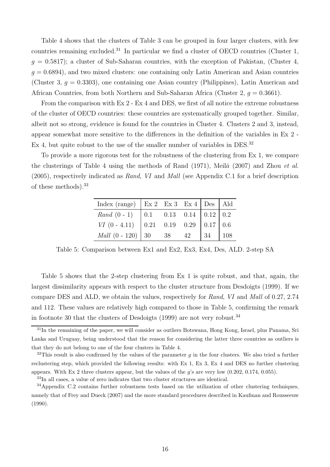Table 4 shows that the clusters of Table 3 can be grouped in four larger clusters, with few countries remaining excluded.<sup>31</sup> In particular we find a cluster of OECD countries (Cluster 1,  $g = 0.5817$ ); a cluster of Sub-Saharan countries, with the exception of Pakistan, (Cluster 4,  $q = 0.6894$ , and two mixed clusters: one containing only Latin American and Asian countries (Cluster 3,  $q = 0.3303$ ), one containing one Asian country (Philippines), Latin American and African Countries, from both Northern and Sub-Saharan Africa (Cluster 2,  $q = 0.3661$ ).

From the comparison with Ex 2 - Ex 4 and DES, we first of all notice the extreme robustness of the cluster of OECD countries: these countries are systematically grouped together. Similar, albeit not so strong, evidence is found for the countries in Cluster 4. Clusters 2 and 3, instead, appear somewhat more sensitive to the differences in the definition of the variables in Ex 2 - Ex 4, but quite robust to the use of the smaller number of variables in DES.<sup>32</sup>

To provide a more rigorous test for the robustness of the clustering from Ex 1, we compare the clusterings of Table 4 using the methods of Rand  $(1971)$ , Meil $\check{a}$   $(2007)$  and Zhou *et al.*  $(2005)$ , respectively indicated as Rand, VI and Mall (see Appendix C.1 for a brief description of these methods).<sup>33</sup>

| Index (range)   Ex 2 Ex 3 Ex 4   Des   Ald |                                                                                                |    |    |     |
|--------------------------------------------|------------------------------------------------------------------------------------------------|----|----|-----|
| $Rand(0-1)$                                | $\begin{array}{ c c c c c c c c } \hline 0.11 & 0.13 & 0.14 & 0.12 & 0.2 \ \hline \end{array}$ |    |    |     |
| $VI$ (0 - 4.11) 0.21 0.19 0.29 0.17 0.6    |                                                                                                |    |    |     |
| <i>Mall</i> $(0 - 120)$ 30 38              |                                                                                                | 42 | 34 | 108 |

Table 5: Comparison between Ex1 and Ex2, Ex3, Ex4, Des, ALD. 2-step SA

Table 5 shows that the 2-step clustering from Ex 1 is quite robust, and that, again, the largest dissimilarity appears with respect to the cluster structure from Desdoigts (1999). If we compare DES and ALD, we obtain the values, respectively for Rand, VI and Mall of 0.27, 2.74 and 112. These values are relatively high compared to those in Table 5, confirming the remark in footnote 30 that the clusters of Desdoigts  $(1999)$  are not very robust.<sup>34</sup>

<sup>&</sup>lt;sup>31</sup>In the remaining of the paper, we will consider as outliers Botswana, Hong Kong, Israel, plus Panama, Sri Lanka and Uruguay, being understood that the reason for considering the latter three countries as outliers is that they do not belong to one of the four clusters in Table 4.

 $32$ This result is also confirmed by the values of the parameter g in the four clusters. We also tried a further reclustering step, which provided the following results: with Ex 1, Ex 3, Ex 4 and DES no further clustering appears. With Ex 2 three clusters appear, but the values of the  $g$ 's are very low  $(0.202, 0.174, 0.055)$ .

<sup>33</sup>In all cases, a value of zero indicates that two cluster structures are identical.

<sup>34</sup>Appendix C.2 contains further robustness tests based on the utilization of other clustering techniques, namely that of Frey and Dueck (2007) and the more standard procedures described in Kaufman and Rousseeuw (1990).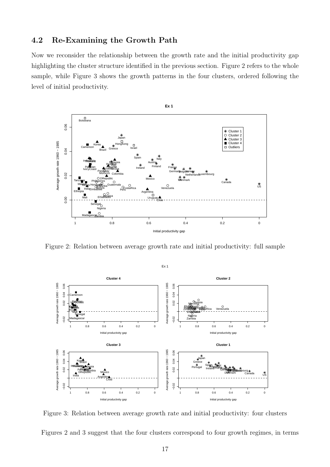### 4.2 Re-Examining the Growth Path

Now we reconsider the relationship between the growth rate and the initial productivity gap highlighting the cluster structure identified in the previous section. Figure 2 refers to the whole sample, while Figure 3 shows the growth patterns in the four clusters, ordered following the level of initial productivity.



Figure 2: Relation between average growth rate and initial productivity: full sample



Figure 3: Relation between average growth rate and initial productivity: four clusters

Figures 2 and 3 suggest that the four clusters correspond to four growth regimes, in terms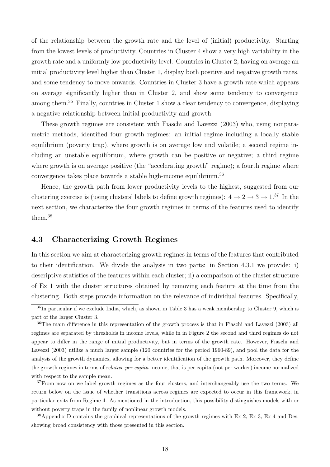of the relationship between the growth rate and the level of (initial) productivity. Starting from the lowest levels of productivity, Countries in Cluster 4 show a very high variability in the growth rate and a uniformly low productivity level. Countries in Cluster 2, having on average an initial productivity level higher than Cluster 1, display both positive and negative growth rates, and some tendency to move onwards. Countries in Cluster 3 have a growth rate which appears on average significantly higher than in Cluster 2, and show some tendency to convergence among them.<sup>35</sup> Finally, countries in Cluster 1 show a clear tendency to convergence, displaying a negative relationship between initial productivity and growth.

These growth regimes are consistent with Fiaschi and Lavezzi (2003) who, using nonparametric methods, identified four growth regimes: an initial regime including a locally stable equilibrium (poverty trap), where growth is on average low and volatile; a second regime including an unstable equilibrium, where growth can be positive or negative; a third regime where growth is on average positive (the "accelerating growth" regime); a fourth regime where convergence takes place towards a stable high-income equilibrium.<sup>36</sup>

Hence, the growth path from lower productivity levels to the highest, suggested from our clustering exercise is (using clusters' labels to define growth regimes):  $4 \rightarrow 2 \rightarrow 3 \rightarrow 1.^{37}$  In the next section, we characterize the four growth regimes in terms of the features used to identify them.<sup>38</sup>

### 4.3 Characterizing Growth Regimes

In this section we aim at characterizing growth regimes in terms of the features that contributed to their identification. We divide the analysis in two parts: in Section 4.3.1 we provide: i) descriptive statistics of the features within each cluster; ii) a comparison of the cluster structure of Ex 1 with the cluster structures obtained by removing each feature at the time from the clustering. Both steps provide information on the relevance of individual features. Specifically,

 $35$ In particular if we exclude India, which, as shown in Table 3 has a weak membership to Cluster 9, which is part of the larger Cluster 3.

<sup>&</sup>lt;sup>36</sup>The main difference in this representation of the growth process is that in Fiaschi and Lavezzi (2003) all regimes are separated by thresholds in income levels, while in in Figure 2 the second and third regimes do not appear to differ in the range of initial productivity, but in terms of the growth rate. However, Fiaschi and Lavezzi (2003) utilize a much larger sample (120 countries for the period 1960-89), and pool the data for the analysis of the growth dynamics, allowing for a better identification of the growth path. Moreover, they define the growth regimes in terms of relative per capita income, that is per capita (not per worker) income normalized with respect to the sample mean.

 $37$  From now on we label growth regimes as the four clusters, and interchangeably use the two terms. We return below on the issue of whether transitions across regimes are expected to occur in this framework, in particular exits from Regime 4. As mentioned in the introduction, this possibility distinguishes models with or without poverty traps in the family of nonlinear growth models.

 $38$ Appendix D contains the graphical representations of the growth regimes with Ex 2, Ex 3, Ex 4 and Des, showing broad consistency with those presented in this section.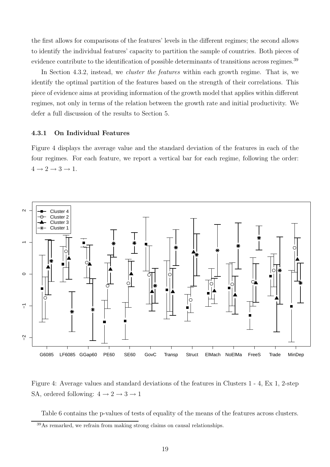the first allows for comparisons of the features' levels in the different regimes; the second allows to identify the individual features' capacity to partition the sample of countries. Both pieces of evidence contribute to the identification of possible determinants of transitions across regimes.<sup>39</sup>

In Section 4.3.2, instead, we *cluster the features* within each growth regime. That is, we identify the optimal partition of the features based on the strength of their correlations. This piece of evidence aims at providing information of the growth model that applies within different regimes, not only in terms of the relation between the growth rate and initial productivity. We defer a full discussion of the results to Section 5.

#### 4.3.1 On Individual Features

Figure 4 displays the average value and the standard deviation of the features in each of the four regimes. For each feature, we report a vertical bar for each regime, following the order:  $4 \rightarrow 2 \rightarrow 3 \rightarrow 1$ .



Figure 4: Average values and standard deviations of the features in Clusters 1 - 4, Ex 1, 2-step SA, ordered following:  $4 \rightarrow 2 \rightarrow 3 \rightarrow 1$ 

Table 6 contains the p-values of tests of equality of the means of the features across clusters.

<sup>39</sup>As remarked, we refrain from making strong claims on causal relationships.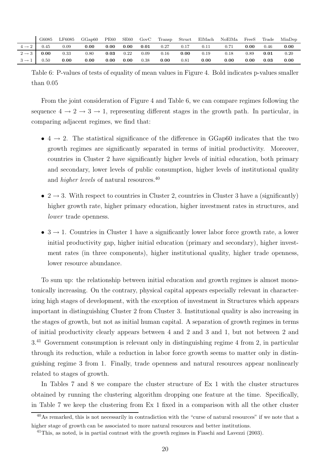|                   | G6085 | LF6085 | GGa <sub>0</sub> 60 | <b>PE60</b> | SE <sub>60</sub> | GovC | Transp | Struct    | ElMach | NoElMa | FreeS    | Trade | MinDep |
|-------------------|-------|--------|---------------------|-------------|------------------|------|--------|-----------|--------|--------|----------|-------|--------|
| $4 \rightarrow 2$ | 0.45  | 0.09   | 0.00                | 0.00        | 0.00             | 0.01 | 0.27   | 0.17      | 0.11   |        | 0.00     | 0.46  | 0.00   |
| $2 \rightarrow 3$ | 0.00  | 0.33   | 0.80                | 0.03        | 0.22             | 0.09 | 0.16   | 0.00      | 0.19   | 0.18   | ${0.89}$ | 0.01  | 0.20   |
| $3 \rightarrow 1$ | 0.50  | 0.00   | 0.00                | 0.00        | 0.00             | 0.38 | 0.00   | $_{0.81}$ | 0.00   | 0.00   | 0.00     | 0.03  | 0.00   |

Table 6: P-values of tests of equality of mean values in Figure 4. Bold indicates p-values smaller than 0.05

From the joint consideration of Figure 4 and Table 6, we can compare regimes following the sequence  $4 \rightarrow 2 \rightarrow 3 \rightarrow 1$ , representing different stages in the growth path. In particular, in comparing adjacent regimes, we find that:

- $4 \rightarrow 2$ . The statistical significance of the difference in GGap60 indicates that the two growth regimes are significantly separated in terms of initial productivity. Moreover, countries in Cluster 2 have significantly higher levels of initial education, both primary and secondary, lower levels of public consumption, higher levels of institutional quality and higher levels of natural resources.<sup>40</sup>
- $2 \rightarrow 3$ . With respect to countries in Cluster 2, countries in Cluster 3 have a (significantly) higher growth rate, higher primary education, higher investment rates in structures, and lower trade openness.
- $3 \rightarrow 1$ . Countries in Cluster 1 have a significantly lower labor force growth rate, a lower initial productivity gap, higher initial education (primary and secondary), higher investment rates (in three components), higher institutional quality, higher trade openness, lower resource abundance.

To sum up: the relationship between initial education and growth regimes is almost monotonically increasing. On the contrary, physical capital appears especially relevant in characterizing high stages of development, with the exception of investment in Structures which appears important in distinguishing Cluster 2 from Cluster 3. Institutional quality is also increasing in the stages of growth, but not as initial human capital. A separation of growth regimes in terms of initial productivity clearly appears between 4 and 2 and 3 and 1, but not between 2 and 3.<sup>41</sup> Government consumption is relevant only in distinguishing regime 4 from 2, in particular through its reduction, while a reduction in labor force growth seems to matter only in distinguishing regime 3 from 1. Finally, trade openness and natural resources appear nonlinearly related to stages of growth.

In Tables 7 and 8 we compare the cluster structure of Ex 1 with the cluster structures obtained by running the clustering algorithm dropping one feature at the time. Specifically, in Table 7 we keep the clustering from Ex 1 fixed in a comparison with all the other cluster

<sup>&</sup>lt;sup>40</sup>As remarked, this is not necessarily in contradiction with the "curse of natural resources" if we note that a higher stage of growth can be associated to more natural resources and better institutions.

<sup>&</sup>lt;sup>41</sup>This, as noted, is in partial contrast with the growth regimes in Fiaschi and Lavezzi (2003).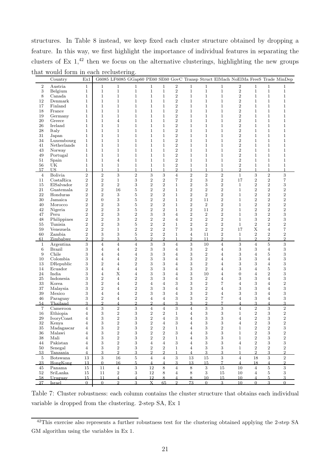structures. In Table 8 instead, we keep fixed each cluster structure obtained by dropping a feature. In this way, we first highlight the importance of individual features in separating the clusters of Ex  $1<sup>42</sup>$  then we focus on the alternative clusterings, highlighting the new groups that would form in each reclustering.

|                | Country                | Ex1                                           |                                  |                                  | G6085 LF6085 GGap60 PE60 SE60 GovC Transp Struct ElMach NoElMa FreeS Trade MinDep |                         |                                     |                                  |                                               |                  |                                  |                         |                                    |                                    |                                  |
|----------------|------------------------|-----------------------------------------------|----------------------------------|----------------------------------|-----------------------------------------------------------------------------------|-------------------------|-------------------------------------|----------------------------------|-----------------------------------------------|------------------|----------------------------------|-------------------------|------------------------------------|------------------------------------|----------------------------------|
| $\overline{2}$ | Austria                | $\mathbf{1}$                                  | $\mathbf{1}$                     | $\mathbf{1}$                     | $\mathbf{1}$                                                                      | $\mathbf{1}$            | $\mathbf{1}$                        | $\overline{2}$                   | $\mathbf 1$                                   | $\mathbf{1}$     | $\mathbf{1}$                     | $\overline{2}$          | $\mathbf{1}$                       | $\mathbf{1}$                       | $\mathbf 1$                      |
| $\,3$          | Belgium                | $\mathbf{1}$                                  | $\mathbf{1}$                     | $\mathbf{1}$                     | $\mathbf 1$                                                                       | $\mathbf{1}$            | $\mathbf 1$                         | $\,2$                            | $\mathbf{1}$                                  | $\mathbf{1}$     | $\mathbf{1}$                     | $\boldsymbol{2}$        | $\mathbf{1}$                       | $\mathbf{1}$                       | $\mathbf{1}$                     |
| 8              | Canada                 | $\mathbf{1}$                                  | $\mathbf{1}$                     | $\mathbf{1}$                     | $\mathbf{1}$                                                                      | $\mathbf{1}$            | $\mathbf{1}$                        | $\boldsymbol{2}$                 | $\mathbf{1}$                                  | $\mathbf{1}$     | $\mathbf{1}$                     | $\boldsymbol{2}$        | $\mathbf{1}$                       | $\mathbf{1}$                       | $\mathbf{1}$                     |
| 12             | Denmark                | $\mathbf{1}$                                  | $\mathbf{1}$                     | $\mathbf{1}$                     | $\mathbf{1}$                                                                      | $\mathbf{1}$            | $\mathbf{1}$                        | $\sqrt{2}$                       | $\mathbf{1}$                                  | $\mathbf{1}$     | $\mathbf{1}$                     | $\overline{\mathbf{2}}$ | $\mathbf{1}$                       | $\mathbf{1}$                       | $\mathbf{1}$                     |
| 17             | Finland                | $\mathbf{1}$                                  | $\mathbf 1$                      | $\mathbf{1}$                     | $\mathbf{1}$                                                                      | $\mathbf{1}$            | $\mathbf{1}$                        | $\overline{2}$                   | $\mathbf{1}$                                  | $\mathbf 1$      | $\mathbf{1}$                     | $\boldsymbol{2}$        | $\mathbf{1}$                       | $\mathbf{1}$                       | $\mathbf{1}$                     |
| 18             | France                 | $\mathbf{1}$                                  | $\mathbf{1}$                     | $\mathbf{1}$                     | $\mathbf{1}$                                                                      | $\mathbf{1}$            | $\mathbf{1}$                        | $\sqrt{2}$                       | $\mathbf{1}$                                  | $\mathbf{1}$     | $\mathbf{1}$                     | $\overline{2}$          | $\mathbf{1}$                       | $\mathbf{1}$                       | $\mathbf{1}$                     |
| 19             | Germany                | $\mathbf{1}$                                  | $\mathbf{1}$                     | $\mathbf{1}$                     | $\mathbf{1}$                                                                      | $\mathbf{1}$            | $\mathbf{1}$                        | $\sqrt{2}$                       | $\mathbf{1}$                                  | $\mathbf{1}$     | $\mathbf{1}$                     | $\boldsymbol{2}$        | $\mathbf{1}$                       | $\mathbf{1}$                       | $\mathbf{1}$                     |
| $20\,$         | Greece                 | $\mathbf{1}$                                  | $\mathbf{1}$                     | $\overline{4}$                   | $\mathbf{1}$                                                                      | $\mathbf 1$             | $\mathbf 1$                         | $\sqrt{2}$                       | $\mathbf{1}$                                  | $\mathbf 1$      | $\mathbf{1}$                     | $\sqrt{2}$              | $\mathbf 1$                        | $\mathbf{1}$                       | $\mathbf{1}$                     |
| 26             | Ireland                | $\mathbf{1}$                                  | $\mathbf{1}$                     | $\mathbf{1}$                     | $\mathbf{1}$                                                                      | $\mathbf{1}$            | $\mathbf 1$                         | $\overline{2}$                   | $\mathbf{1}$                                  | $\mathbf 1$      | $\mathbf 1$                      | $\sqrt{2}$              | $\mathbf 1$                        | $\mathbf{1}$                       | $\mathbf{1}$                     |
| 28             | Italy                  | $\mathbf{1}$                                  | $\mathbf{1}$                     | $\mathbf{1}$                     | $\mathbf{1}$                                                                      | $\mathbf{1}$            | $\mathbf 1$                         | $\sqrt{2}$                       | $\mathbf{1}$                                  | $\mathbf 1$      | $\mathbf{1}$                     | $\sqrt{2}$              | $\mathbf 1$                        | $\mathbf{1}$                       | $\mathbf{1}$                     |
| 31             | Japan                  | $\mathbf{1}$                                  | $\mathbf{1}$                     | $\mathbf 1$                      | $\mathbf{1}$                                                                      | $\mathbf{1}$            | $\mathbf 1$                         | $\overline{2}$                   | $\mathbf 1$                                   | $\mathbf 1$      | $\mathbf 1$                      | $\sqrt{2}$              | $\mathbf 1$                        | $\mathbf{1}$                       | $\mathbf{1}$                     |
| 34             | Luxembourg             | $\mathbf{1}$                                  | $\mathbf{1}$                     | $\mathbf{1}$                     | $\mathbf{1}$                                                                      | $\mathbf{1}$            | $\mathbf 1$                         | $\sqrt{2}$                       | $\mathbf{1}$                                  | $\mathbf 1$      | $\mathbf{1}$                     | $\,2$                   | $\mathbf 1$                        | $\mathbf{1}$                       | $\mathbf{1}$                     |
| 41             | Netherlands            | $\mathbf{1}$                                  | $\mathbf{1}$                     | $\mathbf{1}$                     | $\mathbf{1}$                                                                      | $\mathbf 1$             | $\mathbf 1$                         | $\sqrt{2}$                       | 1                                             | $\mathbf{1}$     | $\mathbf{1}$                     | $\boldsymbol{2}$        | $\mathbf 1$                        | $\mathbf 1$                        | $\mathbf{1}$                     |
| 43             | Norway                 | $\mathbf{1}$                                  | $\mathbf 1$                      | $\mathbf{1}$                     | $\mathbf{1}$                                                                      | $\mathbf{1}$            | $\mathbf{1}$                        | $\boldsymbol{2}$                 | $\mathbf{1}$                                  | $\mathbf 1$      | $\mathbf{1}$                     | $\overline{2}$          | $\mathbf{1}$                       | $\mathbf{1}$                       | $\mathbf{1}$                     |
| 49             | Portugal               | $\mathbf{1}$                                  | $\mathbf 1$                      | $\mathbf{1}$                     | $\mathbf{1}$                                                                      | $\mathbf{1}$            | $\mathbf{1}$                        | $\sqrt{2}$                       | $\mathbf{1}$                                  | $\mathbf{1}$     | $\mathbf{1}$                     | $\boldsymbol{2}$        | $\mathbf 1$                        | $\mathbf{1}$                       | $\mathbf{1}$                     |
| 51             | Spain                  | $\mathbf{1}$                                  | $\mathbf{1}$                     | $\overline{4}$                   | $\mathbf{1}$                                                                      | $\mathbf{1}$            | $\mathbf{1}$                        | $\overline{2}$                   | $\mathbf{1}$                                  | $\mathbf{1}$     | $\mathbf{1}$                     | $\boldsymbol{2}$        | $\mathbf{1}$                       | $\mathbf{1}$                       | $\mathbf{1}$                     |
| 56             | UK                     | $\mathbf{1}$                                  | $\mathbf{1}$                     | $\mathbf{1}$                     | $\mathbf{1}$                                                                      | $\mathbf{1}$            | $\mathbf{1}$                        | $\sqrt{2}$                       | $\mathbf{1}$                                  | $\mathbf{1}$     | $\mathbf{1}$                     | $\boldsymbol{2}$        | $\mathbf{1}$                       | $\mathbf{1}$                       | $\mathbf{1}$                     |
| 57             | US                     | $\mathbf{1}$                                  | $\mathbf{1}$                     | $\mathbf{1}$                     | $\mathbf{1}$                                                                      | $\mathbf{1}$            | 1                                   | $\overline{2}$                   | $\mathbf{1}$                                  | $\mathbf{1}$     | $\mathbf{1}$                     | $\overline{2}$          | $\mathbf{1}$                       | $\mathbf{1}$                       | $\mathbf{1}$                     |
| $\overline{4}$ | <b>Bolivia</b>         | $\overline{2}$                                | $\,2$                            | 3                                | $\,2$                                                                             | $\sqrt{3}$              | 3                                   | $\overline{4}$                   | $\,2$                                         | $\,2$            | $\overline{2}$                   | $\mathbf{1}$            | $\,3$                              | $\,2$                              | $\,3$                            |
| 11             | CostaRica              | $\overline{2}$                                | $\,2$                            | $\mathbf{1}$                     | $\,3$                                                                             | $\,2$                   | $\boldsymbol{2}$                    | 7                                | $\sqrt{2}$                                    | 3                | $\overline{2}$                   | 17                      | $\,2$                              | $\boldsymbol{2}$                   | $\overline{\mathbf{7}}$          |
| 15             | ElSalvador             | $\overline{2}$                                | $\,2$                            | $\sqrt{2}$                       | 3                                                                                 | $\,2$                   | $\boldsymbol{2}$                    | $\mathbf{1}$                     | $\sqrt{2}$                                    | 3                | $\overline{2}$                   | $\mathbf{1}$            | $\,2$                              | $\boldsymbol{2}$                   | $\,3$                            |
| 21             | Guatemala              | $\overline{2}$                                | $\,2$                            | 16                               | $\bf 5$                                                                           | $\overline{\mathbf{2}}$ | $\overline{\mathbf{2}}$             | $\mathbf{1}$                     | $\,2$                                         | $\overline{2}$   | $\overline{2}$                   | $\mathbf{1}$            | $\,2$                              | $\,2$                              | $\,2$                            |
| 22             | Honduras               | $\overline{2}$                                | $\overline{2}$                   | 3                                | $\overline{5}$                                                                    | $\,2$                   | $\,2$                               | 1                                | $\sqrt{2}$                                    | $\boldsymbol{2}$ | $\overline{2}$                   | $\mathbf{1}$            | $\,2$                              | $\,2$                              | $\overline{2}$                   |
| 30             | Jamaica                | $\overline{2}$                                | $\boldsymbol{0}$                 | 3                                | $\overline{5}$                                                                    | $\overline{2}$          | $\overline{2}$                      | $\mathbf 1$                      | $\overline{2}$                                | 11               | $\overline{2}$                   | $\mathbf{1}$            | $\,2$                              | $\,2$                              | $\overline{2}$                   |
| 40             | Morocco                | $\overline{2}$                                | $\,2$                            | 3                                | $\overline{5}$                                                                    | $\overline{\mathbf{2}}$ | $\boldsymbol{2}$                    | 1                                | $\,2$                                         | $\boldsymbol{2}$ | $\overline{2}$                   | $\mathbf{1}$            | $\,2$                              | $\,2$                              | $\overline{2}$                   |
| 42             | Nigeria                | $\overline{2}$                                | $\overline{2}$                   | 3                                | $\overline{5}$                                                                    | $\overline{2}$          | $\overline{2}$                      | 1                                | $\,2$                                         | 11               | $\overline{2}$                   | $\mathbf{1}$            | $\overline{2}$                     | $\overline{2}$                     | $\overline{2}$                   |
| 47             | Peru                   | $\overline{2}$                                | $\,2$                            | 3                                | $\overline{2}$                                                                    | 3                       | 3                                   | $\overline{4}$                   | $\,2$                                         | $\boldsymbol{2}$ | $\overline{2}$                   | $\mathbf{1}$            | 3                                  | $\,2$                              | 3                                |
| 48             | Philippines            | $\overline{2}$                                | $\,2$                            | 3                                | $\overline{2}$                                                                    | $\overline{2}$          | $\overline{2}$                      | $\overline{4}$                   | $\,2$                                         | $\overline{2}$   | $\overline{2}$                   | $\mathbf{1}$            | 3                                  | $\overline{2}$                     | 3                                |
| 55             | Tunisia                | $\overline{2}$                                | $\,2$                            | 3                                | $\overline{5}$                                                                    | $\,2$                   | $\overline{2}$                      | 1                                | $\,2$                                         | $\overline{2}$   | $\overline{2}$                   | $\mathbf 1$             | $\,2$                              | $\boldsymbol{2}$                   | $\,2$                            |
| 59             | Venezuela              | $\overline{2}$                                | $\overline{2}$                   | $\mathbf{1}$                     | $\overline{2}$                                                                    | $\overline{2}$          | $\overline{2}$                      | $\overline{7}$                   | 3                                             | $\overline{2}$   | $\overline{2}$                   | 17                      | X                                  | $\overline{4}$                     | $\overline{7}$                   |
| 60             | Zambia                 | $\overline{2}$<br>$\mathcal{D}_{\mathcal{L}}$ | 3<br>$\mathfrak{D}$              | $\mathbf{3}$<br>3                | $\overline{5}$<br>5                                                               | $\overline{2}$<br>2     | $\overline{2}$<br>$\mathcal{D}_{1}$ | $\mathbf 1$<br>1                 | $\overline{4}$<br>$\mathcal{D}_{\mathcal{L}}$ | 11<br>11         | $\overline{2}$<br>$\overline{2}$ | $\mathbf{1}$<br>1       | $\boldsymbol{2}$<br>$\mathfrak{D}$ | $\boldsymbol{2}$<br>$\overline{2}$ | $\overline{2}$<br>$\overline{2}$ |
| 61             | Zimbabwe               |                                               |                                  |                                  |                                                                                   |                         |                                     |                                  |                                               |                  |                                  |                         |                                    |                                    |                                  |
| $\mathbf{1}$   | Argentina              | 3<br>3                                        | $\overline{4}$                   | $\overline{4}$                   | $\overline{4}$<br>$\overline{2}$                                                  | 3                       | 3                                   | $\overline{4}$                   | $\sqrt{3}$                                    | 10               | $\overline{4}$                   | $\,3$                   | $\overline{4}$                     | $\bf 5$                            | 3                                |
| $\,6$<br>9     | <b>Brazil</b><br>Chile | 3                                             | $\overline{4}$<br>$\overline{4}$ | $\overline{4}$<br>$\overline{4}$ | $\overline{4}$                                                                    | 3<br>3                  | 3<br>3                              | $\overline{4}$<br>$\overline{4}$ | $\,3$<br>$\,3$                                | $\,2$<br>$\,2$   | $\overline{4}$<br>$\overline{4}$ | 3<br>3                  | 3<br>4                             | $\overline{4}$<br>5                | $\,3$<br>$\,3$                   |
| 10             | Colombia               | 3                                             | $\overline{4}$                   | $\overline{4}$                   | $\overline{2}$                                                                    | 3                       | 3                                   | 4                                | 3                                             | $\,2$            | $\overline{4}$                   | 3                       | 3                                  | 4                                  | $\,3$                            |
| 13             | DRepublic              | 3                                             | $\boldsymbol{2}$                 | $\overline{4}$                   | $\overline{2}$                                                                    | 3                       | 3                                   | $\overline{4}$                   | 3                                             | $\boldsymbol{2}$ | $\overline{4}$                   | 3                       | 3                                  | 4                                  | $\,3$                            |
| 14             | Ecuador                | 3                                             | $\overline{4}$                   | $\overline{4}$                   | $\overline{4}$                                                                    | 3                       | 3                                   | $\overline{4}$                   | 3                                             | $\boldsymbol{2}$ | $\overline{4}$                   | 3                       | 4                                  | 5                                  | 3                                |
| 24             | India                  | 3                                             | $\overline{4}$                   | X                                | $\overline{4}$                                                                    | 3                       | 3                                   | $\overline{4}$                   | $\,3$                                         | 10               | $\overline{4}$                   | $\boldsymbol{0}$        | $\overline{4}$                     | $\boldsymbol{2}$                   | $\,3$                            |
| 25             | Indonesia              | 3                                             | $\boldsymbol{2}$                 | $\overline{4}$                   | $\,2$                                                                             | 3                       | 3                                   | 4                                | $\,3$                                         | $\sqrt{2}$       | $\overline{4}$                   | 3                       | 3                                  | 4                                  | 3                                |
| 33             | Korea                  | 3                                             | $\,2$                            | $\overline{4}$                   | $\,2$                                                                             | $\overline{4}$          | $\overline{4}$                      | 3                                | 3                                             | $\boldsymbol{2}$ | $\overline{7}$                   | $\overline{4}$          | $\,3$                              | 4                                  | $\overline{2}$                   |
| 37             | Malaysia               | 3                                             | $\overline{2}$                   | $\overline{4}$                   | $\overline{2}$                                                                    | 3                       | 3                                   | $\overline{4}$                   | 3                                             | $\boldsymbol{2}$ | $\overline{4}$                   | 3                       | 3                                  | 4                                  | 3                                |
| 39             | Mexico                 | 3                                             | $\overline{4}$                   | $\overline{4}$                   | $\,2$                                                                             | 3                       | 3                                   | $\overline{4}$                   | $\,3$                                         | $\boldsymbol{2}$ | $\overline{4}$                   | 3                       | 3                                  | 4                                  | $\,3$                            |
| 46             | Paraguay               | 3                                             | $\boldsymbol{2}$                 | $\overline{4}$                   | $\,2$                                                                             | $\overline{4}$          | 4                                   | 3                                | 3                                             | $\,2$            | $\overline{7}$                   | 4                       | 3                                  | $\overline{4}$                     | 3                                |
| 54             | Thailand               | 3                                             | $\overline{2}$                   | $\overline{4}$                   | $\overline{2}$                                                                    | $\overline{2}$          | $\overline{4}$                      | 3                                | 3                                             | $\overline{2}$   | $\overline{7}$                   | $\overline{4}$          | 3                                  | $\overline{4}$                     | 3                                |
| $\overline{7}$ | Cameroon               | $\overline{4}$                                | $\,3$                            | $\sqrt{2}$                       | $\,3$                                                                             | $\overline{4}$          | $\overline{4}$                      | 3                                | $\overline{4}$                                | 3                | 3                                | $\overline{4}$          | $\,2$                              | 3                                  | $\overline{2}$                   |
| 16             | Ethiopia               | 4                                             | 3                                | $\sqrt{2}$                       | 3                                                                                 | $\boldsymbol{2}$        | $\overline{2}$                      | $\mathbf 1$                      | 4                                             | 3                | 3                                | 1                       | $\,2$                              | 3                                  | $\,2$                            |
| 29             | IvoryCoast             | 4                                             | $\,3$                            | $\overline{2}$                   | 3                                                                                 | $\,2$                   | 4                                   | 3                                | $\overline{4}$                                | 3                | 3                                | 4                       | $\overline{2}$                     | 3                                  | $\overline{2}$                   |
| 32             | Kenya                  | 4                                             | 3                                | $\overline{2}$                   | 3                                                                                 | $\overline{2}$          | $\overline{4}$                      | 3                                | $\overline{4}$                                | 3                | 3                                | $\overline{4}$          | $\overline{2}$                     | 3                                  | $\overline{2}$                   |
| $35\,$         | Madagascar             | $\overline{4}$                                | 3                                | $\,2$                            | 3                                                                                 | $\,2$                   | $\boldsymbol{2}$                    | $\mathbf{1}$                     | $\overline{4}$                                | 3                | $\boldsymbol{2}$                 | $\mathbf{1}$            | $\,2$                              | $\,2$                              | 3                                |
| 36             | Malawi                 | 4                                             | 3                                | $\,2$                            | 3                                                                                 | $\,2$                   | $\overline{2}$                      | 3                                | $\overline{4}$                                | 3                | 3                                | $\mathbf{1}$            | $\,2$                              | 3                                  | $\,2$                            |
| 38             | Mali                   | $\overline{4}$                                | 3                                | $\,2$                            | 3                                                                                 | $\overline{2}$          | $\overline{2}$                      | $\mathbf{1}$                     | $\overline{4}$                                | 3                | 3                                | $\mathbf{1}$            | $\mathbf{2}$                       | 3                                  | $\,2$                            |
| 44             | Pakistan               | $\overline{4}$                                | 3                                | $\,2$                            | 3                                                                                 | $\overline{4}$          | $\overline{4}$                      | 3                                | 4                                             | 3                | 3                                | $\overline{4}$          | $\,2$                              | 3                                  | 3                                |
| 50             | Senegal                | $\overline{4}$                                | 3                                | $\,2$                            | 3                                                                                 | $\overline{2}$          | $\overline{2}$                      | $\mathbf{1}$                     | $\overline{4}$                                | 3                | 3                                | $\mathbf{1}$            | $\overline{2}$                     | $\overline{2}$                     | $\overline{2}$                   |
| - 53           | Tanzania               | $\overline{4}$                                | 3                                | $\overline{2}$                   | 3                                                                                 | $\overline{2}$          | $\overline{2}$                      | $\mathbf{1}$                     | $\overline{4}$                                | 3                | 3                                | $\mathbf{1}$            | $\overline{2}$                     | 3                                  | $\overline{2}$                   |
| $\overline{5}$ | Botswana               | 13                                            | 3                                | 16                               | $\,$ 5 $\,$                                                                       | $\overline{4}$          | $\overline{4}$                      | $\sqrt{3}$                       | 13                                            | 15               | 3                                | $\overline{4}$          | 18                                 | 3                                  | $\sqrt{2}$                       |
| -23            | HongKong               | 13                                            | $\overline{0}$                   | 16                               | $5\overline{)}$                                                                   | $\overline{4}$          | $\overline{4}$                      | 3                                | 13                                            | 15               | $\overline{7}$                   | $\overline{4}$          | 18                                 | $\overline{4}$                     | $\overline{2}$                   |
| 45             | Panama                 | 15                                            | 11                               | $\overline{4}$                   | $\boldsymbol{3}$                                                                  | 12                      | $8\,$                               | $\overline{4}$                   | 8                                             | $\sqrt{3}$       | 15                               | 10                      | $\overline{4}$                     | 5                                  | $\,3$                            |
| 52             | SriLanka               | 15                                            | 11                               | $\,2$                            | 3                                                                                 | 12                      | 8                                   | $\overline{4}$                   | 8                                             | 3                | 15                               | 10                      | $\overline{4}$                     | 5                                  | $\mathbf{3}$                     |
| - 58           | Uruguay                | 15                                            | 11                               | $\overline{4}$                   | $\overline{4}$                                                                    | 12                      | 8                                   | $\overline{4}$                   | 8                                             | 10               | 15                               | 10 <sup>10</sup>        | $\overline{4}$                     | 5                                  | $\overline{3}$                   |
| 27             | Israel                 | $\Omega$                                      | $\Omega$                         | 2                                | $\overline{3}$                                                                    | $\overline{X}$          | 65                                  | $\overline{2}$                   | 73                                            | $\overline{0}$   | 3                                | 10                      | $\Omega$                           | 3                                  | $\Omega$                         |
|                |                        |                                               |                                  |                                  |                                                                                   |                         |                                     |                                  |                                               |                  |                                  |                         |                                    |                                    |                                  |

Table 7: Cluster robustness: each column contains the cluster structure that obtains each individual variable is dropped from the clustering. 2-step SA, Ex 1

<sup>&</sup>lt;sup>42</sup>This exercise also represents a further robustness test for the clustering obtained applying the 2-step SA GM algorithm using the variables in Ex 1.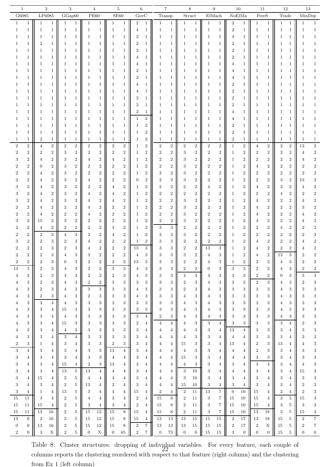| 1                                    | $\overline{2}$   |                  | 3                |                  |                  | 4                |                  | 5                |                  | 6                |                  | 7                |                  | 8                |                  | 9                       |                  | 10               | 11               |                  | 12             |                  | $13\,$           |                  |
|--------------------------------------|------------------|------------------|------------------|------------------|------------------|------------------|------------------|------------------|------------------|------------------|------------------|------------------|------------------|------------------|------------------|-------------------------|------------------|------------------|------------------|------------------|----------------|------------------|------------------|------------------|
| G6085                                | LF6085           |                  | GGap60           |                  |                  | <b>PE60</b>      |                  | $\rm SE60$       | $\mathrm{GovC}$  |                  |                  | Transp           |                  | ${\bf Struct}$   | ElMach           |                         |                  | NoElMa           | FreeS            |                  | Trade          |                  | MinDep           |                  |
| $\mathbf{1}$                         | 1                | $\mathbf{1}$     | $\mathbf{1}$     | 1                | 1                | 1                | 1                | 1                | $\overline{2}$   | $\mathbf 1$      | 1                | $\mathbf{1}$     | 1                | $\mathbf{1}$     | $\mathbf{1}$     | $\mathbf{1}$            | $\boldsymbol{2}$ | 1                | 1                | $\mathbf{1}$     | 1              | $\mathbf{1}$     | 1                | 1                |
| $\mathbf 1$<br>1                     | 1                | $\mathbf{1}$     | 1                | $\mathbf 1$      | 1                | 1                | 1                | 1                | 4                | $\mathbf 1$      | $\mathbf{1}$     | $\mathbf{1}$     | 1                | 1                | 1                | 1                       | $\boldsymbol{2}$ | 1                | 1                | 1                | -1             | 1                | 1                | $\mathbf 1$      |
| 1                                    | 1                | 1                | 1                | 1                | 1                | 1                | 1                | 1                | $\overline{2}$   | 1                | 1                | 1                | 1                | 1                | 1                | 1                       | 4                | 1                | 1                | 1                |                | 1                | 1                | $\mathbf{1}$     |
|                                      |                  |                  |                  |                  |                  |                  |                  |                  |                  |                  |                  |                  |                  |                  |                  |                         |                  |                  |                  |                  |                |                  |                  |                  |
| 1                                    | $\overline{2}$   | 1                | 1                | 1                |                  | 1                | 1                | 1                | $\overline{2}$   | 1                | 1                | 1                | 1                | 1                | 1                | 1                       | 2                | 1                | 1                | 1                |                | 1                |                  | $\mathbf{1}$     |
| 1                                    | 1                | 1                | 1                | 1                | ı                | 1                | 1                | 1                | $\overline{2}$   | 1                | 1                | 1                | 1                | 1                | 1                | 1                       | $\overline{2}$   | 1                | 1                | 1                |                | 1                |                  | 1                |
| 1                                    | 1                | 1                | 1                | 1                | ı                | 1                | 1                | 1                |                  | 1                | 1                | 1                | 1                | 1                | 1                | 1                       | $\overline{2}$   | 1                | 1                | 1                |                | 1                |                  | 1                |
| 1                                    | 1                | 1                | 1                | 1                | 1                | 1                | 1                | 1                |                  | 1                | 1                | 1                | 1                | 1                | 1                | 1                       | 4                | 1                |                  | 1                |                | 1                |                  | 1                |
| 1                                    | 1                | 1                | 1                | 1                | 1                | 1                | 1                | 1                | $\overline{2}$   | 1                | 1                | 1                | 1                | 1                | 1                | 1                       | 4                | 1                | 1                | 1                |                | 1                |                  | 1                |
| 1                                    | 1                | 1                | 1                | 1                | ı                | 1                | 1                | 1                | $\overline{2}$   | 1                | 1                | 1                | 1                | 1                | 1                | 1                       | 4                | 1                | 1                | 1                |                | 1                |                  | 1                |
| 1                                    | 1                | 1                | 1                | 1                | 1                | $\mathbf{1}$     | 1                | 1                | 4                | 1                | 1                | 1                | 1                | 1                | 1                | 1                       | $\overline{2}$   | 1                | 1                | 1                |                | 1                |                  | 1                |
|                                      |                  |                  |                  |                  |                  |                  |                  |                  |                  |                  |                  |                  |                  |                  |                  |                         |                  |                  |                  |                  |                |                  |                  |                  |
| 1                                    | 1                | 1                | 1                | $\mathbf 1$      | 1                | $\mathbf{1}$     | 1                | 1                | 4                | 1                | 1                | 1                | 1                | 1                | 1                | 1                       | $\overline{2}$   | 1                | 1                | 1                |                | 1                |                  | 1                |
| 1                                    | 1                | $\mathbf 1$      | 1                | $\mathbf 1$      | 1                | $\mathbf{1}$     | 1                | 1                | $\overline{2}$   | 1                | $\mathbf{1}$     | 1                | 1                | 1                | 1                | 1                       | $\,2$            | $\mathbf{1}$     | 1                | 1                |                | 1                |                  | 1                |
| 1                                    | 1                | 1                | 1                | 1                | 1                | $\mathbf{1}$     | 1                | 1                | $\overline{2}$   | 1                | 1                | 1                | 1                | 1                | 1                | 1                       | $\,2$            | $\mathbf{1}$     | 1                | 1                |                | 1                | 1                | 1                |
| 1                                    | 1                | 1                | 1                | 1                | 1                | $\mathbf{1}$     | 1                | $\mathbf{1}$     | $\overline{2}$   | $\mathbf 1$      | 1                | 1                | 1                | 1                | 1                | 1                       | 4                | $\mathbf{1}$     | 1                | 1                |                | 1                |                  | 1                |
| 1                                    | 1                | 1                | 1                | 1                | -1               | 1                | 1                | 1                | 1                | $\overline{2}$   | 1                | 1                | 1                | 1                | 1                | 1                       | 4                | 1                | -1               | 1                |                | 1                |                  | 1                |
| 1                                    | 1                | 1                | 1                | 1                | 1                | 1                | 1                | 1                | 1                | $\boldsymbol{2}$ | 1                | 1                | 1                | 1                | 1                | 1                       | $\overline{2}$   | 1                | -1               | 1                |                | 1                |                  | 1                |
| 1                                    | 1                | 1                | 1                | $\mathbf 1$      | 1                | 1                | 1                | 1                |                  | $\boldsymbol{2}$ | 1                | 1                | 1                | 1                | 1                | 1                       | 2                | 1                | 1                | 1                |                | 1                |                  | 1                |
| 1                                    | $\boldsymbol{2}$ | $\mathbf{1}$     | 1                | $\mathbf{1}$     | 1                | $\mathbf{1}$     | 1                | 1                |                  | $\boldsymbol{2}$ | 1                | 1                | 1                | 1                | $\mathbf 1$      | 1                       | $\boldsymbol{2}$ | 1                | 1                | 1                | -1             | 1                | ı                | $\mathbf{1}$     |
| $\,2$<br>$\boldsymbol{2}$            | $\overline{4}$   | $\overline{2}$   | $\overline{2}$   | $\overline{2}$   | $\overline{2}$   | $\overline{2}$   | $\boldsymbol{2}$ | $\boldsymbol{2}$ | 1                | $\overline{2}$   | $\,2$            | $\overline{2}$   | $\overline{2}$   | $\overline{2}$   | $\boldsymbol{2}$ | $\overline{2}$          | $\mathbf 1$      | $\boldsymbol{2}$ | 4                | $\overline{2}$   | $\sqrt{2}$     | $\overline{2}$   | 13               | $\,2$            |
|                                      |                  |                  |                  |                  |                  |                  |                  |                  |                  |                  |                  |                  |                  |                  |                  |                         |                  |                  |                  |                  |                |                  |                  |                  |
| $\boldsymbol{2}$<br>$\overline{2}$   | $\overline{2}$   | $\,2$            | 3                | $\overline{2}$   | $\overline{2}$   | $\,2$            | 2                | $\boldsymbol{2}$ | 1                | $\overline{2}$   | $\boldsymbol{2}$ | $\overline{2}$   | 3                | $\boldsymbol{2}$ | $\boldsymbol{2}$ | $\overline{2}$          | 1                | $\boldsymbol{2}$ | 2                | $\boldsymbol{2}$ | $\overline{2}$ | $\,2$            | 4                | $\,2$            |
| $\boldsymbol{2}$<br>3                | $\overline{4}$   | $\boldsymbol{2}$ | 3                | $\overline{2}$   | 4                | $\,2$            | 4                | $\boldsymbol{2}$ | 1                | $\overline{2}$   | $\boldsymbol{2}$ | $\overline{2}$   | 3                | $\boldsymbol{2}$ | $\boldsymbol{2}$ | $\boldsymbol{2}$        | 1                | $\overline{2}$   | $\boldsymbol{2}$ | $\boldsymbol{2}$ | $\overline{2}$ | $\overline{2}$   | 4                | $\boldsymbol{2}$ |
| $\,2$<br>$\overline{2}$              | $\overline{0}$   | $\boldsymbol{2}$ | 3                | $\boldsymbol{2}$ | $\overline{2}$   | $\,2$            | 2                | $\,2$            | 1                | $\boldsymbol{2}$ | $\,2$            | $\boldsymbol{2}$ | 3                | $\,2$            | $\,2$            | $\,2$                   | 1                | $\,2$            | 4                | $\,2$            | $\overline{2}$ | $\boldsymbol{2}$ | 2                | $\,2$            |
| $\,2$<br>$\overline{2}$              | 4                | $\boldsymbol{2}$ | 3                | $\boldsymbol{2}$ | $\boldsymbol{2}$ | $\,2$            | $\overline{2}$   | $\,2$            |                  | $\overline{2}$   | $\boldsymbol{2}$ | $\overline{2}$   | 3                | $\boldsymbol{2}$ | $\boldsymbol{2}$ | $\boldsymbol{2}$        | 1                | $\overline{2}$   | $\boldsymbol{2}$ | $\boldsymbol{2}$ | $\overline{2}$ | $\boldsymbol{2}$ | $\overline{2}$   | $\,2$            |
| $\,2$<br>2                           | 4                | $\boldsymbol{2}$ | 3                | $\boldsymbol{2}$ | 4                | $\,2$            | 2                | $\overline{2}$   |                  | $\overline{2}$   | $\boldsymbol{2}$ | $\overline{2}$   | 3                | $\boldsymbol{2}$ | $\boldsymbol{2}$ | $\boldsymbol{2}$        | 1                | $\overline{2}$   | $\boldsymbol{2}$ | $\boldsymbol{2}$ | 3              | $\boldsymbol{2}$ | 13               | $\,2$            |
| $\boldsymbol{2}$<br>З                | 4                | $\,2$            | 3                | $\,2$            | $\overline{2}$   | $\,2$            | 4                | $\overline{2}$   |                  | $\overline{2}$   | $\boldsymbol{2}$ | $\overline{2}$   | 2                | $\overline{2}$   | 4                | $\overline{2}$          | 1                | $\overline{2}$   | 4                | $\boldsymbol{2}$ | 2              | $\boldsymbol{2}$ | 4                | $\boldsymbol{2}$ |
| $\overline{2}$                       | 4                | $\boldsymbol{2}$ | 3                | $\boldsymbol{2}$ | $\overline{A}$   | $\boldsymbol{2}$ | 4                | $\overline{2}$   |                  | $\overline{2}$   | $\boldsymbol{2}$ | $\overline{2}$   | 2                | $\overline{2}$   | $\boldsymbol{2}$ | 2                       | 1                | $\overline{2}$   | 2                | $\overline{2}$   |                | $\overline{2}$   | $\overline{2}$   | $\boldsymbol{2}$ |
| $\boldsymbol{2}$<br>З                | 4                | $\boldsymbol{2}$ | 3                | $\boldsymbol{2}$ | 4                | $\boldsymbol{2}$ |                  | $\boldsymbol{2}$ |                  | $\overline{2}$   | $\boldsymbol{2}$ | $\overline{2}$   | 3                | $\boldsymbol{2}$ | $\boldsymbol{2}$ | 2                       |                  | $\overline{2}$   | 4                | $\overline{2}$   | $\overline{2}$ | $\boldsymbol{2}$ | 4                | $\,2$            |
|                                      |                  |                  |                  |                  |                  |                  | 4                |                  |                  |                  |                  |                  |                  |                  |                  |                         | 1                |                  |                  |                  |                |                  |                  |                  |
| $\overline{2}$<br>2                  | 4                | $\boldsymbol{2}$ | $\overline{2}$   | $\boldsymbol{2}$ | 4                | $\boldsymbol{2}$ | 2                | $\boldsymbol{2}$ |                  | $\overline{2}$   | $\boldsymbol{2}$ | $\overline{2}$   | 3                | $\boldsymbol{2}$ | $\boldsymbol{2}$ | 2                       | 1                | $\overline{2}$   | 4                | $\overline{2}$   | $\overline{2}$ | $\boldsymbol{2}$ | 3                | $\,2$            |
| $\boldsymbol{2}$<br>2                | 4                | $\boldsymbol{2}$ | $\overline{2}$   | $\boldsymbol{2}$ | 4                | $\boldsymbol{2}$ | $\overline{2}$   | $\boldsymbol{2}$ | 1                | $\overline{2}$   | $\overline{2}$   | $\overline{2}$   | 3                | $\boldsymbol{2}$ | $\boldsymbol{2}$ | 2                       | 1                | $\overline{2}$   | 4                | $\boldsymbol{2}$ | $\mathfrak{D}$ | $\boldsymbol{2}$ |                  | $\boldsymbol{2}$ |
| $\boldsymbol{2}$<br>3                | 15               | $\boldsymbol{2}$ | 3                | $\boldsymbol{2}$ | $\overline{2}$   | $\boldsymbol{2}$ | $\overline{2}$   | $\boldsymbol{2}$ | 1                | $\overline{2}$   | $\boldsymbol{2}$ | $\overline{2}$   | 3                | $\boldsymbol{2}$ | $\boldsymbol{2}$ | 2                       | 1                | $\overline{2}$   | 4                | $\overline{2}$   | 2              | $\boldsymbol{2}$ |                  | $\boldsymbol{2}$ |
| $\overline{2}$<br>2                  | 4                | $\overline{2}$   | $\overline{2}$   | $\overline{2}$   | $\overline{2}$   | $\boldsymbol{2}$ | 4                | $\boldsymbol{2}$ | 1                | $\overline{2}$   | 3                | 3                | $\boldsymbol{2}$ | $\overline{2}$   | $\boldsymbol{2}$ | 2                       | 1                | $\overline{2}$   | 2                | $\overline{2}$   | 4              | $\boldsymbol{2}$ | 2                | $\boldsymbol{2}$ |
| $\,2$                                | $\sqrt{2}$       | 3                | $\overline{4}$   | 3                | $\boldsymbol{2}$ | $\,2$            | 4                | $\,2$            |                  | $\boldsymbol{2}$ | 3                | 3                | 3                | $\,2$            | $\,2$            | $\boldsymbol{2}$        | 1                | $\overline{2}$   | $\boldsymbol{2}$ | $\overline{2}$   | 2              | $\,2$            | $\overline{2}$   | $\,2$            |
| $\overline{2}$                       | $\overline{2}$   | 3                | 2                | 3                | 4                | $\boldsymbol{2}$ | $\overline{2}$   | $\boldsymbol{2}$ |                  | $\overline{2}$   | 3                | 3                | 2                | $\boldsymbol{2}$ | $\boldsymbol{2}$ | $\overline{2}$          | 1                | $\overline{2}$   | 4                | $\boldsymbol{2}$ |                | $\boldsymbol{2}$ |                  | $\,2$            |
| $\boldsymbol{2}$                     | $\overline{2}$   | 3                | $\overline{2}$   | 3                |                  | $\overline{2}$   | $\overline{2}$   | $\overline{2}$   | 13               | 3                | 3                | 3                | 2                | $\overline{2}$   | 13               | 3                       | 1                | $\overline{2}$   |                  | $\overline{2}$   |                | $\,2$            |                  | $\boldsymbol{2}$ |
|                                      | $\overline{2}$   | 3                |                  | 3                |                  |                  |                  | 2                |                  | 3                |                  | 3                |                  | 2                |                  | 3                       |                  |                  |                  |                  | 13             | $\,3$            |                  |                  |
| 2                                    |                  |                  | 4                |                  | 3                | z                |                  |                  | 4                |                  | $\mathfrak{I}$   |                  | 3                |                  |                  |                         |                  | 2                |                  | 2                |                |                  | 2                |                  |
| $\,2$<br>2                           | $\,2$            | 3                | $\mathbf{0}$     | 3                | $\boldsymbol{2}$ | $\boldsymbol{2}$ | $\boldsymbol{2}$ | $\boldsymbol{2}$ | 13               | 3                | 3                | 3                | $\boldsymbol{2}$ | $\,2$            | 4                | 3                       | 1                | $\boldsymbol{2}$ | $\boldsymbol{2}$ | $\,2$            | 4              | 3                | $\overline{2}$   | $\,2$            |
| $13\,$<br>$\boldsymbol{3}$           | $\,2$            | 3                | 4                | 3                | $\boldsymbol{2}$ | $\boldsymbol{2}$ | $\boldsymbol{3}$ | 3                | 4                | 3                | 3                | 3                | $\boldsymbol{2}$ | $\boldsymbol{2}$ | 0                | $\,3$                   | 3                | $\,3$            | $\boldsymbol{2}$ | $\overline{2}$   | 4              | $\,3$            | $\boldsymbol{2}$ | $\,2$            |
| 3<br>4                               | $\,2$            | 3                | 4                | 3                | $\boldsymbol{2}$ | $\overline{2}$   | 2                | 3                | 4                | 3                | $\sqrt{3}$       | 3                | $\overline{4}$   | 3                | 4                | $\,3$                   | 3                | 3                | $\boldsymbol{2}$ | $\overline{2}$   | 0              | $\boldsymbol{3}$ | 3                | $\,3$            |
| $\,3$<br>4                           | $\boldsymbol{2}$ | 3                | 4                | 3                | $\,2$            | $\boldsymbol{2}$ | 3                | 3                | 3                | 3                | 3                | 3                | 2                | 3                | 4                | 3                       | 3                | 3                | 2                | 3                | 4              | 3                | 2                | $\,3$            |
| $\,3$<br>4                           | $\overline{2}$   | 3                | 4                | 3                | 3                | $\mathbf{3}$     | 3                | 3                | 4                | 3                | 3                | 3                | 2                | 3                | 4                | 3                       | 3                | 3                | 3                | 3                | 4              | 3                | 3                | $\,3$            |
| 3<br>4                               | $\boldsymbol{2}$ | 3                | 4                | 3                | 2                | 3                | 3                | 3                | 4                | 3                | 3                | 3                | 4                | 3                | 4                | 3                       | 3                | 3                | 3                | 3                | 4              | 3                | 3                | $\,3$            |
| 3<br>4                               | $\,3$            | $\overline{4}$   | 4                | 3                | 3                | $\,3$            | 3                | $\,3$            | 3                | 3                | 3                | 3                | 4                | 3                | 4                | $\,3$                   | 3                | $\,3$            | 3                | $\,3$            | 4              | $\,3$            | 3                | $\,3$            |
| 3<br>4                               | 3                | 4                | 15               | 3                | 3                | $\boldsymbol{3}$ | 3                | 3                | 3                | 3                | 3                | 3                | 4                | 3                | 4                | $\,3$                   | 3                | $\,3$            | 3                | 3                | 4              | $\,3$            | 3                | $\,3$            |
| 3                                    | 3                | $\overline{4}$   | 4                | 3                | 3                | $\boldsymbol{3}$ | 3                | 3                | 3                | $\overline{4}$   | $\sqrt{2}$       | 3                | 4                | 3                | 4                | 3                       | 3                | $\,3$            | 3                | 3                |                | $\,3$            | 3                | $\,3$            |
| 4                                    |                  |                  |                  |                  |                  |                  |                  |                  |                  |                  |                  |                  |                  |                  |                  |                         |                  |                  |                  |                  | 4              |                  |                  |                  |
| 3<br>4                               | 3                | 4                | 15               | 3                | 3                | $\boldsymbol{3}$ | 3                | 3                | $\boldsymbol{2}$ | 4                | $\overline{4}$   | $\overline{4}$   | 4                | 3                | 3                | $\overline{4}$          | 3                | 3                | 3                | 3                | 3              | $\overline{4}$   | $\overline{2}$   | $\,3$            |
| 3<br>4                               | 3                | 4                | 4                | 3                | 3                | 3                | 3                | 3                | 3                | 4                | 4                | 4                | 4                | 3                | 3                | 4                       | 13               | $\overline{4}$   | 3                | 3                | 3              | $\overline{4}$   | 3                | $\,3$            |
| 3<br>4                               | 3                | 4                | 3                | $\overline{4}$   | 3                | 3                | 3                | 3                | 3                | 4                | 4                | 4                | 4                | 3                | 3                | 4                       | $\overline{4}$   | 4                | 3                | 3                | 3              | 4                | 3                | $\,3$            |
| $\boldsymbol{2}$<br>3                | 1                | 4                | 3                | $\overline{4}$   | 3                | $\mathbf{3}$     | $\boldsymbol{2}$ | 3                | 3                | 4                | 4                | 4                | 15               | 3                | 3                | 4                       | 13               | 4                | $\boldsymbol{2}$ | 3                | 13             | 4                | 4                | $\,3$            |
| 3<br>$\overline{4}$                  | 3                | 4                | 3                | $\overline{4}$   | 3                | $\mathbf{3}$     | 13               | $\overline{4}$   | 3                | 4                | $\overline{4}$   | 4                | 4                | 3                | 3                | 4                       | 4                | 4                | $\boldsymbol{2}$ | 3                | 3              | 4                | 3                | $\,3$            |
| 3<br>4                               | 3                | 4                | 3                | 4                | 3                | 3                | $\overline{4}$   | $\overline{4}$   | 3                | 4                | 4                | $\overline{4}$   | 15               | 3                | 3                | 4                       | 4                | $\overline{4}$   | 3                | 3                | 3              | 4                | 3                | $\,3$            |
| 3<br>4                               | 3                | $\overline{4}$   | 15               | 4                | $\,2$            | 3                | 13               | $\overline{4}$   | 3                | 4                | $\overline{4}$   | 4                | 4                | 3                | 3                | 4                       | 3                | $\overline{4}$   | 3                | $\overline{4}$   | 3              | $\overline{4}$   | $\overline{4}$   | $\,3$            |
| 3<br>4                               | 3                | $\overline{4}$   | 13               | $5\,$            | 13               | $\overline{4}$   | $\overline{4}$   | $\overline{4}$   | 3                | 4                | $\overline{4}$   | $\overline{4}$   | 3                | 10               | $\,3$            | $\overline{\mathbf{4}}$ | 4                | $\overline{4}$   | 3                | $\overline{4}$   | 3              | $\overline{4}$   | 15               | $\,3$            |
|                                      |                  |                  |                  |                  |                  |                  |                  |                  |                  |                  |                  |                  |                  |                  |                  |                         |                  |                  |                  |                  |                |                  |                  |                  |
| 3<br>4                               | 15               | 4                | $\boldsymbol{2}$ | 5                | $\overline{4}$   | $\overline{4}$   | 4                | $\overline{4}$   | 3                | 4                | 4                | 4                | 3                | 10               | 3                | 4                       | 3                | $\overline{4}$   | 3                | 4                | 3              | $\overline{4}$   | 3                | $\,3$            |
| 3<br>4                               | 3                | 4                | $\sqrt{2}$       | 5                | 13               | 4                | 3                | 4                | 3                | 4                | $\overline{4}$   | 4                | 15               | 10               | $\sqrt{3}$       | $\overline{\mathbf{4}}$ | 3                | $\overline{4}$   | 3                | 4                | 3              | $\overline{4}$   | 2                | $\,3$            |
| 3<br>4                               | 1                | 4                | 13               | 5                | 3                | 4                | 4                | 4                | 15               | 4                | $\boldsymbol{2}$ | $\overline{4}$   | $\boldsymbol{2}$ | 11               | 13               | $\overline{7}$          | $\mathbf{0}$     | 10               | 15               | 4                | 2              | $\overline{4}$   | $\overline{2}$   | $\,3$            |
| 15<br>11                             | 3                | 4                | $\boldsymbol{2}$ | 5                | $\overline{4}$   | $\overline{4}$   | 3                | 4                | $\boldsymbol{2}$ | $\overline{4}$   | $15\,$           | $8\,$            | $\boldsymbol{2}$ | 11               | 3                | 7                       | 15               | 10               | 15               | 4                | 3              | $5\phantom{.0}$  | 15               | $\sqrt{3}$       |
| 15<br>11                             | 15               | $\overline{4}$   | $\sqrt{2}$       | 5                | 3                | $\overline{4}$   | 3                | $\overline{4}$   | $\boldsymbol{2}$ | $\overline{4}$   | 15               | 8                | $\sqrt{2}$       | 11               | $\sqrt{3}$       | $\overline{7}$          | 15               | 10               | 15               | 4                | 3              | 5                | 3                | $\,3$            |
| 15<br>11                             | 13               | 16               | $\boldsymbol{2}$ | 5                | 15               | 12               | 15               | 8                | 15               | $\overline{4}$   | 15               | 8                | $\boldsymbol{2}$ | 11               | $\sqrt{3}$       | 7                       | 15               | 10               | 13               | $18\,$           | 3              | 5                | 15               | $\,3$            |
| 13<br>$\overline{0}$                 | $\overline{2}$   | 16               | $\overline{2}$   | 5                | 15               | 12               | 15               | 8                | 15               | 4                | 13               | 13               | 13               | 15               | 15               | 15                      | $\boldsymbol{2}$ | 17               | 13               | 18               | 15             | 5                | $\boldsymbol{2}$ | $\,7$            |
| $\mathbf{0}$<br>$\boldsymbol{0}$     | 13               | 16               | $\overline{2}$   | 5                | 15               | 12               | 15               | 8                | $\boldsymbol{2}$ | 7                | 13               | 13               | 13               | 15               | 15               | 15                      | 2                | 17               | $\boldsymbol{2}$ | X                | 15             | $\overline{5}$   | 2                | $\,7$            |
| $\boldsymbol{2}$<br>$\boldsymbol{0}$ | 3                | $\mathbf X$      | $\boldsymbol{2}$ | 5                | $\boldsymbol{0}$ | $\mathbf X$      | $\boldsymbol{0}$ | 65               | $\boldsymbol{2}$ | 7                | $\overline{0}$   | $73\,$           | $\overline{0}$   | $\boldsymbol{0}$ | 15               | 15                      | 3                | $\boldsymbol{0}$ | $\overline{0}$   | $\boldsymbol{0}$ | 15             | $\,$ 5 $\,$      | $\boldsymbol{0}$ | $\boldsymbol{0}$ |
|                                      |                  |                  |                  |                  |                  |                  |                  |                  |                  |                  |                  |                  |                  |                  |                  |                         |                  |                  |                  |                  |                |                  |                  |                  |

Table 8: Cluster structures: dropping of individual variables. For every feature, each couple of columns reports the clustering reordered with respect to that feature (right column) and the clustering from Ex 1 (left column) 22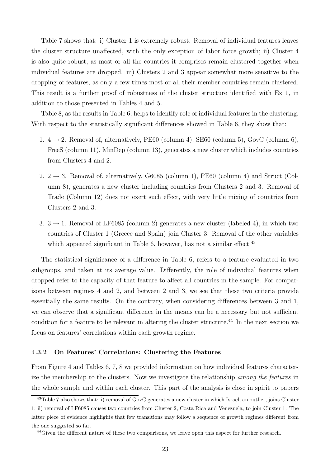Table 7 shows that: i) Cluster 1 is extremely robust. Removal of individual features leaves the cluster structure unaffected, with the only exception of labor force growth; ii) Cluster 4 is also quite robust, as most or all the countries it comprises remain clustered together when individual features are dropped. iii) Clusters 2 and 3 appear somewhat more sensitive to the dropping of features, as only a few times most or all their member countries remain clustered. This result is a further proof of robustness of the cluster structure identified with Ex 1, in addition to those presented in Tables 4 and 5.

Table 8, as the results in Table 6, helps to identify role of individual features in the clustering. With respect to the statistically significant differences showed in Table 6, they show that:

- 1.  $4 \rightarrow 2$ . Removal of, alternatively, PE60 (column 4), SE60 (column 5), GovC (column 6), FreeS (column 11), MinDep (column 13), generates a new cluster which includes countries from Clusters 4 and 2.
- 2.  $2 \rightarrow 3$ . Removal of, alternatively, G6085 (column 1), PE60 (column 4) and Struct (Column 8), generates a new cluster including countries from Clusters 2 and 3. Removal of Trade (Column 12) does not exert such effect, with very little mixing of countries from Clusters 2 and 3.
- 3.  $3 \rightarrow 1$ . Removal of LF6085 (column 2) generates a new cluster (labeled 4), in which two countries of Cluster 1 (Greece and Spain) join Cluster 3. Removal of the other variables which appeared significant in Table 6, however, has not a similar effect.<sup>43</sup>

The statistical significance of a difference in Table 6, refers to a feature evaluated in two subgroups, and taken at its average value. Differently, the role of individual features when dropped refer to the capacity of that feature to affect all countries in the sample. For comparisons between regimes 4 and 2, and between 2 and 3, we see that these two criteria provide essentially the same results. On the contrary, when considering differences between 3 and 1, we can observe that a significant difference in the means can be a necessary but not sufficient condition for a feature to be relevant in altering the cluster structure.<sup>44</sup> In the next section we focus on features' correlations within each growth regime.

#### 4.3.2 On Features' Correlations: Clustering the Features

From Figure 4 and Tables 6, 7, 8 we provided information on how individual features characterize the membership to the clusters. Now we investigate the relationship among the features in the whole sample and within each cluster. This part of the analysis is close in spirit to papers

<sup>43</sup>Table 7 also shows that: i) removal of GovC generates a new cluster in which Israel, an outlier, joins Cluster 1; ii) removal of LF6085 causes two countries from Cluster 2, Costa Rica and Venezuela, to join Cluster 1. The latter piece of evidence highlights that few transitions may follow a sequence of growth regimes different from the one suggested so far.

<sup>&</sup>lt;sup>44</sup>Given the different nature of these two comparisons, we leave open this aspect for further research.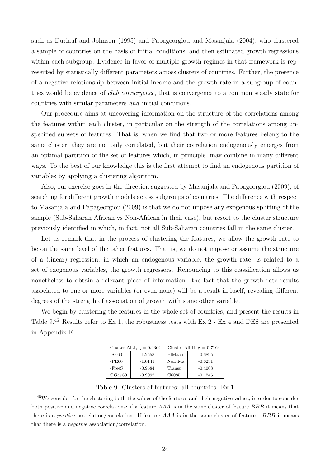such as Durlauf and Johnson (1995) and Papageorgiou and Masanjala (2004), who clustered a sample of countries on the basis of initial conditions, and then estimated growth regressions within each subgroup. Evidence in favor of multiple growth regimes in that framework is represented by statistically different parameters across clusters of countries. Further, the presence of a negative relationship between initial income and the growth rate in a subgroup of countries would be evidence of *club convergence*, that is convergence to a common steady state for countries with similar parameters and initial conditions.

Our procedure aims at uncovering information on the structure of the correlations among the features within each cluster, in particular on the strength of the correlations among unspecified subsets of features. That is, when we find that two or more features belong to the same cluster, they are not only correlated, but their correlation endogenously emerges from an optimal partition of the set of features which, in principle, may combine in many different ways. To the best of our knowledge this is the first attempt to find an endogenous partition of variables by applying a clustering algorithm.

Also, our exercise goes in the direction suggested by Masanjala and Papageorgiou (2009), of searching for different growth models across subgroups of countries. The difference with respect to Masanjala and Papageorgiou (2009) is that we do not impose any exogenous splitting of the sample (Sub-Saharan African vs Non-African in their case), but resort to the cluster structure previously identified in which, in fact, not all Sub-Saharan countries fall in the same cluster.

Let us remark that in the process of clustering the features, we allow the growth rate to be on the same level of the other features. That is, we do not impose or assume the structure of a (linear) regression, in which an endogenous variable, the growth rate, is related to a set of exogenous variables, the growth regressors. Renouncing to this classification allows us nonetheless to obtain a relevant piece of information: the fact that the growth rate results associated to one or more variables (or even none) will be a result in itself, revealing different degrees of the strength of association of growth with some other variable.

We begin by clustering the features in the whole set of countries, and present the results in Table 9.<sup>45</sup> Results refer to Ex 1, the robustness tests with Ex 2 - Ex 4 and DES are presented in Appendix E.

|         | Cluster All.I, $g = 0.9364$ | Cluster All.II, $g = 0.7164$ |           |  |  |  |  |
|---------|-----------------------------|------------------------------|-----------|--|--|--|--|
| -SE60   | $-1.2553$                   | ElMach                       | $-0.6895$ |  |  |  |  |
| $-PE60$ | $-1.0141$                   | NoElMa                       | $-0.6231$ |  |  |  |  |
| -FreeS  | $-0.9584$                   | Transp                       | $-0.4008$ |  |  |  |  |
| GGap60  | $-0.9097$                   | G6085                        | $-0.1246$ |  |  |  |  |

Table 9: Clusters of features: all countries. Ex 1

<sup>&</sup>lt;sup>45</sup>We consider for the clustering both the values of the features and their negative values, in order to consider both positive and negative correlations: if a feature AAA is in the same cluster of feature BBB it means that there is a *positive* association/correlation. If feature  $AAA$  is in the same cluster of feature  $-BBB$  it means that there is a negative association/correlation.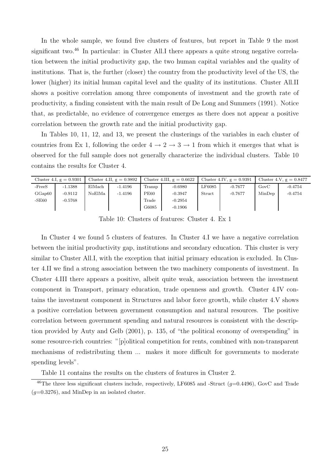In the whole sample, we found five clusters of features, but report in Table 9 the most significant two.<sup>46</sup> In particular: in Cluster All.I there appears a quite strong negative correlation between the initial productivity gap, the two human capital variables and the quality of institutions. That is, the further (closer) the country from the productivity level of the US, the lower (higher) its initial human capital level and the quality of its institutions. Cluster All.II shows a positive correlation among three components of investment and the growth rate of productivity, a finding consistent with the main result of De Long and Summers (1991). Notice that, as predictable, no evidence of convergence emerges as there does not appear a positive correlation between the growth rate and the initial productivity gap.

In Tables 10, 11, 12, and 13, we present the clusterings of the variables in each cluster of countries from Ex 1, following the order  $4 \rightarrow 2 \rightarrow 3 \rightarrow 1$  from which it emerges that what is observed for the full sample does not generally characterize the individual clusters. Table 10 contains the results for Cluster 4.

|          | Cluster 4.I, $g = 0.9301$ |        | Cluster 4.II, $g = 0.9892$ |                | Cluster 4.III, $g = 0.6622$ |        | Cluster 4.IV, $g = 0.9391$ |        | Cluster 4.V, $g = 0.8477$ |
|----------|---------------------------|--------|----------------------------|----------------|-----------------------------|--------|----------------------------|--------|---------------------------|
| $-FreeS$ | $-1.1388$                 | ElMach | $-1.4196$                  | $\Gamma$ ransp | $-0.6980$                   | LF6085 | $-0.7677$                  | GovC   | $-0.4754$                 |
| GGap60   | $-0.9112$                 | NoElMa | $-1.4196$                  | PE60           | $-0.3947$                   | Struct | $-0.7677$                  | MinDep | $-0.4754$                 |
| $-SE60$  | $-0.5768$                 |        |                            | $\rm Trade$    | $-0.2954$                   |        |                            |        |                           |
|          |                           |        |                            | G6085          | $-0.1906$                   |        |                            |        |                           |

Table 10: Clusters of features: Cluster 4. Ex 1

In Cluster 4 we found 5 clusters of features. In Cluster 4.I we have a negative correlation between the initial productivity gap, institutions and secondary education. This cluster is very similar to Cluster All.I, with the exception that initial primary education is excluded. In Cluster 4.II we find a strong association between the two machinery components of investment. In Cluster 4.III there appears a positive, albeit quite weak, association between the investment component in Transport, primary education, trade openness and growth. Cluster 4.IV contains the investment component in Structures and labor force growth, while cluster 4.V shows a positive correlation between government consumption and natural resources. The positive correlation between government spending and natural resources is consistent with the description provided by Auty and Gelb (2001), p. 135, of "the political economy of overspending" in some resource-rich countries: "[p]olitical competition for rents, combined with non-transparent mechanisms of redistributing them ... makes it more difficult for governments to moderate spending levels".

Table 11 contains the results on the clusters of features in Cluster 2.

<sup>&</sup>lt;sup>46</sup>The three less significant clusters include, respectively, LF6085 and -Struct ( $g=0.4496$ ), GovC and Trade  $(q=0.3276)$ , and MinDep in an isolated cluster.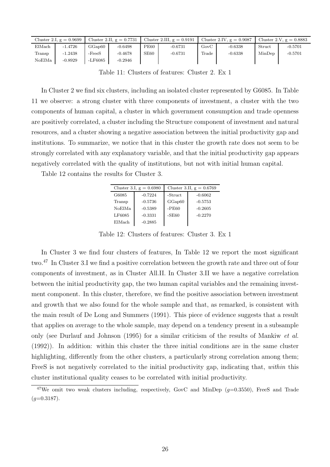|        | Cluster 2.I, $g = 0.9699$ |                     | Cluster 2.II, $g = 0.7731$ |      | Cluster 2.III, $g = 0.9191$ |       | Cluster 2.IV, $g = 0.9087$ |        | Cluster 2.V, $g = 0.8883$ |
|--------|---------------------------|---------------------|----------------------------|------|-----------------------------|-------|----------------------------|--------|---------------------------|
| ElMach | $-1.4726$                 | GGa <sub>0</sub> 60 | $-0.6498$                  | PE60 | $-0.6731$                   | GovC  | $-0.6338$                  | Struct | $-0.5701$                 |
| Transp | $-1.2438$                 | $-FreeS$            | $-0.4678$                  | SE60 | $-0.6731$                   | Trade | $-0.6338$                  | MinDep | $-0.5701$                 |
| NoElMa | $-0.8929$                 | -LF6085             | $-0.2946$                  |      |                             |       |                            |        |                           |

Table 11: Clusters of features: Cluster 2. Ex 1

In Cluster 2 we find six clusters, including an isolated cluster represented by G6085. In Table 11 we observe: a strong cluster with three components of investment, a cluster with the two components of human capital, a cluster in which government consumption and trade openness are positively correlated, a cluster including the Structure component of investment and natural resources, and a cluster showing a negative association between the initial productivity gap and institutions. To summarize, we notice that in this cluster the growth rate does not seem to be strongly correlated with any explanatory variable, and that the initial productivity gap appears negatively correlated with the quality of institutions, but not with initial human capital.

Table 12 contains the results for Cluster 3.

|        | Cluster 3.I, $g = 0.6980$ | Cluster 3.II, $g = 0.6769$ |           |  |  |  |  |
|--------|---------------------------|----------------------------|-----------|--|--|--|--|
| G6085  | $-0.7224$                 | -Struct                    | $-0.6062$ |  |  |  |  |
| Transp | $-0.5736$                 | GGap60                     | $-0.5753$ |  |  |  |  |
| NoElMa | $-0.5389$                 | $-PE60$                    | $-0.2605$ |  |  |  |  |
| LF6085 | $-0.3331$                 | $-SE60$                    | $-0.2270$ |  |  |  |  |
| ElMach | $-0.2885$                 |                            |           |  |  |  |  |

Table 12: Clusters of features: Cluster 3. Ex 1

In Cluster 3 we find four clusters of features, In Table 12 we report the most significant two.<sup>47</sup> In Cluster 3.I we find a positive correlation between the growth rate and three out of four components of investment, as in Cluster All.II. In Cluster 3.II we have a negative correlation between the initial productivity gap, the two human capital variables and the remaining investment component. In this cluster, therefore, we find the positive association between investment and growth that we also found for the whole sample and that, as remarked, is consistent with the main result of De Long and Summers (1991). This piece of evidence suggests that a result that applies on average to the whole sample, may depend on a tendency present in a subsample only (see Durlauf and Johnson (1995) for a similar criticism of the results of Mankiw et al. (1992)). In addition: within this cluster the three initial conditions are in the same cluster highlighting, differently from the other clusters, a particularly strong correlation among them; FreeS is not negatively correlated to the initial productivity gap, indicating that, within this cluster institutional quality ceases to be correlated with initial productivity.

<sup>&</sup>lt;sup>47</sup>We omit two weak clusters including, respectively, GovC and MinDep  $(g=0.3550)$ , FreeS and Trade  $(q=0.3187)$ .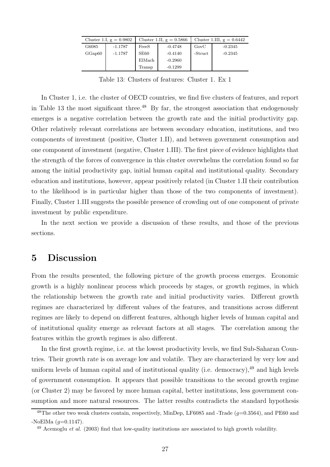|        | Cluster 1.I, $g = 0.9802$ |                  | Cluster 1.II, $g = 0.5866$ | Cluster 1.III, $g = 0.6442$ |           |  |  |
|--------|---------------------------|------------------|----------------------------|-----------------------------|-----------|--|--|
| G6085  | $-1.1787$                 | FreeS            | $-0.4748$                  | GovC                        | $-0.2345$ |  |  |
| GGap60 | $-1.1787$                 | SE <sub>60</sub> | $-0.4140$                  | -Struct                     | $-0.2345$ |  |  |
|        |                           | ElMach           | $-0.2960$                  |                             |           |  |  |
|        |                           | Transp           | $-0.1299$                  |                             |           |  |  |

Table 13: Clusters of features: Cluster 1. Ex 1

In Cluster 1, i.e. the cluster of OECD countries, we find five clusters of features, and report in Table 13 the most significant three.<sup>48</sup> By far, the strongest association that endogenously emerges is a negative correlation between the growth rate and the initial productivity gap. Other relatively relevant correlations are between secondary education, institutions, and two components of investment (positive, Cluster 1.II), and between government consumption and one component of investment (negative, Cluster 1.III). The first piece of evidence highlights that the strength of the forces of convergence in this cluster overwhelms the correlation found so far among the initial productivity gap, initial human capital and institutional quality. Secondary education and institutions, however, appear positively related (in Cluster 1.II their contribution to the likelihood is in particular higher than those of the two components of investment). Finally, Cluster 1.III suggests the possible presence of crowding out of one component of private investment by public expenditure.

In the next section we provide a discussion of these results, and those of the previous sections.

## 5 Discussion

From the results presented, the following picture of the growth process emerges. Economic growth is a highly nonlinear process which proceeds by stages, or growth regimes, in which the relationship between the growth rate and initial productivity varies. Different growth regimes are characterized by different values of the features, and transitions across different regimes are likely to depend on different features, although higher levels of human capital and of institutional quality emerge as relevant factors at all stages. The correlation among the features within the growth regimes is also different.

In the first growth regime, i.e. at the lowest productivity levels, we find Sub-Saharan Countries. Their growth rate is on average low and volatile. They are characterized by very low and uniform levels of human capital and of institutional quality (i.e. democracy),  $49$  and high levels of government consumption. It appears that possible transitions to the second growth regime (or Cluster 2) may be favored by more human capital, better institutions, less government consumption and more natural resources. The latter results contradicts the standard hypothesis

<sup>&</sup>lt;sup>48</sup>The other two weak clusters contain, respectively, MinDep, LF6085 and -Trade ( $g=0.3564$ ), and PE60 and  $-NoElMa$  (q=0.1147).

 $^{49}$  Acemoglu *et al.* (2003) find that low-quality institutions are associated to high growth volatility.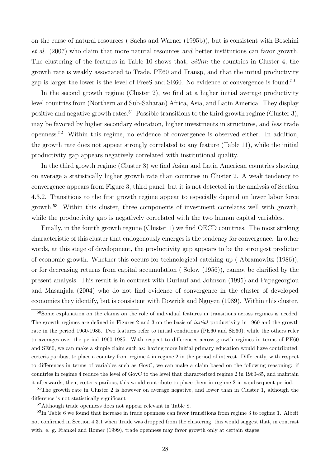on the curse of natural resources ( Sachs and Warner (1995b)), but is consistent with Boschini et al. (2007) who claim that more natural resources and better institutions can favor growth. The clustering of the features in Table 10 shows that, within the countries in Cluster 4, the growth rate is weakly associated to Trade, PE60 and Transp, and that the initial productivity gap is larger the lower is the level of FreeS and SE60. No evidence of convergence is found.<sup>50</sup>

In the second growth regime (Cluster 2), we find at a higher initial average productivity level countries from (Northern and Sub-Saharan) Africa, Asia, and Latin America. They display positive and negative growth rates.<sup>51</sup> Possible transitions to the third growth regime (Cluster 3), may be favored by higher secondary education, higher investments in structures, and less trade openness.<sup>52</sup> Within this regime, no evidence of convergence is observed either. In addition, the growth rate does not appear strongly correlated to any feature (Table 11), while the initial productivity gap appears negatively correlated with institutional quality.

In the third growth regime (Cluster 3) we find Asian and Latin American countries showing on average a statistically higher growth rate than countries in Cluster 2. A weak tendency to convergence appears from Figure 3, third panel, but it is not detected in the analysis of Section 4.3.2. Transitions to the first growth regime appear to especially depend on lower labor force growth.<sup>53</sup> Within this cluster, three components of investment correlates well with growth, while the productivity gap is negatively correlated with the two human capital variables.

Finally, in the fourth growth regime (Cluster 1) we find OECD countries. The most striking characteristic of this cluster that endogenously emerges is the tendency for convergence. In other words, at this stage of development, the productivity gap appears to be the strongest predictor of economic growth. Whether this occurs for technological catching up ( Abramowitz (1986)), or for decreasing returns from capital accumulation ( Solow (1956)), cannot be clarified by the present analysis. This result is in contrast with Durlauf and Johnson (1995) and Papageorgiou and Masanjala (2004) who do not find evidence of convergence in the cluster of developed economies they identify, but is consistent with Dowrick and Nguyen (1989). Within this cluster,

 $51$ The growth rate in Cluster 2 is however on average negative, and lower than in Cluster 1, although the difference is not statistically significant

<sup>52</sup>Although trade openness does not appear relevant in Table 8.

<sup>53</sup>In Table 6 we found that increase in trade openness can favor transitions from regime 3 to regime 1. Albeit not confirmed in Section 4.3.1 when Trade was dropped from the clustering, this would suggest that, in contrast with, e. g. Frankel and Romer (1999), trade openness may favor growth only at certain stages.

<sup>&</sup>lt;sup>50</sup>Some explanation on the claims on the role of individual features in transitions across regimes is needed. The growth regimes are defined in Figures 2 and 3 on the basis of initial productivity in 1960 and the growth rate in the period 1960-1985. Two features refer to initial conditions (PE60 and SE60), while the others refer to averages over the period 1960-1985. With respect to differences across growth regimes in terms of PE60 and SE60, we can make a simple claim such as: having more initial primary education would have contributed, cœteris paribus, to place a country from regime 4 in regime 2 in the period of interest. Differently, with respect to differences in terms of variables such as GovC, we can make a claim based on the following reasoning: if countries in regime 4 reduce the level of GovC to the level that characterized regime 2 in 1960-85, and maintain it afterwards, then, cœteris paribus, this would contribute to place them in regime 2 in a subsequent period.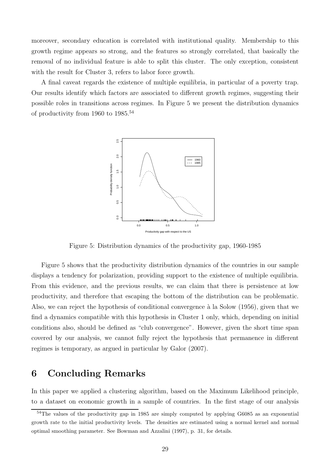moreover, secondary education is correlated with institutional quality. Membership to this growth regime appears so strong, and the features so strongly correlated, that basically the removal of no individual feature is able to split this cluster. The only exception, consistent with the result for Cluster 3, refers to labor force growth.

A final caveat regards the existence of multiple equilibria, in particular of a poverty trap. Our results identify which factors are associated to different growth regimes, suggesting their possible roles in transitions across regimes. In Figure 5 we present the distribution dynamics of productivity from 1960 to  $1985^{54}$ 



Figure 5: Distribution dynamics of the productivity gap, 1960-1985

Figure 5 shows that the productivity distribution dynamics of the countries in our sample displays a tendency for polarization, providing support to the existence of multiple equilibria. From this evidence, and the previous results, we can claim that there is persistence at low productivity, and therefore that escaping the bottom of the distribution can be problematic. Also, we can reject the hypothesis of conditional convergence à la Solow (1956), given that we find a dynamics compatible with this hypothesis in Cluster 1 only, which, depending on initial conditions also, should be defined as "club convergence". However, given the short time span covered by our analysis, we cannot fully reject the hypothesis that permanence in different regimes is temporary, as argued in particular by Galor (2007).

## 6 Concluding Remarks

In this paper we applied a clustering algorithm, based on the Maximum Likelihood principle, to a dataset on economic growth in a sample of countries. In the first stage of our analysis

<sup>&</sup>lt;sup>54</sup>The values of the productivity gap in 1985 are simply computed by applying G6085 as an exponential growth rate to the initial productivity levels. The densities are estimated using a normal kernel and normal optimal smoothing parameter. See Bowman and Azzalini (1997), p. 31, for details.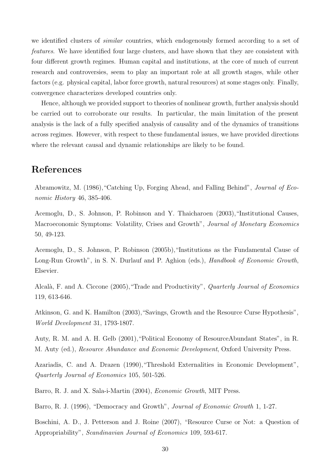we identified clusters of similar countries, which endogenously formed according to a set of features. We have identified four large clusters, and have shown that they are consistent with four different growth regimes. Human capital and institutions, at the core of much of current research and controversies, seem to play an important role at all growth stages, while other factors (e.g. physical capital, labor force growth, natural resources) at some stages only. Finally, convergence characterizes developed countries only.

Hence, although we provided support to theories of nonlinear growth, further analysis should be carried out to corroborate our results. In particular, the main limitation of the present analysis is the lack of a fully specified analysis of causality and of the dynamics of transitions across regimes. However, with respect to these fundamental issues, we have provided directions where the relevant causal and dynamic relationships are likely to be found.

# References

Abramowitz, M. (1986),"Catching Up, Forging Ahead, and Falling Behind", Journal of Economic History 46, 385-406.

Acemoglu, D., S. Johnson, P. Robinson and Y. Thaicharoen (2003),"Institutional Causes, Macroeconomic Symptoms: Volatility, Crises and Growth", Journal of Monetary Economics 50, 49-123.

Acemoglu, D., S. Johnson, P. Robinson (2005b),"Institutions as the Fundamental Cause of Long-Run Growth", in S. N. Durlauf and P. Aghion (eds.), *Handbook of Economic Growth*, Elsevier.

Alcalà, F. and A. Ciccone (2005), "Trade and Productivity", *Quarterly Journal of Economics* 119, 613-646.

Atkinson, G. and K. Hamilton (2003),"Savings, Growth and the Resource Curse Hypothesis", World Development 31, 1793-1807.

Auty, R. M. and A. H. Gelb (2001),"Political Economy of ResourceAbundant States", in R. M. Auty (ed.), Resource Abundance and Economic Development, Oxford University Press.

Azariadis, C. and A. Drazen (1990),"Threshold Externalities in Economic Development", Quarterly Journal of Economics 105, 501-526.

Barro, R. J. and X. Sala-i-Martin (2004), Economic Growth, MIT Press.

Barro, R. J. (1996), "Democracy and Growth", *Journal of Economic Growth* 1, 1-27.

Boschini, A. D., J. Petterson and J. Roine (2007), "Resource Curse or Not: a Question of Appropriability", Scandinavian Journal of Economics 109, 593-617.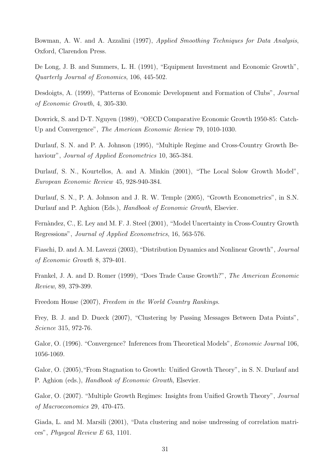Bowman, A. W. and A. Azzalini (1997), Applied Smoothing Techniques for Data Analysis, Oxford, Clarendon Press.

De Long, J. B. and Summers, L. H. (1991), "Equipment Investment and Economic Growth", Quarterly Journal of Economics, 106, 445-502.

Desdoigts, A. (1999), "Patterns of Economic Development and Formation of Clubs", Journal of Economic Growth, 4, 305-330.

Dowrick, S. and D-T. Nguyen (1989), "OECD Comparative Economic Growth 1950-85: Catch-Up and Convergence", The American Economic Review 79, 1010-1030.

Durlauf, S. N. and P. A. Johnson (1995), "Multiple Regime and Cross-Country Growth Behaviour", *Journal of Applied Econometrics* 10, 365-384.

Durlauf, S. N., Kourtellos, A. and A. Minkin (2001), "The Local Solow Growth Model", European Economic Review 45, 928-940-384.

Durlauf, S. N., P. A. Johnson and J. R. W. Temple (2005), "Growth Econometrics", in S.N. Durlauf and P. Aghion (Eds.), Handbook of Economic Growth, Elsevier.

Fernàndez, C., E. Ley and M. F. J. Steel (2001), "Model Uncertainty in Cross-Country Growth Regressions", Journal of Applied Econometrics, 16, 563-576.

Fiaschi, D. and A. M. Lavezzi (2003), "Distribution Dynamics and Nonlinear Growth", Journal of Economic Growth 8, 379-401.

Frankel, J. A. and D. Romer (1999), "Does Trade Cause Growth?", The American Economic Review, 89, 379-399.

Freedom House (2007), Freedom in the World Country Rankings.

Frey, B. J. and D. Dueck (2007), "Clustering by Passing Messages Between Data Points", Science 315, 972-76.

Galor, O. (1996). "Convergence? Inferences from Theoretical Models", *Economic Journal* 106, 1056-1069.

Galor, O. (2005),"From Stagnation to Growth: Unified Growth Theory", in S. N. Durlauf and P. Aghion (eds.), Handbook of Economic Growth, Elsevier.

Galor, O. (2007). "Multiple Growth Regimes: Insights from Unified Growth Theory", *Journal* of Macroeconomics 29, 470-475.

Giada, L. and M. Marsili (2001), "Data clustering and noise undressing of correlation matrices", Physycal Review E 63, 1101.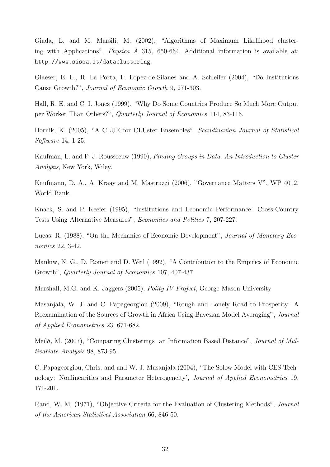Giada, L. and M. Marsili, M. (2002), "Algorithms of Maximum Likelihood clustering with Applications", Physica A 315, 650-664. Additional information is available at: http://www.sissa.it/dataclustering.

Glaeser, E. L., R. La Porta, F. Lopez-de-Silanes and A. Schleifer (2004), "Do Institutions Cause Growth?", Journal of Economic Growth 9, 271-303.

Hall, R. E. and C. I. Jones (1999), "Why Do Some Countries Produce So Much More Output per Worker Than Others?", Quarterly Journal of Economics 114, 83-116.

Hornik, K. (2005), "A CLUE for CLUster Ensembles", Scandinavian Journal of Statistical Software 14, 1-25.

Kaufman, L. and P. J. Rousseeuw (1990), Finding Groups in Data. An Introduction to Cluster Analysis, New York, Wiley.

Kaufmann, D. A., A. Kraay and M. Mastruzzi (2006), "Governance Matters V", WP 4012, World Bank.

Knack, S. and P. Keefer (1995), "Institutions and Economic Performance: Cross-Country Tests Using Alternative Measures", Economics and Politics 7, 207-227.

Lucas, R. (1988), "On the Mechanics of Economic Development", Journal of Monetary Economics 22, 3-42.

Mankiw, N. G., D. Romer and D. Weil (1992), "A Contribution to the Empirics of Economic Growth", Quarterly Journal of Economics 107, 407-437.

Marshall, M.G. and K. Jaggers (2005), Polity IV Project, George Mason University

Masanjala, W. J. and C. Papageorgiou (2009), "Rough and Lonely Road to Prosperity: A Reexamination of the Sources of Growth in Africa Using Bayesian Model Averaging", Journal of Applied Econometrics 23, 671-682.

Meilă, M. (2007), "Comparing Clusterings an Information Based Distance", *Journal of Mul*tivariate Analysis 98, 873-95.

C. Papageorgiou, Chris, and and W. J. Masanjala (2004), "The Solow Model with CES Technology: Nonlinearities and Parameter Heterogeneity', Journal of Applied Econometrics 19, 171-201.

Rand, W. M. (1971), "Objective Criteria for the Evaluation of Clustering Methods", Journal of the American Statistical Association 66, 846-50.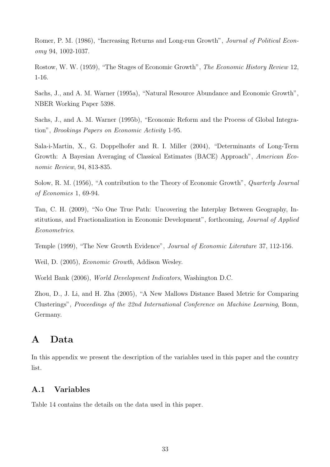Romer, P. M. (1986), "Increasing Returns and Long-run Growth", Journal of Political Economy 94, 1002-1037.

Rostow, W. W. (1959), "The Stages of Economic Growth", The Economic History Review 12, 1-16.

Sachs, J., and A. M. Warner (1995a), "Natural Resource Abundance and Economic Growth", NBER Working Paper 5398.

Sachs, J., and A. M. Warner (1995b), "Economic Reform and the Process of Global Integration", Brookings Papers on Economic Activity 1-95.

Sala-i-Martin, X., G. Doppelhofer and R. I. Miller (2004), "Determinants of Long-Term Growth: A Bayesian Averaging of Classical Estimates (BACE) Approach", American Economic Review, 94, 813-835.

Solow, R. M. (1956), "A contribution to the Theory of Economic Growth", Quarterly Journal of Economics 1, 69-94.

Tan, C. H. (2009), "No One True Path: Uncovering the Interplay Between Geography, Institutions, and Fractionalization in Economic Development", forthcoming, Journal of Applied Econometrics.

Temple (1999), "The New Growth Evidence", Journal of Economic Literature 37, 112-156.

Weil, D. (2005), Economic Growth, Addison Wesley.

World Bank (2006), World Development Indicators, Washington D.C.

Zhou, D., J. Li, and H. Zha (2005), "A New Mallows Distance Based Metric for Comparing Clusterings", Proceedings of the 22nd International Conference on Machine Learning, Bonn, Germany.

# A Data

In this appendix we present the description of the variables used in this paper and the country list.

### A.1 Variables

Table 14 contains the details on the data used in this paper.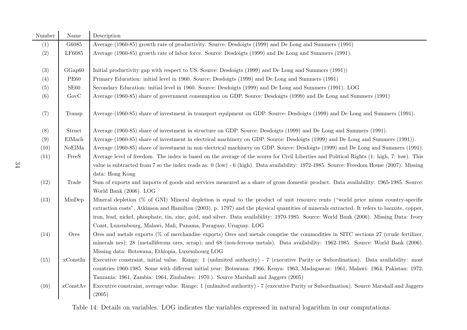| Number | Name        | Description                                                                                                                                 |
|--------|-------------|---------------------------------------------------------------------------------------------------------------------------------------------|
| (1)    | G6085       | Average (1960-85) growth rate of productivity. Source: Desdoigts (1999) and De Long and Summers (1991)                                      |
| (2)    | LF6085      | Average (1960-85) growth rate of labor force. Source: Desdoigts (1999) and De Long and Summers (1991).                                      |
|        |             |                                                                                                                                             |
| (3)    | GGap60      | Initial productivity gap with respect to US. Source: Desdoigts (1999) and De Long and Summers (1991))                                       |
| (4)    | <b>PE60</b> | Primary Education: initial level in 1960. Source: Desdoigts (1999) and De Long and Summers (1991)                                           |
| (5)    | SE60        | Secondary Education: initial level in 1960. Source: Desdoigts (1999) and De Long and Summers (1991). LOG                                    |
| (6)    | GovC        | Average (1960-85) share of government consumption on GDP. Source: Desdoigts (1999) and De Long and Summers (1991)                           |
| (7)    | Transp      | Average (1960-85) share of investment in transport equipment on GDP. Source: Desdoigts (1999) and De Long and Summers (1991).               |
| (8)    | Struct      | Average (1960-85) share of investment in structure on GDP. Source: Desdoigts (1999) and De Long and Summers (1991).                         |
| (9)    | ElMach      | Average (1960-85) share of investment in electrical machinery on GDP. Source: Desdoigts (1999) and De Long and Summers (1991).              |
| (10)   | NoElMa      | Average (1960-85) share of investment in non electrical machinery on GDP. Source: Desdoigts (1999) and De Long and Summers (1991).          |
| (11)   | FreeS       | Average level of freedom. The index is based on the average of the scores for Civil Liberties and Political Rights (1: high, 7: low). This  |
|        |             | value is subtracted from 7 so the index reads as: $0$ (low) - 6 (high). Data availability: 1972-1985. Source: Freedom House (2007). Missing |
|        |             | data: Hong Kong                                                                                                                             |
| (12)   | Trade       | Sum of exports and imports of goods and services measured as a share of gross domestic product. Data availability: 1965-1985. Source:       |
|        |             | World Bank (2006). LOG                                                                                                                      |
| (13)   | MinDep      | Mineral depletion $(\%$ of GNI) Mineral depletion is equal to the product of unit resource rents ("world price minus country-specific       |
|        |             | extraction costs", Atkinson and Hamilton (2003), p. 1797) and the physical quantities of minerals extracted. It refers to bauxite, copper,  |
|        |             | iron, lead, nickel, phosphate, tin, zinc, gold, and silver. Data availability: 1970-1985. Source: World Bank (2006). Missing Data: Ivory    |
|        |             | Coast, Luxembourg, Malawi, Mali, Panama, Paraguay, Uruguay. LOG                                                                             |
| (14)   | Ores        | Ores and metals exports $(\%$ of merchandise exports) Ores and metals comprise the commodities in SITC sections 27 (crude fertilizer,       |
|        |             | minerals nes); 28 (metalliferous ores, scrap); and 68 (non-ferrous metals). Data availability: 1962-1985. Source: World Bank (2006).        |
|        |             | Missing data: Botswana, Ethiopia, Luxembourg LOG                                                                                            |
| (15)   | xConstIn    | Executive constraint, initial value. Range: 1 (unlimited authority) - 7 (executive Parity or Subordination). Data availability: most        |
|        |             | countries 1960-1985. Some with different initial year: Botswana: 1966, Kenya: 1963, Madagascar: 1961, Malawi: 1964, Pakistan: 1972,         |
|        |             | Tanzania: 1961, Zambia: 1964, Zimbabwe: 1970.). Source Marshall and Jaggers (2005)                                                          |
| (16)   | xConstAv    | Executive constraint, average value. Range: 1 (unlimited authority) - 7 (executive Parity or Subordination). Source Marshall and Jaggers    |
|        |             | (2005)                                                                                                                                      |

34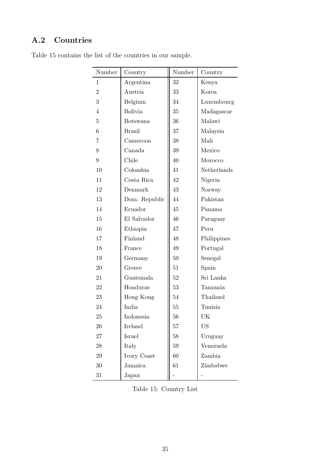## A.2 Countries

| Number         | Country        | Number | Country     |
|----------------|----------------|--------|-------------|
| $\mathbf{1}$   | Argentina      | 32     | Kenya       |
| $\overline{2}$ | Austria        | 33     | Korea       |
| 3              | Belgium        | 34     | Luxembourg  |
| $\overline{4}$ | <b>Bolivia</b> | 35     | Madagascar  |
| $\overline{5}$ | Botswana       | 36     | Malawi      |
| 6              | <b>Brazil</b>  | 37     | Malaysia    |
| 7              | Cameroon       | 38     | Mali        |
| 8              | Canada         | 39     | Mexico      |
| 9              | Chile          | 40     | Morocco     |
| 10             | Colombia       | 41     | Netherlands |
| 11             | Costa Rica     | 42     | Nigeria     |
| 12             | Denmark        | 43     | Norway      |
| 13             | Dom. Republic  | 44     | Pakistan    |
| 14             | Ecuador        | 45     | Panama      |
| 15             | El Salvador    | 46     | Paraguay    |
| 16             | Ethiopia       | 47     | Peru        |
| 17             | Finland        | 48     | Philippines |
| 18             | France         | 49     | Portugal    |
| 19             | Germany        | $50\,$ | Senegal     |
| 20             | Greece         | 51     | Spain       |
| 21             | Guatemala      | 52     | Sri Lanka   |
| 22             | Honduras       | 53     | Tanzania    |
| 23             | Hong Kong      | 54     | Thailand    |
| 24             | India          | 55     | Tunisia     |
| $25\,$         | Indonesia      | 56     | UK          |
| $26\,$         | Ireland        | $57\,$ | US          |
| $27\,$         | Israel         | $58\,$ | Uruguay     |
| $28\,$         | Italy          | 59     | Venezuela   |
| $\,29$         | Ivory Coast    | 60     | Zambia      |
| $30\,$         | Jamaica        | 61     | Zimbabwe    |
| $31\,$         | Japan          |        |             |

Table 15 contains the list of the countries in our sample.

Table 15: Country List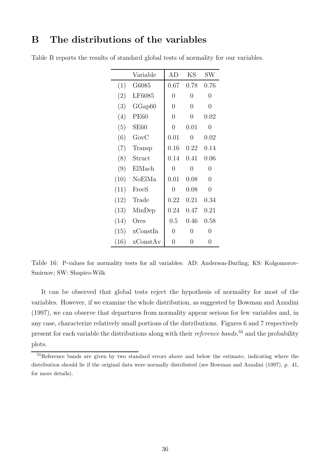## B The distributions of the variables

|      | Variable    | AD             | KS             | $\text{SW}$    |
|------|-------------|----------------|----------------|----------------|
| (1)  | G6085       | 0.67           | 0.78           | 0.76           |
| (2)  | LF6085      | $\overline{0}$ | $\overline{0}$ | 0              |
| (3)  | GGap60      | $\overline{0}$ | $\overline{0}$ | $\overline{0}$ |
| (4)  | <b>PE60</b> | $\overline{0}$ | $\overline{0}$ | 0.02           |
| (5)  | SE60        | $\overline{0}$ | 0.01           | 0              |
| (6)  | $\rm GovC$  | 0.01           | 0              | 0.02           |
| (7)  | Transp      | 0.16           | 0.22           | 0.14           |
| (8)  | Struct      | 0.14           | 0.41           | 0.06           |
| (9)  | ElMach      | 0              | 0              | 0              |
| (10) | NoElMa      | 0.01           | 0.08           | $\overline{0}$ |
| (11) | FreeS       | $\Omega$       | 0.08           | $\overline{0}$ |
| (12) | Trade       | 0.22           | 0.21           | 0.34           |
| (13) | MinDep      | 0.24           | 0.47           | 0.21           |
| (14) | Ores        | 0.5            | 0.46           | 0.58           |
| (15) | xConstIn    | $\Omega$       | 0              | 0              |
| (16) | xConstAv    | 0              | 0              | 0              |

Table B reports the results of standard global tests of normality for our variables.

Table 16: P-values for normality tests for all variables: AD: Anderson-Darling; KS: Kolgomorov-Smirnov; SW: Shapiro-Wilk

It can be observed that global tests reject the hypothesis of normality for most of the variables. However, if we examine the whole distribution, as suggested by Bowman and Azzalini (1997), we can observe that departures from normality appear serious for few variables and, in any case, characterize relatively small portions of the distributions. Figures 6 and 7 respectively present for each variable the distributions along with their *reference bands*,<sup>55</sup> and the probability plots.

<sup>55</sup>Reference bands are given by two standard errors above and below the estimate, indicating where the distribution should lie if the original data were normally distributed (see Bowman and Azzalini (1997), p. 41, for more details).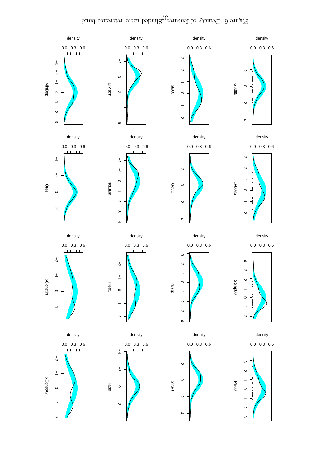Figure 6: Density of features, $\zeta^{\rm p}$ aded area: reference band

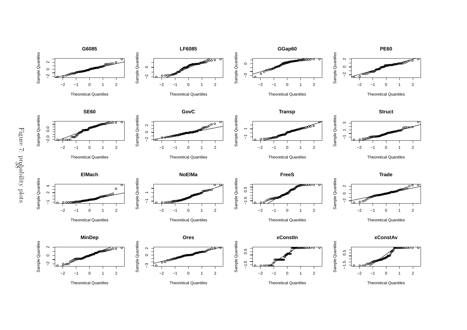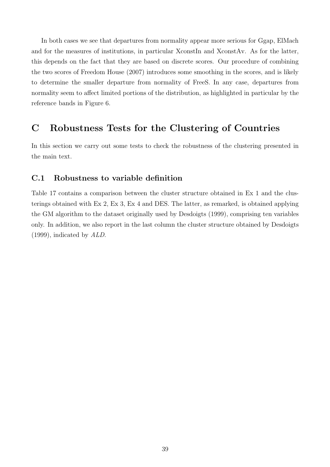In both cases we see that departures from normality appear more serious for Ggap, ElMach and for the measures of institutions, in particular XconstIn and XconstAv. As for the latter, this depends on the fact that they are based on discrete scores. Our procedure of combining the two scores of Freedom House (2007) introduces some smoothing in the scores, and is likely to determine the smaller departure from normality of FreeS. In any case, departures from normality seem to affect limited portions of the distribution, as highlighted in particular by the reference bands in Figure 6.

## C Robustness Tests for the Clustering of Countries

In this section we carry out some tests to check the robustness of the clustering presented in the main text.

### C.1 Robustness to variable definition

Table 17 contains a comparison between the cluster structure obtained in Ex 1 and the clusterings obtained with Ex 2, Ex 3, Ex 4 and DES. The latter, as remarked, is obtained applying the GM algorithm to the dataset originally used by Desdoigts (1999), comprising ten variables only. In addition, we also report in the last column the cluster structure obtained by Desdoigts (1999), indicated by ALD.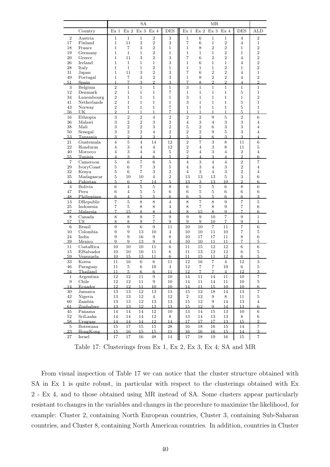|                      |                           |                                  |                                  | SA                           |                                |                      |                                  |                                  | ΜR                               |                                |                                  |                                  |
|----------------------|---------------------------|----------------------------------|----------------------------------|------------------------------|--------------------------------|----------------------|----------------------------------|----------------------------------|----------------------------------|--------------------------------|----------------------------------|----------------------------------|
|                      | Country                   | Ex <sub>1</sub>                  | Ex <sub>2</sub>                  | Ex <sub>3</sub>              | Ex <sub>4</sub>                | <b>DES</b>           | Ex <sub>1</sub>                  | Ex2                              | Ex <sub>3</sub>                  | Ex <sub>4</sub>                | <b>DES</b>                       | <b>ALD</b>                       |
| $\overline{2}$       | Austria                   | $\mathbf 1$                      | $\mathbf 1$                      | 1                            | $\overline{2}$                 | 3                    | 1                                | 6                                | $\mathbf 1$                      | 1                              | 4                                | $\overline{2}$                   |
| 17                   | Finland                   | $\mathbf 1$                      | 11                               | 3                            | $\,2$                          | 3                    | $\overline{7}$                   | 6                                | $\mathbf 1$                      | $\,2$                          | $\overline{4}$                   | $\mathbf{1}$                     |
| 18                   | France                    | $\mathbf{1}$                     | 7                                | 3                            | $\overline{2}$                 | $\mathbf{1}$         | $\mathbf 1$                      | 8                                | $\overline{2}$                   | $\overline{2}$                 | $\mathbf 1$                      | $\overline{2}$                   |
| 19                   | Germany                   | $\mathbf{1}$                     | $\mathbf{1}$                     | $\mathbf{1}$                 | $\overline{2}$                 | $\mathbf{1}$         | $\mathbf 1$                      | $\mathbf 1$                      | $\mathbf{1}$                     | $\overline{2}$                 | $\mathbf{1}$                     | $\sqrt{2}$                       |
| 20                   | Greece                    | $\mathbf{1}$                     | 11                               | $\,3$                        | $\overline{2}$                 | 3                    | 7                                | 6                                | $\overline{2}$                   | $\overline{2}$                 | $\overline{4}$                   | $\overline{2}$                   |
| 26<br>28             | Ireland<br>Italy          | $\mathbf{1}$<br>$\mathbf{1}$     | $\mathbf{1}$<br>$\mathbf{1}$     | $\mathbf{1}$<br>$\mathbf{1}$ | $\mathbf{1}$<br>$\overline{2}$ | 3<br>$\mathbf{1}$    | $\mathbf 1$<br>$\mathbf 1$       | 6<br>$\mathbf{1}$                | $\mathbf{1}$<br>$\mathbf{1}$     | $\mathbf{1}$<br>$\overline{2}$ | $\overline{4}$<br>$\mathbf{1}$   | $\sqrt{2}$<br>$\overline{2}$     |
| 31                   | Japan                     | $\mathbf 1$                      | 11                               | 3                            | $\overline{2}$                 | 3                    | 7                                | 6                                | $\overline{2}$                   | $\overline{2}$                 | $\overline{4}$                   | $\mathbf{1}$                     |
| 49                   | Portugal                  | $\mathbf{1}$                     | $\overline{7}$                   | 3                            | $\overline{2}$                 | 3                    | 1                                | 8                                | $\overline{2}$                   | $\overline{2}$                 | $\overline{4}$                   | $\overline{2}$                   |
| 51                   | Spain                     | $\mathbf{1}$                     | 7                                | 3                            | $\overline{2}$                 | 3                    | $\overline{7}$                   | 8                                | $\overline{2}$                   | $\overline{2}$                 | $\overline{4}$                   | $\overline{2}$                   |
| $\sqrt{3}$           | Belgium                   | $\overline{2}$                   | $\mathbf{1}$                     | 1                            | $\mathbf{1}$                   | $\mathbf 1$          | 3                                | $\mathbf{1}$                     | $\mathbf{1}$                     | $\mathbf 1$                    | $\mathbf{1}$                     | $\mathbf{1}$                     |
| 12<br>34             | Denmark                   | $\overline{2}$<br>$\overline{2}$ | 1<br>$\mathbf{1}$                | 1<br>$\mathbf{1}$            | $\mathbf{1}$<br>1              | 7<br>$\mathbf{1}$    | $\mathbf{1}$<br>3                | $\mathbf{1}$<br>$\mathbf{1}$     | $\mathbf{1}$<br>$\mathbf 1$      | $\mathbf 1$<br>$\mathbf{1}$    | 5<br>$\mathbf{1}$                | $\mathbf{1}$<br>$\overline{2}$   |
| 41                   | Luxembourg<br>Netherlands | $\overline{2}$                   | 1                                | $\mathbf{1}$                 | 1                              | $\mathbf 1$          | 3                                | $\mathbf 1$                      | $\mathbf 1$                      | $\mathbf 1$                    | $\overline{5}$                   | $\mathbf{1}$                     |
| 43                   | Norway                    | $\overline{2}$                   | $\mathbf{1}$                     | $\mathbf{1}$                 | $\mathbf{1}$                   | $\overline{7}$       | 1                                | $\mathbf{1}$                     | $\mathbf{1}$                     | $\mathbf{1}$                   | 5                                | $\mathbf 1$                      |
| 56                   | UK                        | $\overline{2}$                   | $\mathbf{1}$                     | 1                            | 1                              | $\overline{7}$       | 1                                | $\mathbf{1}$                     | 1                                | $\mathbf{1}$                   | 5                                | $\mathbf{1}$                     |
| 16                   | Ethiopia                  | 3                                | $\overline{2}$                   | $\,2$                        | $\overline{4}$                 | $\overline{2}$       | $\overline{2}$                   | $\overline{2}$                   | 9                                | $\overline{5}$                 | $\overline{2}$                   | $\,6\,$                          |
| 36                   | Malawi                    | 3                                | $\overline{2}$                   | $\overline{2}$               | 3                              | $\overline{2}$       | $\overline{4}$                   | 3                                | $\overline{4}$                   | 3                              | $\,3$                            | $\overline{4}$                   |
| 38<br>50             | Mali<br>Senegal           | 3<br>3                           | $\overline{2}$<br>$\overline{2}$ | $\overline{2}$<br>$\,2$      | 3<br>$\overline{4}$            | $\,2$<br>$\,2$       | 5<br>$\,2$                       | $\overline{2}$<br>$\overline{2}$ | 6<br>9                           | 3<br>5                         | 3<br>3                           | $\overline{4}$<br>$\overline{4}$ |
| 53                   | Tanzania                  | 3                                | $\overline{2}$                   | $\overline{2}$               | 3                              | $\overline{2}$       | 5                                | $\overline{2}$                   | 6                                | 3                              | 3                                | $\overline{4}$                   |
| 21                   | Guatemala                 | $\overline{4}$                   | $\overline{5}$                   | $\overline{4}$               | 14                             | 12                   | $\overline{2}$                   | $\overline{7}$                   | 3                                | 8                              | 11                               | $\,6$                            |
| 22                   | Honduras                  | $\overline{4}$                   | 3                                | 4                            | 4                              | 12                   | $\overline{2}$                   | 4                                | 3                                | 8                              | 11                               | $\overline{5}$                   |
| 40                   | Morocco                   | $\overline{4}$                   | 3                                | $\overline{4}$               | $\overline{4}$                 | $\bf 5$              | $\,2$                            | $\overline{4}$                   | 3                                | $\overline{4}$                 | $\overline{2}$                   | $\overline{4}$                   |
| 55                   | Tunisia                   | $\overline{4}$                   | 3                                | 4                            | 6                              | 5                    | $\mathfrak{D}$                   | $\overline{4}$                   | 3                                | $\overline{4}$                 | $\overline{2}$                   | 6                                |
| $\overline{7}$<br>29 | Cameroon<br>IvoryCoast    | $\overline{5}$<br>5              | 6<br>6                           | $\overline{7}$<br>7          | $\,6$<br>3                     | $\bf 5$<br>$\bf 5$   | $\overline{4}$<br>$\overline{4}$ | 3<br>3                           | $\overline{4}$<br>$\overline{4}$ | $\overline{4}$<br>3            | $\overline{2}$<br>$\overline{2}$ | $\overline{7}$<br>$\overline{4}$ |
| 32                   | Kenya                     | $\overline{5}$                   | 6                                | 7                            | 3                              | $\,2$                | $\overline{4}$                   | 3                                | $\overline{4}$                   | 3                              | $\,2$                            | $\overline{4}$                   |
| 35                   | Madagascar                | 5                                | 10                               | 10                           | $\overline{4}$                 | $\sqrt{2}$           | 13                               | 13                               | 13                               | 5                              | 3                                | 6                                |
| 44                   | Pakistan                  | $\overline{5}$                   | 6                                | $\overline{7}$               | 14                             | 5                    | 13                               | 3                                | 13                               | 10                             | $\overline{2}$                   | 6                                |
| $\overline{4}$       | Bolivia                   | $6\phantom{.}6$                  | $\overline{4}$                   | 5                            | 5                              | 8                    | $6\phantom{.}6$                  | 5                                | $\overline{5}$                   | $6\phantom{.}6$                | 8                                | $6\phantom{.}6$                  |
| 47<br>48             | Peru<br>Philippines       | $6\phantom{.}6$<br>6             | $\overline{4}$<br>$\overline{4}$ | $\bf 5$<br>5                 | $\overline{5}$<br>5            | $\,6$<br>6           | $\,6\,$<br>6                     | 5<br>5                           | $\overline{5}$<br>5              | $6\phantom{.}6$<br>6           | $\sqrt{6}$<br>6                  | $\,6$<br>3                       |
| 13                   | DRepublic                 | $\overline{7}$                   | 5                                | 8                            | 8                              | $\overline{4}$       | 8                                | $\overline{7}$                   | 8                                | 9                              | $\overline{7}$                   | $\bf 5$                          |
| 25                   | Indonesia                 | $\overline{7}$                   | $\overline{5}$                   | 8                            | 8                              | $\overline{4}$       | 8                                | 7                                | 8                                | 9                              | $\overline{7}$                   | $6\phantom{.}6$                  |
| 37                   | Malaysia                  | $\overline{7}$                   | 15                               | 8                            | 8                              | $\overline{4}$       | 8                                | 15                               | 8                                | 9                              | $\overline{7}$                   | 6                                |
| 8                    | Canada                    | 8                                | 8                                | 9                            | $\overline{7}$                 | 9                    | 9                                | 9                                | 10                               | $\overline{7}$                 | 9                                | $\mathbf{1}$                     |
| 57                   | US                        | 8                                | 8                                | 9                            | $\overline{7}$                 | 9                    | 9                                | 9                                | 10                               | $\overline{7}$                 | 9                                | $\mathbf{1}$                     |
| 6<br>10              | <b>Brazil</b><br>Colombia | 9<br>9                           | 9<br>9                           | $\sqrt{6}$<br>13             | 9<br>10                        | 11<br>$\overline{4}$ | 10<br>10                         | 10<br>10                         | $\overline{7}$<br>11             | 11<br>10                       | $\overline{7}$<br>7              | $\,6$<br>$\bf 5$                 |
| 24                   | India                     | 9                                | 9                                | 16                           | 9                              | 8                    | 10                               | 17                               | 17                               | 11                             | 8                                | $6\phantom{.}6$                  |
| 39                   | Mexico                    | 9                                | 9                                | 13                           | 9                              | 4                    | 10                               | 10                               | 11                               | 11                             | $\overline{7}$                   | 5                                |
| 11                   | CostaRica                 | 10                               | 10                               | 10                           | 11                             | 6                    | 11                               | 15                               | 12                               | 12                             | $6\phantom{.}6$                  | $6\phantom{.}6$                  |
| 15                   | ElSalvador                | 10                               | 10                               | 10                           | 11                             | 6                    | 11                               | 13                               | 12                               | 12                             | $6\phantom{.}6$                  | $\bf 5$                          |
| 59                   | Venezuela                 | 10                               | 15<br>16                         | 13<br>$\sqrt{6}$             | 11<br>$\,6$                    | 6                    | 11<br>12                         | 15                               | 11<br>$\overline{7}$             | 12<br>$\overline{4}$           | 6<br>12                          | 5                                |
| 33<br>46             | Korea<br>Paraguay         | 11<br>11                         | 5                                | 6                            | 10                             | 11<br>$\overline{4}$ | 12                               | 16<br>$\overline{7}$             | 7                                | 10                             | 6                                | $\,3$<br>5                       |
| 54                   | Thailand                  | 11                               | 5 <sub>1</sub>                   | $6\overline{6}$              | $6\phantom{.}6$                | 11                   | 12                               | $\overline{7}$                   | $\overline{7}$                   | $\overline{4}$                 | 12                               | 3                                |
| $\mathbf{1}$         | Argentina                 | $12\,$                           | 12                               | 11                           | 9                              | 10                   | 14                               | $11\,$                           | 14                               | 11                             | 10                               | $\,7$                            |
| $\boldsymbol{9}$     | Chile                     | $12\,$                           | $12\,$                           | 11                           | 9                              | 10                   | 14                               | 11                               | 14                               | $11\,$                         | 10                               | $\bf 5$                          |
| 14                   | Ecuador                   | 12                               | 12                               | 11                           | 10 <sup>10</sup>               | 10 <sup>10</sup>     | 14                               | 11                               | 15                               | 10                             | 10                               | $6\phantom{.}6$                  |
| 30<br>42             | Jamaica<br>Nigeria        | $13\,$<br>$13\,$                 | $13\,$<br>13                     | $12\,$<br>12                 | 13<br>$\overline{4}$           | 13<br>12             | $15\,$<br>$\overline{2}$         | $12\,$<br>12                     | $18\,$<br>$\,9$                  | $14\,$<br>$8\,$                | 13                               | $\overline{7}$<br>$\bf 5$        |
| 60                   | Zambia                    | $13\,$                           | $13\,$                           | 12                           | 13                             | 13                   | 15                               | 12                               | 9                                | 14                             | 11<br>13                         | $\sqrt{4}$                       |
| 61                   | Zimbabwe                  | 13                               | 13                               | 12                           | 13                             | 13                   | 15                               | 12                               | 9                                | 14                             | 13                               | $6\phantom{.}6$                  |
| $45\,$               | Panama                    | $14\,$                           | 14                               | $14\,$                       | 12                             | $10\,$               | $13\,$                           | $14\,$                           | $15\,$                           | 13                             | 10                               | $\,6\,$                          |
| $52\,$               | SriLanka                  | 14                               | 14                               | 14                           | 12                             | 8                    | 13                               | 14                               | $13\,$                           | 13                             | 8                                | 6                                |
| 58                   | Uruguay                   | 14                               | 14                               | 14                           | 12                             | 14                   | 17                               | 17                               | 17                               | 13                             | 15                               | $\overline{2}$                   |
| $\bf 5$<br>23        | Botswana<br>HongKong      | $15\,$<br>15                     | 17<br>16                         | 15<br>15                     | 15<br>15                       | $\bf 28$<br>11       | 16<br>16                         | 18<br>16                         | 16<br>16                         | 15<br>15                       | 14<br>14                         | $\overline{\mathbf{7}}$<br>3     |
| $27\,$               | Israel                    | 17                               | 17                               | 16                           | 48                             | 14                   | 17                               | 18                               | 19                               | 16                             | 15                               | $\,7$                            |

Table 17: Clusterings from Ex 1, Ex 2, Ex 3, Ex 4; SA and MR

From visual inspection of Table 17 we can notice that the cluster structure obtained with SA in Ex 1 is quite robust, in particular with respect to the clusterings obtained with Ex 2 - Ex 4, and to those obtained using MR instead of SA. Some clusters appear particularly resistant to changes in the variables and changes in the procedure to maximize the likelihood, for example: Cluster 2, containing North European countries, Cluster 3, containing Sub-Saharan countries, and Cluster 8, containing North American countries. In addition, countries in Cluster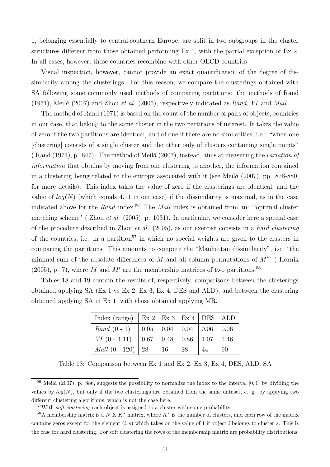1, belonging essentially to central-southern Europe, are split in two subgroups in the cluster structures different from those obtained performing Ex 1, with the partial exception of Ex 2. In all cases, however, these countries recombine with other OECD countries

Visual inspection, however, cannot provide an exact quantification of the degree of dissimilarity among the clusterings. For this reason, we compare the clusterings obtained with SA following some commonly used methods of comparing partitions: the methods of Rand (1971), Meil $\check{a}$  (2007) and Zhou *et al.* (2005), respectively indicated as Rand, VI and Mall.

The method of Rand (1971) is based on the count of the number of pairs of objects, countries in our case, that belong to the same cluster in the two partitions of interest. It takes the value of zero if the two partitions are identical, and of one if there are no similarities, i.e.: "when one [clustering] consists of a single cluster and the other only of clusters containing single points" ( Rand (1971), p. 847). The method of Meil $\check{a}$  (2007), instead, aims at measuring the variation of information that obtains by moving from one clustering to another, the information contained in a clustering being related to the entropy associated with it (see Meil $\check{a}$  (2007), pp. 878-880, for more details). This index takes the value of zero if the clusterings are identical, and the value of  $log(N)$  (which equals 4.11 in our case) if the dissimilarity is maximal, as in the case indicated above for the Rand index.<sup>56</sup> The Mall index is obtained from an: "optimal cluster matching scheme" ( Zhou et al. (2005), p. 1031). In particular, we consider here a special case of the procedure described in Zhou *et al.* (2005), as our exercise consists in a hard clustering of the countries, i.e. in a partition<sup>57</sup> in which no special weights are given to the clusters in comparing the partitions. This amounts to compute the "Manhattan dissimilarity", i.e. "the minimal sum of the absolute differences of M and all column permutations of  $M''$  (Hornik (2005), p. 7), where M and M' are the membership matrices of two partitions.<sup>58</sup>

Tables 18 and 19 contain the results of, respectively, comparisons between the clusterings obtained applying SA (Ex 1 vs Ex 2, Ex 3, Ex 4, DES and ALD), and between the clustering obtained applying SA in Ex 1, with those obtained applying MR.

| Index (range)   Ex 2 Ex 3 Ex 4   DES   ALD |                                                                                             |  |  |
|--------------------------------------------|---------------------------------------------------------------------------------------------|--|--|
| $Rand(0-1)$                                | $\begin{array}{ c c c c c c } \hline 0.05 & 0.04 & 0.04 & 0.06 & 0.06 \\\hline \end{array}$ |  |  |
| $VI$ (0 - 4.11) 0.67 0.48 0.86 1.07 1.46   |                                                                                             |  |  |
| <i>Mall</i> $(0 - 120)$ 28 16 28           |                                                                                             |  |  |

Table 18: Comparison between Ex 1 and Ex 2, Ex 3, Ex 4, DES, ALD. SA

<sup>&</sup>lt;sup>56</sup> Meil $\check{a}$  (2007), p. 886, suggests the possibility to normalize the index to the interval [0, 1] by dividing the values by  $log(N)$ , but only if the two clusterings are obtained from the same dataset, e. g. by applying two different clustering algorithms, which is not the case here.

<sup>&</sup>lt;sup>57</sup>With *soft clustering* each object is assigned to a cluster with some probability.

 $58A$  membership matrix is a N X K<sup>\*</sup> matrix, where K<sup>\*</sup> is the number of clusters, and each row of the matrix contains zeros except for the element  $(i, s)$  which takes on the value of 1 if object i belongs to cluster s. This is the case for hard clustering. For soft clustering the rows of the membership matrix are probability distributions.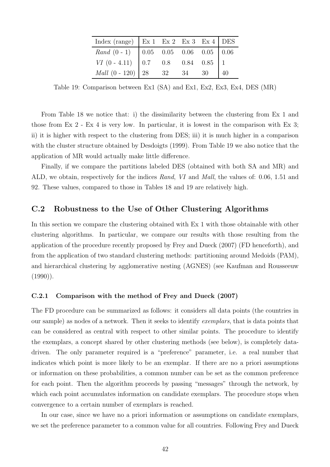| Index (range)   Ex 1 Ex 2 Ex 3 Ex 4   DES                                                                                                                                                                                                           |  |  |  |
|-----------------------------------------------------------------------------------------------------------------------------------------------------------------------------------------------------------------------------------------------------|--|--|--|
|                                                                                                                                                                                                                                                     |  |  |  |
| $\begin{tabular}{ c c c c c c c } \hline \textit{Rand} & (0 - 1) & 0.05 & 0.05 & 0.06 & 0.05 & 0.06 \\ \hline \textit{VI} & (0 - 4.11) & 0.7 & 0.8 & 0.84 & 0.85 & 1 \\ \textit{Mall} & (0 - 120) & 28 & 32 & 34 & 30 & 40 \\ \hline \end{tabular}$ |  |  |  |
|                                                                                                                                                                                                                                                     |  |  |  |

Table 19: Comparison between Ex1 (SA) and Ex1, Ex2, Ex3, Ex4, DES (MR)

From Table 18 we notice that: i) the dissimilarity between the clustering from Ex 1 and those from Ex 2 - Ex 4 is very low. In particular, it is lowest in the comparison with Ex 3; ii) it is higher with respect to the clustering from DES; iii) it is much higher in a comparison with the cluster structure obtained by Desdoigts (1999). From Table 19 we also notice that the application of MR would actually make little difference.

Finally, if we compare the partitions labeled DES (obtained with both SA and MR) and ALD, we obtain, respectively for the indices Rand, VI and Mall, the values of: 0.06, 1.51 and 92. These values, compared to those in Tables 18 and 19 are relatively high.

### C.2 Robustness to the Use of Other Clustering Algorithms

In this section we compare the clustering obtained with Ex 1 with those obtainable with other clustering algorithms. In particular, we compare our results with those resulting from the application of the procedure recently proposed by Frey and Dueck (2007) (FD henceforth), and from the application of two standard clustering methods: partitioning around Medoids (PAM), and hierarchical clustering by agglomerative nesting (AGNES) (see Kaufman and Rousseeuw  $(1990)$ ).

#### C.2.1 Comparison with the method of Frey and Dueck (2007)

The FD procedure can be summarized as follows: it considers all data points (the countries in our sample) as nodes of a network. Then it seeks to identify exemplars, that is data points that can be considered as central with respect to other similar points. The procedure to identify the exemplars, a concept shared by other clustering methods (see below), is completely datadriven. The only parameter required is a "preference" parameter, i.e. a real number that indicates which point is more likely to be an exemplar. If there are no a priori assumptions or information on these probabilities, a common number can be set as the common preference for each point. Then the algorithm proceeds by passing "messages" through the network, by which each point accumulates information on candidate exemplars. The procedure stops when convergence to a certain number of exemplars is reached.

In our case, since we have no a priori information or assumptions on candidate exemplars, we set the preference parameter to a common value for all countries. Following Frey and Dueck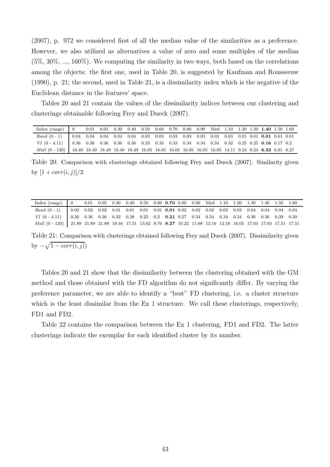(2007), p. 972 we considered first of all the median value of the similarities as a preference. However, we also utilized as alternatives a value of zero and some multiples of the median  $(5\%, 30\%, \ldots, 160\%)$ . We computing the similarity in two ways, both based on the correlations among the objects: the first one, used in Table 20, is suggested by Kaufman and Rousseeuw (1990), p. 21; the second, used in Table 21, is a dissimilarity index which is the negative of the Euclidean distance in the features' space.

Tables 20 and 21 contain the values of the dissimilarity indices between our clustering and clusterings obtainable following Frey and Dueck (2007).

| Index (range)                                                                                                     | 0.01 |  | $0.05$ $0.30$ $0.40$ $0.50$ $0.60$ $0.70$ $0.80$ $0.90$ Med $1.10$ $1.20$ $1.30$ $1.40$ $1.50$ $1.60$ |  |  |  |  |  |  |
|-------------------------------------------------------------------------------------------------------------------|------|--|-------------------------------------------------------------------------------------------------------|--|--|--|--|--|--|
|                                                                                                                   |      |  |                                                                                                       |  |  |  |  |  |  |
|                                                                                                                   |      |  |                                                                                                       |  |  |  |  |  |  |
| Mall (0 - 120)   18.49 18.49 18.49 18.49 18.49 16.05 16.05 16.05 16.05 16.05 16.05 14.11 9.24 9.24 6.32 6.81 8.27 |      |  |                                                                                                       |  |  |  |  |  |  |

Table 20: Comparison with clusterings obtained following Frey and Dueck (2007). Similarity given by  $[1 + corr(i, j)]/2$ 

| Index $(range)$ 0                                                                                                  |  | $0.01 \quad 0.05 \quad 0.30 \quad 0.40 \quad 0.50 \quad 0.60 \quad 0.70 \quad 0.80 \quad 0.90 \quad \text{Med} \quad 1.10 \quad 1.20 \quad 1.30 \quad 1.40 \quad 1.50 \quad 1.60$ |  |  |  |  |  |  |  |
|--------------------------------------------------------------------------------------------------------------------|--|-----------------------------------------------------------------------------------------------------------------------------------------------------------------------------------|--|--|--|--|--|--|--|
|                                                                                                                    |  |                                                                                                                                                                                   |  |  |  |  |  |  |  |
| VI (0 - 4.11)   0.36 0.36 0.36 0.32 0.28 0.25 0.2 0.21 0.27 0.34 0.34 0.34 0.34 0.36 0.36 0.39 0.39                |  |                                                                                                                                                                                   |  |  |  |  |  |  |  |
| Mall (0 - 120) 21.89 21.89 21.89 19.46 17.51 13.62 8.76 8.27 10.22 11.68 12.16 12.16 16.05 17.03 17.03 17.51 17.51 |  |                                                                                                                                                                                   |  |  |  |  |  |  |  |

Table 21: Comparison with clusterings obtained following Frey and Dueck (2007). Dissimilarity given by  $-\sqrt{1-corr(i,j)}$ 

Tables 20 and 21 show that the dissimilarity between the clustering obtained with the GM method and those obtained with the FD algorithm do not significantly differ. By varying the preference parameter, we are able to identify a "best" FD clustering, i.e. a cluster structure which is the least dissimilar from the Ex 1 structure. We call these clusterings, respectively, FD1 and FD2.

Table 22 contains the comparison between the Ex 1 clustering, FD1 and FD2. The latter clusterings indicate the exemplar for each identified cluster by its number.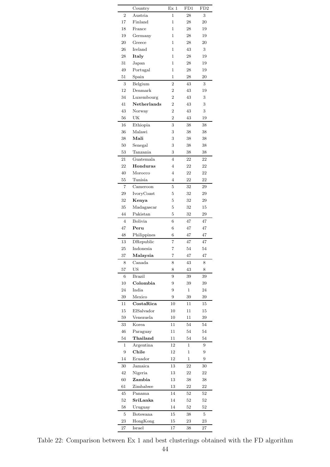|                | Country         | Ex <sub>1</sub> | FD1          | FD <sub>2</sub> |
|----------------|-----------------|-----------------|--------------|-----------------|
| 2              | Austria         | 1               | 28           | 3               |
| 17             | Finland         | 1               | 28           | 20              |
| 18             | France          | $\mathbf{1}$    | 28           | 19              |
| 19             | Germany         | $\mathbf{1}$    | 28           | 19              |
| 20             | Greece          | $\mathbf{1}$    | 28           | 20              |
| 26             | Ireland         | $\mathbf{1}$    | 43           | 3               |
| 28             | Italy           | 1               | 28           | 19              |
|                |                 |                 |              |                 |
| 31             | Japan           | 1               | 28           | 19              |
| 49             | Portugal        | 1               | 28           | 19              |
| 51             | Spain           | 1               | 28           | 20              |
| 3              | Belgium         | $\overline{2}$  | 43           | 3               |
| 12             | Denmark         | $\overline{2}$  | 43           | 19              |
| 34             | Luxembourg      | $\overline{2}$  | 43           | 3               |
| 41             | Netherlands     | $\overline{2}$  | 43           | 3               |
| 43             | Norway          | $\overline{2}$  | 43           | 3               |
| 56             | UK              | $\overline{2}$  | 43           | 19              |
| 16             | Ethiopia        | 3               | 38           | 38              |
| 36             | Malawi          | 3               | 38           | 38              |
| 38             | Mali            | 3               | 38           | 38              |
| 50             | Senegal         | 3               | 38           | 38              |
|                | Tanzania        |                 |              | 38              |
| 53             |                 | 3               | 38           |                 |
| 21             | Guatemala       | $\overline{4}$  | 22           | 22              |
| 22             | Honduras        | 4               | 22           | 22              |
| 40             | Morocco         | $\overline{4}$  | 22           | 22              |
| 55             | Tunisia         | $\overline{4}$  | 22           | 22              |
| $\overline{7}$ | Cameroon        | 5               | 32           | 29              |
| 29             | IvoryCoast      | 5               | 32           | 29              |
| 32             | Kenya           | 5               | 32           | 29              |
| 35             | Madagascar      | 5               | 32           | 15              |
| 44             | Pakistan        | 5               | 32           | 29              |
| $\overline{4}$ | Bolivia         | 6               | 47           | 47              |
| 47             | Peru            | 6               | 47           | 47              |
|                |                 |                 |              |                 |
| 48             | Philippines     | 6               | 47           | 47              |
| 13             | DRepublic       | 7               | 47           | 47              |
| 25             | Indonesia       | 7               | 54           | 54              |
| 37             | Malaysia        | $\overline{7}$  | 47           | 47              |
| 8              | Canada          | 8               | 43           | 8               |
| 57             | US              | 8               | 43           | 8               |
| 6              | Brazil          | 9               | 39           | 39              |
| $10\,$         | Colombia        | 9               | 39           | 39              |
| 24             | India           | 9               | 1            | 24              |
| 39             | Mexico          | 9               | 39           | 39              |
| 11             | $\rm CostaRica$ | 10              | 11           | 15              |
| 15             | ElSalvador      | 10              | 11           | 15              |
| 59             | Venezuela       | $10\,$          | 11           | 39              |
| 33             | Korea           | 11              | 54           | 54              |
|                |                 |                 |              |                 |
| 46             | Paraguay        | 11              | 54           | 54              |
| 54             | Thailand        | 11              | 54           | 54              |
| 1              | Argentina       | 12              | 1            | 9               |
| 9              | Chile           | 12              | 1            | 9               |
| 14             | Ecuador         | 12              | $\mathbf{1}$ | 9               |
| 30             | Jamaica         | 13              | 22           | 30              |
| 42             | Nigeria         | 13              | 22           | 22              |
| 60             | Zambia          | 13              | 38           | 38              |
| 61             | Zimbabwe        | 13              | 22           | 22              |
| 45             | Panama          | 14              | 52           | 52              |
| 52             | SriLanka        | 14              | 52           |                 |
|                |                 |                 |              | 52              |
| 58             | Uruguay         | 14              | 52           | 52              |
| 5              | Botswana        | 15              | 38           | 5               |
| 23             | HongKong        | 15              | 23           | 23              |
| $27\,$         | Israel          | 17              | 38           | 27              |

Table 22: Comparison between Ex 1 and best clusterings obtained with the FD algorithm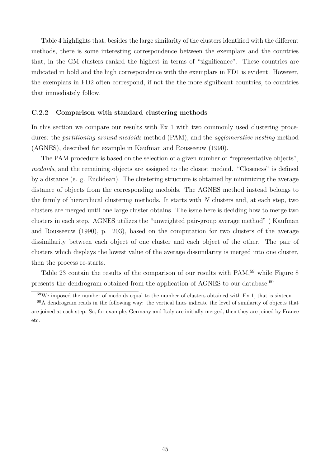Table 4 highlights that, besides the large similarity of the clusters identified with the different methods, there is some interesting correspondence between the exemplars and the countries that, in the GM clusters ranked the highest in terms of "significance". These countries are indicated in bold and the high correspondence with the exemplars in FD1 is evident. However, the exemplars in FD2 often correspond, if not the the more significant countries, to countries that immediately follow.

#### C.2.2 Comparison with standard clustering methods

In this section we compare our results with Ex 1 with two commonly used clustering procedures: the *partitioning around medoids* method (PAM), and the *agglomerative nesting* method (AGNES), described for example in Kaufman and Rousseeuw (1990).

The PAM procedure is based on the selection of a given number of "representative objects", medoids, and the remaining objects are assigned to the closest medoid. "Closeness" is defined by a distance (e. g. Euclidean). The clustering structure is obtained by minimizing the average distance of objects from the corresponding medoids. The AGNES method instead belongs to the family of hierarchical clustering methods. It starts with  $N$  clusters and, at each step, two clusters are merged until one large cluster obtains. The issue here is deciding how to merge two clusters in each step. AGNES utilizes the "unweighted pair-group average method" ( Kaufman and Rousseeuw (1990), p. 203), based on the computation for two clusters of the average dissimilarity between each object of one cluster and each object of the other. The pair of clusters which displays the lowest value of the average dissimilarity is merged into one cluster, then the process re-starts.

Table 23 contain the results of the comparison of our results with PAM,<sup>59</sup> while Figure 8 presents the dendrogram obtained from the application of AGNES to our database. $60$ 

 $59\text{We imposed the number of medidas equal to the number of clusters obtained with Ex 1, that is sixteen.}$ 

<sup>60</sup>A dendrogram reads in the following way: the vertical lines indicate the level of similarity of objects that are joined at each step. So, for example, Germany and Italy are initially merged, then they are joined by France etc.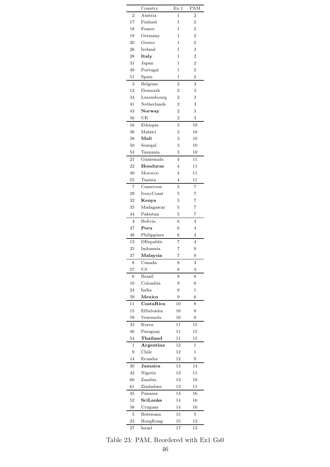|                | Country                  | Ex <sub>1</sub> | PAM            |
|----------------|--------------------------|-----------------|----------------|
| $\overline{2}$ | Austria                  | 1               | $\overline{2}$ |
| 17             | $\operatorname{Finland}$ | 1               | 2              |
| 18             | France                   | 1               | 2              |
| 19             | Germany                  | 1               | $\overline{2}$ |
| 20             | Greece                   | 1               | $\overline{2}$ |
| 26             | Ireland                  | 1               | 3              |
| 28             | Italy                    | 1               | $\overline{2}$ |
| 31             | Japan                    | 1               | $\overline{2}$ |
| 49             | Portugal                 | 1               | $\overline{2}$ |
| 51             | Spain                    | 1               | $\overline{2}$ |
| 3              | Belgium                  | $\overline{2}$  | 3              |
| 12             | Denmark                  | $\overline{2}$  | 3              |
| 34             | Luxembourg               | $\overline{2}$  | 3              |
| 41             | Netherlands              | $\overline{2}$  | 3              |
| 43             | Norway                   | $\overline{2}$  | 3              |
| 56             | UK                       | $\overline{2}$  | 3              |
| 16             | Ethiopia                 | 3               | 10             |
| 36             | Malawi                   | 3               | 10             |
| 38             | Mali                     |                 |                |
|                |                          | 3               | $^{10}$        |
| 50             | Senegal                  | 3               | 10             |
| 53             | Tanzania                 | 3               | $^{10}$        |
| 21             | Guatemala                | 4               | 11             |
| 22             | Honduras                 | 4               | 11             |
| 40             | Morocco                  | $\overline{4}$  | 11             |
| 55             | Tunisia                  | 4               | 11             |
| $\overline{7}$ | Cameroon                 | 5               | 7              |
| 29             | IvoryCoast               | 5               | 7              |
| 32             | Kenya                    | 5               | 7              |
| 35             | Madagascar               | 5               | 7              |
| 44             | Pakistan                 | 5               | 7              |
| 4              | <b>Bolivia</b>           | 6               | $\overline{4}$ |
| 47             | ${\bf Peru}$             | 6               | 4              |
| 48             | Philippines              | 6               | 4              |
| 13             | DRepublic                | 7               | $\overline{4}$ |
| 25             | Indonesia                | 7               | 9              |
| 37             | Malaysia                 | 7               | 9              |
| 8              | Canada                   | 8               | 3              |
| 57             | US                       | 8               | 3              |
| 6              | <b>Brazil</b>            | 9               | 6              |
| $10\,$         | Colombia                 | 9               | 6              |
| 24             | India                    | 9               | 1              |
| 39             | Mexico                   | 9               | 6              |
| 11             | CostaRica                | 10              | 8              |
| 15             | ElSalvador               | $10\,$          | 8              |
| 59             | Venezuela                | $10\,$          | 8              |
| 33             | Korea                    | 11              | 15             |
| 46             | Paraguay                 | 11              | 15             |
| 54             | Thailand                 | 11              | 15             |
|                |                          |                 |                |
| 1              | Argentina                | 12              | 1              |
| 9              | Chile                    | 12              | 1              |
| 14             | Ecuador                  | 12              | 9              |
| 30             | Jamaica                  | 13              | 14             |
| 42             | Nigeria                  | 13              | 11             |
| 60             | Zambia                   | 13              | $^{10}$        |
| 61             | Zimbabwe                 | 13              | $11\,$         |
| 45             | Panama                   | 14              | 16             |
| 52             | SriLanka                 | 14              | 16             |
| 58             | Uruguay                  | 14              | 16             |
| 5              | Botswana                 | 15              | 5              |
| 23             | HongKong                 | 15              | 12             |
| 27             | Israel                   | 17              | 13             |

Table 23: PAM, Reordered with Ex1 Gs0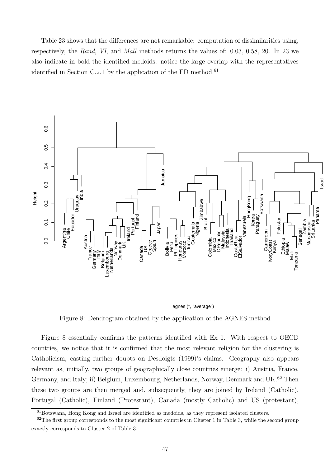Table 23 shows that the differences are not remarkable: computation of dissimilarities using, respectively, the Rand, VI, and Mall methods returns the values of: 0.03, 0.58, 20. In 23 we also indicate in bold the identified medoids: notice the large overlap with the representatives identified in Section C.2.1 by the application of the FD method.<sup>61</sup>



agnes (\*, "average")

Figure 8: Dendrogram obtained by the application of the AGNES method

Figure 8 essentially confirms the patterns identified with Ex 1. With respect to OECD countries, we notice that it is confirmed that the most relevant religion for the clustering is Catholicism, casting further doubts on Desdoigts (1999)'s claims. Geography also appears relevant as, initially, two groups of geographically close countries emerge: i) Austria, France, Germany, and Italy; ii) Belgium, Luxembourg, Netherlands, Norway, Denmark and UK.<sup>62</sup> Then these two groups are then merged and, subsequently, they are joined by Ireland (Catholic), Portugal (Catholic), Finland (Protestant), Canada (mostly Catholic) and US (protestant),

<sup>61</sup>Botswana, Hong Kong and Israel are identified as medoids, as they represent isolated clusters.

 $62$ The first group corresponds to the most significant countries in Cluster 1 in Table 3, while the second group exactly corresponds to Cluster 2 of Table 3.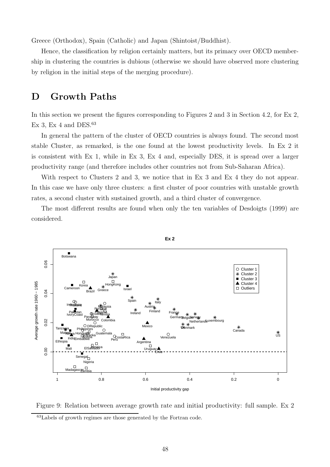Greece (Orthodox), Spain (Catholic) and Japan (Shintoist/Buddhist).

Hence, the classification by religion certainly matters, but its primacy over OECD membership in clustering the countries is dubious (otherwise we should have observed more clustering by religion in the initial steps of the merging procedure).

# D Growth Paths

In this section we present the figures corresponding to Figures 2 and 3 in Section 4.2, for Ex 2, Ex 3, Ex 4 and DES. $63$ 

In general the pattern of the cluster of OECD countries is always found. The second most stable Cluster, as remarked, is the one found at the lowest productivity levels. In Ex 2 it is consistent with Ex 1, while in Ex 3, Ex 4 and, especially DES, it is spread over a larger productivity range (and therefore includes other countries not from Sub-Saharan Africa).

With respect to Clusters 2 and 3, we notice that in Ex 3 and Ex 4 they do not appear. In this case we have only three clusters: a first cluster of poor countries with unstable growth rates, a second cluster with sustained growth, and a third cluster of convergence.

The most different results are found when only the ten variables of Desdoigts (1999) are considered.





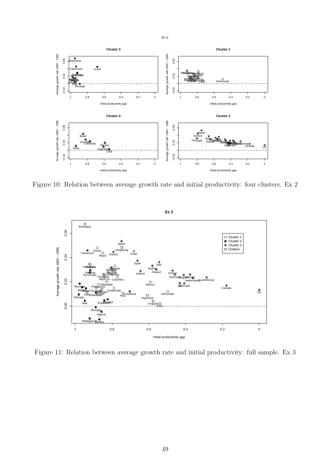

Figure 10: Relation between average growth rate and initial productivity: four clusters. Ex 2



Figure 11: Relation between average growth rate and initial productivity: full sample. Ex 3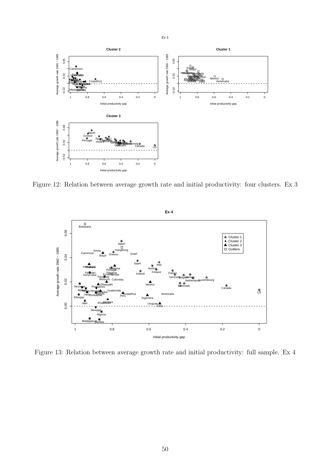

Figure 12: Relation between average growth rate and initial productivity: four clusters. Ex 3



Figure 13: Relation between average growth rate and initial productivity: full sample. Ex 4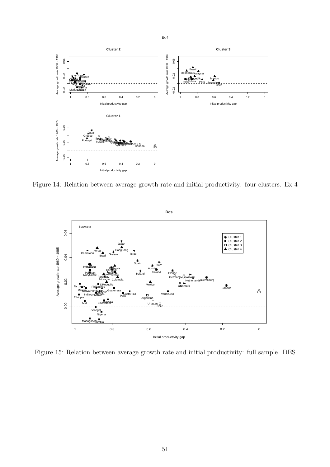

Figure 14: Relation between average growth rate and initial productivity: four clusters. Ex 4



Figure 15: Relation between average growth rate and initial productivity: full sample. DES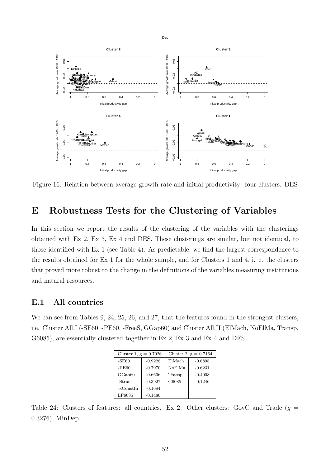

Figure 16: Relation between average growth rate and initial productivity: four clusters. DES

# E Robustness Tests for the Clustering of Variables

In this section we report the results of the clustering of the variables with the clusterings obtained with Ex 2, Ex 3, Ex 4 and DES. These clusterings are similar, but not identical, to those identified with Ex 1 (see Table 4). As predictable, we find the largest correspondence to the results obtained for Ex 1 for the whole sample, and for Clusters 1 and 4, i. e. the clusters that proved more robust to the change in the definitions of the variables measuring institutions and natural resources.

### E.1 All countries

We can see from Tables 9, 24, 25, 26, and 27, that the features found in the strongest clusters, i.e. Cluster All.I (-SE60, -PE60, -FreeS, GGap60) and Cluster All.II (ElMach, NoElMa, Transp, G6085), are essentially clustered together in Ex 2, Ex 3 and Ex 4 and DES.

| Cluster 1, $g = 0.7026$ |           | Cluster 2, $g = 0.7164$ |           |  |  |  |
|-------------------------|-----------|-------------------------|-----------|--|--|--|
| -SE60                   | $-0.9228$ | ElMach                  | $-0.6895$ |  |  |  |
| $-PE60$                 | $-0.7970$ | NoElMa                  | $-0.6231$ |  |  |  |
| GGap60                  | $-0.6606$ | Transp                  | $-0.4008$ |  |  |  |
| -Struct                 | $-0.3927$ | G6085                   | $-0.1246$ |  |  |  |
| -xConstIn               | $-0.1684$ |                         |           |  |  |  |
| LF6085                  | $-0.1480$ |                         |           |  |  |  |

Table 24: Clusters of features: all countries. Ex 2. Other clusters: GovC and Trade  $(g =$ 0.3276), MinDep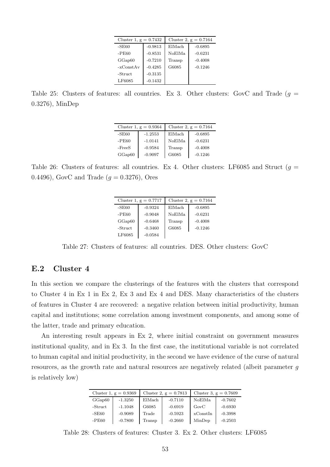| Cluster 1, $g = 0.7432$ |           | Cluster 2, $g = 0.7164$ |           |  |
|-------------------------|-----------|-------------------------|-----------|--|
| $-SE60$                 | $-0.9813$ | ElMach                  | $-0.6895$ |  |
| $-PE60$                 | $-0.8531$ | NoElMa                  | $-0.6231$ |  |
| GGap60                  | $-0.7210$ | Transp                  | $-0.4008$ |  |
| $-xConstAv$             | $-0.4285$ | G6085                   | $-0.1246$ |  |
| -Struct                 | $-0.3135$ |                         |           |  |
| LF6085                  | $-0.1432$ |                         |           |  |

Table 25: Clusters of features: all countries. Ex 3. Other clusters: GovC and Trade ( $g =$ 0.3276), MinDep

|          | Cluster 1, $g = 0.9364$ | Cluster 2, $g = 0.7164$ |           |  |
|----------|-------------------------|-------------------------|-----------|--|
| $-SE60$  | $-1.2553$               | ElMach                  | $-0.6895$ |  |
| -PE60    | $-1.0141$               | NoElMa                  | $-0.6231$ |  |
| $-FreeS$ | $-0.9584$               | Transp                  | $-0.4008$ |  |
| GGap60   | $-0.9097$               | G6085                   | $-0.1246$ |  |

Table 26: Clusters of features: all countries. Ex 4. Other clusters: LF6085 and Struct ( $g =$ 0.4496), GovC and Trade  $(g = 0.3276)$ , Ores

|         | Cluster 1, $g = 0.7717$ | Cluster 2, $g = 0.7164$ |           |  |
|---------|-------------------------|-------------------------|-----------|--|
| $-SE60$ | $-0.9324$               | ElMach                  | $-0.6895$ |  |
| $-PE60$ | $-0.9048$               | NoElMa                  | $-0.6231$ |  |
| GGap60  | $-0.6468$               | Transp                  | $-0.4008$ |  |
| -Struct | $-0.3460$               | G6085                   | $-0.1246$ |  |
| LF6085  | $-0.0584$               |                         |           |  |

Table 27: Clusters of features: all countries. DES. Other clusters: GovC

### E.2 Cluster 4

In this section we compare the clusterings of the features with the clusters that correspond to Cluster 4 in Ex 1 in Ex 2, Ex 3 and Ex 4 and DES. Many characteristics of the clusters of features in Cluster 4 are recovered: a negative relation between initial productivity, human capital and institutions; some correlation among investment components, and among some of the latter, trade and primary education.

An interesting result appears in Ex 2, where initial constraint on government measures institutional quality, and in Ex 3. In the first case, the institutional variable is not correlated to human capital and initial productivity, in the second we have evidence of the curse of natural resources, as the growth rate and natural resources are negatively related (albeit parameter g is relatively low)

|         | Cluster 1, $g = 0.9369$ | Cluster 2, $g = 0.7813$ |           | Cluster 3, $g = 0.7609$ |           |
|---------|-------------------------|-------------------------|-----------|-------------------------|-----------|
| GGap60  | $-1.3250$               | ElMach                  | $-0.7110$ | NoElMa                  | $-0.7602$ |
| -Struct | $-1.1048$               | G6085                   | $-0.6919$ | GovC                    | $-0.6930$ |
| $-SE60$ | $-0.9089$               | Trade                   | $-0.5923$ | xConstIn                | $-0.3998$ |
| $-PE60$ | $-0.7800$               | Transp                  | $-0.2660$ | MinDep                  | $-0.2503$ |

Table 28: Clusters of features: Cluster 3. Ex 2. Other clusters: LF6085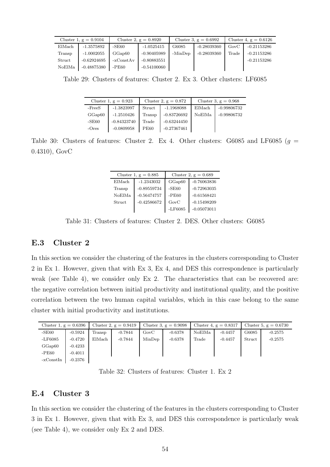|        | Cluster 1, $g = 0.9104$ |           | Cluster 2, $g = 0.8920$ | Cluster 3, $g = 0.6992$ |               | Cluster 4, $g = 0.6126$ |               |
|--------|-------------------------|-----------|-------------------------|-------------------------|---------------|-------------------------|---------------|
| ElMach | $-1.3575892$            | $-SE60$   | $-1.0525415$            | G6085                   | $-0.28039360$ | GovC                    | $-0.21153286$ |
| Transp | $-1.0002055$            | GGap60    | $-0.90405989$           | -MinDep                 | $-0.28039360$ | Trade                   | $-0.21153286$ |
| Struct | $-0.62924695$           | -xConstAv | $-0.80883551$           |                         |               |                         | $-0.21153286$ |
| NoElMa | $-0.48875380$           | $-PE60$   | $-0.54100060$           |                         |               |                         |               |

Table 29: Clusters of features: Cluster 2. Ex 3. Other clusters: LF6085

|          | Cluster 1, $g = 0.923$ | Cluster 2, $g = 0.872$ |               |        | Cluster 3, $g = 0.968$ |
|----------|------------------------|------------------------|---------------|--------|------------------------|
| $-FreeS$ | $-1.3823997$           | Struct                 | -1.1968088    | ElMach | $-0.99806732$          |
| GGap60   | $-1.2510426$           | Transp                 | $-0.83726692$ | NoElMa | $-0.99806732$          |
| $-SE60$  | $-0.84323740$          | Trade                  | $-0.63244450$ |        |                        |
| $-Ores$  | $-0.0809958$           | <b>PE60</b>            | $-0.27367461$ |        |                        |

Table 30: Clusters of features: Cluster 2. Ex 4. Other clusters: G6085 and LF6085 ( $g =$ 0.4310), GovC

|               | Cluster 1, $g = 0.885$ |                 | Cluster 2, $g = 0.689$ |
|---------------|------------------------|-----------------|------------------------|
| ElMach        | $-1.2343032$           | GGap60          | $-0.76063836$          |
| Transp        | $-0.89559734$          | $-SE60$         | $-0.72963035$          |
| NoElMa        | $-0.56474757$          | $-PE60$         | $-0.61568421$          |
| <b>Struct</b> | $-0.42586672$          | GovC            | $-0.15498209$          |
|               |                        | $-{\rm LF}6085$ | $-0.05073011$          |

Table 31: Clusters of features: Cluster 2. DES. Other clusters: G6085

### E.3 Cluster 2

In this section we consider the clustering of the features in the clusters corresponding to Cluster 2 in Ex 1. However, given that with Ex 3, Ex 4, and DES this correspondence is particularly weak (see Table 4), we consider only Ex 2. The characteristics that can be recovered are: the negative correlation between initial productivity and institutional quality, and the positive correlation between the two human capital variables, which in this case belong to the same cluster with initial productivity and institutions.

| Cluster 1, $g = 0.6396$ |           |        | Cluster 2, $g = 0.9419$ |            | Cluster 3, $g = 0.9098$ |        | Cluster 4, $g = 0.8317$ |        | Cluster 5, $g = 0.6730$ |
|-------------------------|-----------|--------|-------------------------|------------|-------------------------|--------|-------------------------|--------|-------------------------|
| $-SE60$                 | $-0.5924$ | Transp | $-0.7844$               | $\rm GovC$ | $-0.6378$               | NoElMa | $-0.4457$               | G6085  | $-0.2575$               |
| -LF6085                 | $-0.4720$ | ElMach | $-0.7844$               | MinDep     | $-0.6378$               | Trade  | $-0.4457$               | Struct | $-0.2575$               |
| GGap60                  | $-0.4233$ |        |                         |            |                         |        |                         |        |                         |
| $-PE60$                 | $-0.4011$ |        |                         |            |                         |        |                         |        |                         |
| -xConstIn               | $-0.2376$ |        |                         |            |                         |        |                         |        |                         |

Table 32: Clusters of features: Cluster 1. Ex 2

#### E.4 Cluster 3

In this section we consider the clustering of the features in the clusters corresponding to Cluster 3 in Ex 1. However, given that with Ex 3, and DES this correspondence is particularly weak (see Table 4), we consider only Ex 2 and DES.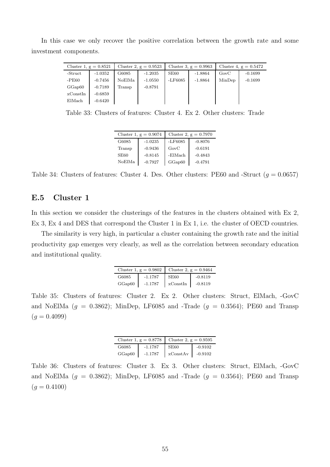In this case we only recover the positive correlation between the growth rate and some investment components.

| Cluster 1, $g = 0.8521$ |           |        | Cluster 2, $g = 0.9523$ | Cluster 3, $g = 0.9963$ |           | Cluster 4, $g = 0.5472$ |           |
|-------------------------|-----------|--------|-------------------------|-------------------------|-----------|-------------------------|-----------|
| -Struct                 | $-1.0352$ | G6085  | $-1.2035$               | SE60                    | $-1.8864$ | GovC                    | $-0.1699$ |
| -PE60                   | $-0.7456$ | NoElMa | $-1.0550$               | -LF6085                 | $-1.8864$ | MinDep                  | $-0.1699$ |
| GGap60                  | $-0.7189$ | Transp | $-0.8791$               |                         |           |                         |           |
| xConstIn                | $-0.6859$ |        |                         |                         |           |                         |           |
| ElMach                  | $-0.6420$ |        |                         |                         |           |                         |           |

Table 33: Clusters of features: Cluster 4. Ex 2. Other clusters: Trade

|        | Cluster 1, $g = 0.9074$ | Cluster 2, $g = 0.7970$ |           |  |
|--------|-------------------------|-------------------------|-----------|--|
| G6085  | $-1.0235$               | $-LF6085$               | $-0.8076$ |  |
| Transp | $-0.9436$               | GovC                    | $-0.6191$ |  |
| SE60   | $-0.8145$               | -ElMach                 | $-0.4843$ |  |
| NoElMa | $-0.7927$               | GGap60                  | $-0.4791$ |  |

Table 34: Clusters of features: Cluster 4. Des. Other clusters: PE60 and -Struct ( $g = 0.0657$ )

### E.5 Cluster 1

In this section we consider the clusterings of the features in the clusters obtained with Ex 2, Ex 3, Ex 4 and DES that correspond the Cluster 1 in Ex 1, i.e. the cluster of OECD countries.

The similarity is very high, in particular a cluster containing the growth rate and the initial productivity gap emerges very clearly, as well as the correlation between secondary education and institutional quality.

|        | Cluster 1, $g = 0.9802$ | Cluster 2, $g = 0.9464$ |           |  |
|--------|-------------------------|-------------------------|-----------|--|
| G6085  | $-1.1787$               | SE60                    | $-0.8119$ |  |
| GGap60 | $-1.1787$               | xConstIn                | $-0.8119$ |  |

Table 35: Clusters of features: Cluster 2. Ex 2. Other clusters: Struct, ElMach, -GovC and NoElMa  $(g = 0.3862)$ ; MinDep, LF6085 and -Trade  $(g = 0.3564)$ ; PE60 and Transp  $(g = 0.4099)$ 

|        | Cluster 1, $g = 0.8778$ | Cluster 2, $g = 0.9595$ |           |  |
|--------|-------------------------|-------------------------|-----------|--|
| G6085  | $-1.1787$               | SE60                    | $-0.9102$ |  |
| GGap60 | $-1.1787$               | xConstAv                | $-0.9102$ |  |

Table 36: Clusters of features: Cluster 3. Ex 3. Other clusters: Struct, ElMach, -GovC and NoElMa  $(g = 0.3862)$ ; MinDep, LF6085 and -Trade  $(g = 0.3564)$ ; PE60 and Transp  $(g = 0.4100)$